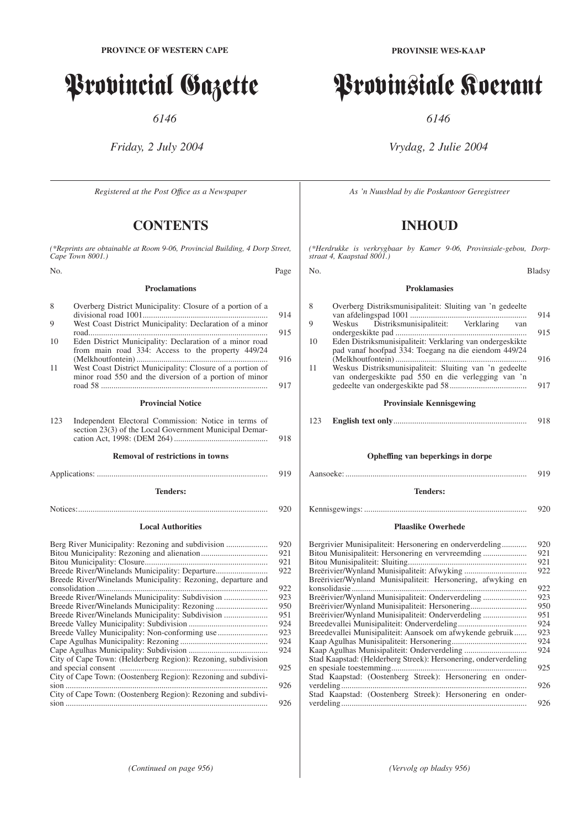# Provincial Gazette

*6146*

*Friday, 2 July 2004*

*Registered at the Post Offıce as a Newspaper*

## **CONTENTS**

*(\*Reprints are obtainable at Room 9-06, Provincial Building, 4 Dorp Street, Cape Town 8001.)*

| No. | Page |
|-----|------|
|     |      |

### **Proclamations**

| 8   | Overberg District Municipality: Closure of a portion of a<br>914                                                                                                                                                                                                                  |
|-----|-----------------------------------------------------------------------------------------------------------------------------------------------------------------------------------------------------------------------------------------------------------------------------------|
| 9   | West Coast District Municipality: Declaration of a minor<br>915                                                                                                                                                                                                                   |
| 10  | Eden District Municipality: Declaration of a minor road<br>from main road 334: Access to the property 449/24<br>916                                                                                                                                                               |
| 11  | West Coast District Municipality: Closure of a portion of<br>minor road 550 and the diversion of a portion of minor<br>917                                                                                                                                                        |
|     | <b>Provincial Notice</b>                                                                                                                                                                                                                                                          |
| 123 | Independent Electoral Commission: Notice in terms of<br>section 23(3) of the Local Government Municipal Demar-<br>918                                                                                                                                                             |
|     | <b>Removal of restrictions in towns</b>                                                                                                                                                                                                                                           |
|     | 919                                                                                                                                                                                                                                                                               |
|     | <b>Tenders:</b>                                                                                                                                                                                                                                                                   |
|     | 920                                                                                                                                                                                                                                                                               |
|     | <b>Local Authorities</b>                                                                                                                                                                                                                                                          |
|     | Berg River Municipality: Rezoning and subdivision<br>920<br>921<br>921<br>922<br>Breede River/Winelands Municipality: Rezoning, departure and<br>922<br>Breede River/Winelands Municipality: Subdivision<br>923<br>950<br>Breede River/Winelands Municipality: Subdivision<br>951 |
|     | 924<br>Breede Valley Municipality: Non-conforming use<br>923<br>924<br>924                                                                                                                                                                                                        |
|     | City of Cape Town: (Helderberg Region): Rezoning, subdivision<br>925<br>City of Cape Town: (Oostenberg Region): Rezoning and subdivi-                                                                                                                                             |
|     | 926<br>City of Cape Town: (Oostenberg Region): Rezoning and subdivi-<br>926                                                                                                                                                                                                       |

# Provinsiale Koerant

*6146*

## *Vrydag, 2 Julie 2004*

*As 'n Nuusblad by die Poskantoor Geregistreer*

## **INHOUD**

*(\*Herdrukke is verkrygbaar by Kamer 9-06, Provinsiale-gebou, Dorpstraat 4, Kaapstad 8001.)*

No. Bladsy

### **Proklamasies**

| 8   | Overberg Distriksmunisipaliteit: Sluiting van 'n gedeelte                                                         |            |
|-----|-------------------------------------------------------------------------------------------------------------------|------------|
| 9   | Weskus Distriksmunisipaliteit: Verklaring van                                                                     | 914<br>915 |
| 10  | Eden Distriksmunisipaliteit: Verklaring van ondergeskikte<br>pad vanaf hoofpad 334: Toegang na die eiendom 449/24 | 916        |
| 11  | Weskus Distriksmunisipaliteit: Sluiting van 'n gedeelte<br>van ondergeskikte pad 550 en die verlegging van 'n     | 917        |
|     | <b>Provinsiale Kennisgewing</b>                                                                                   |            |
| 123 |                                                                                                                   | 918        |
|     |                                                                                                                   |            |
|     | Opheffing van beperkings in dorpe                                                                                 |            |
|     |                                                                                                                   | 919        |
|     | <b>Tenders:</b>                                                                                                   |            |
|     |                                                                                                                   | 920        |
|     | <b>Plaaslike Owerhede</b>                                                                                         |            |
|     | Bergrivier Munisipaliteit: Hersonering en onderverdeling                                                          | 920        |
|     |                                                                                                                   | 921        |
|     |                                                                                                                   | 921        |
|     |                                                                                                                   | 922        |
|     | Breërivier/Wynland Munisipaliteit: Hersonering, afwyking en                                                       | 922        |
|     | Breërivier/Wynland Munisipaliteit: Onderverdeling                                                                 | 923        |
|     | Breërivier/Wynland Munisipaliteit: Hersonering                                                                    | 950        |

Breërivier/Wynland Munisipaliteit: Hersonering.................................. Breërivier/Wynland Munisipaliteit: Onderverdeling ..................... 951 Breedevallei Munisipaliteit: Onderverdeling................................. 924 Breedevallei Munisipaliteit: Aansoek om afwykende gebruik...... 923 Kaap Agulhas Munisipaliteit: Hersonering.................................... 924

Kaap Agulhas Munisipaliteit: Onderverdeling .............................. 924 Stad Kaapstad: (Helderberg Streek): Hersonering, onderverdeling en spesiale toestemming................................................................. 925 Stad Kaapstad: (Oostenberg Streek): Hersonering en onderverdeling......................................................................................... 926 Stad Kaapstad: (Oostenberg Streek): Hersonering en onderverdeling......................................................................................... 926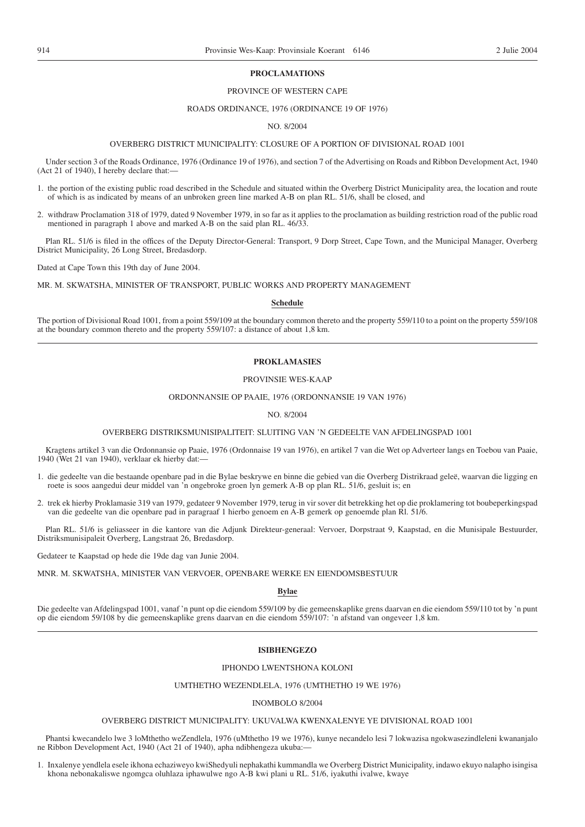### **PROCLAMATIONS**

### PROVINCE OF WESTERN CAPE

### ROADS ORDINANCE, 1976 (ORDINANCE 19 OF 1976)

### NO. 8/2004

### OVERBERG DISTRICT MUNICIPALITY: CLOSURE OF A PORTION OF DIVISIONAL ROAD 1001

Under section 3 of the Roads Ordinance, 1976 (Ordinance 19 of 1976), and section 7 of the Advertising on Roads and Ribbon Development Act, 1940 (Act 21 of 1940), I hereby declare that:—

- 1. the portion of the existing public road described in the Schedule and situated within the Overberg District Municipality area, the location and route of which is as indicated by means of an unbroken green line marked A-B on plan RL. 51/6, shall be closed, and
- 2. withdraw Proclamation 318 of 1979, dated 9 November 1979, in so far as it applies to the proclamation as building restriction road of the public road mentioned in paragraph 1 above and marked A-B on the said plan RL. 46/33.

Plan RL. 51/6 is filed in the offices of the Deputy Director-General: Transport, 9 Dorp Street, Cape Town, and the Municipal Manager, Overberg District Municipality, 26 Long Street, Bredasdorp.

Dated at Cape Town this 19th day of June 2004.

MR. M. SKWATSHA, MINISTER OF TRANSPORT, PUBLIC WORKS AND PROPERTY MANAGEMENT

### **Schedule**

The portion of Divisional Road 1001, from a point 559/109 at the boundary common thereto and the property 559/110 to a point on the property 559/108 at the boundary common thereto and the property 559/107: a distance of about 1,8 km.

### **PROKLAMASIES**

### PROVINSIE WES-KAAP

### ORDONNANSIE OP PAAIE, 1976 (ORDONNANSIE 19 VAN 1976)

### NO. 8/2004

### OVERBERG DISTRIKSMUNISIPALITEIT: SLUITING VAN 'N GEDEELTE VAN AFDELINGSPAD 1001

Kragtens artikel 3 van die Ordonnansie op Paaie, 1976 (Ordonnaise 19 van 1976), en artikel 7 van die Wet op Adverteer langs en Toebou van Paaie, 1940 (Wet 21 van 1940), verklaar ek hierby dat:—

- 1. die gedeelte van die bestaande openbare pad in die Bylae beskrywe en binne die gebied van die Overberg Distrikraad geleë, waarvan die ligging en roete is soos aangedui deur middel van 'n ongebroke groen lyn gemerk A-B op plan RL. 51/6, gesluit is; en
- 2. trek ek hierby Proklamasie 319 van 1979, gedateer 9 November 1979, terug in vir sover dit betrekking het op die proklamering tot boubeperkingspad van die gedeelte van die openbare pad in paragraaf 1 hierbo genoem en A-B gemerk op genoemde plan Rl. 51/6.

Plan RL. 51/6 is geliasseer in die kantore van die Adjunk Direkteur-generaal: Vervoer, Dorpstraat 9, Kaapstad, en die Munisipale Bestuurder, Distriksmunisipaleit Overberg, Langstraat 26, Bredasdorp.

Gedateer te Kaapstad op hede die 19de dag van Junie 2004.

MNR. M. SKWATSHA, MINISTER VAN VERVOER, OPENBARE WERKE EN EIENDOMSBESTUUR

### **Bylae**

Die gedeelte van Afdelingspad 1001, vanaf 'n punt op die eiendom 559/109 by die gemeenskaplike grens daarvan en die eiendom 559/110 tot by 'n punt op die eiendom 59/108 by die gemeenskaplike grens daarvan en die eiendom 559/107: 'n afstand van ongeveer 1,8 km.

### **ISIBHENGEZO**

### IPHONDO LWENTSHONA KOLONI

### UMTHETHO WEZENDLELA, 1976 (UMTHETHO 19 WE 1976)

### INOMBOLO 8/2004

### OVERBERG DISTRICT MUNICIPALITY: UKUVALWA KWENXALENYE YE DIVISIONAL ROAD 1001

Phantsi kwecandelo lwe 3 loMthetho weZendlela, 1976 (uMthetho 19 we 1976), kunye necandelo lesi 7 lokwazisa ngokwasezindleleni kwananjalo ne Ribbon Development Act, 1940 (Act 21 of 1940), apha ndibhengeza ukuba:—

1. Inxalenye yendlela esele ikhona echaziweyo kwiShedyuli nephakathi kummandla we Overberg District Municipality, indawo ekuyo nalapho isingisa khona nebonakaliswe ngomgca oluhlaza iphawulwe ngo A-B kwi plani u RL. 51/6, iyakuthi ivalwe, kwaye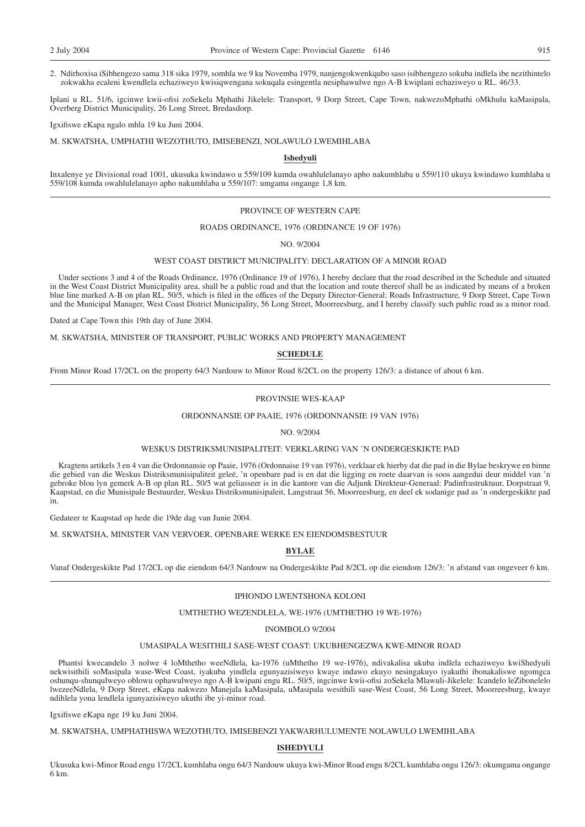2. Ndirhoxisa iSibhengezo sama 318 sika 1979, somhla we 9 ku Novemba 1979, nanjengokwenkqubo saso isibhengezo sokuba indlela ibe nezithintelo zokwakha ecaleni kwendlela echaziweyo kwisiqwengana sokuqala esingentla nesiphawulwe ngo A-B kwiplani echaziweyo u RL. 46/33.

Iplani u RL. 51/6, igcinwe kwii-ofisi zoSekela Mphathi Jikelele: Transport, 9 Dorp Street, Cape Town, nakwezoMphathi oMkhulu kaMasipala, Overberg District Municipality, 26 Long Street, Bredasdorp.

Igxifiswe eKapa ngalo mhla 19 ku Juni 2004.

M. SKWATSHA, UMPHATHI WEZOTHUTO, IMISEBENZI, NOLAWULO LWEMIHLABA

### **Ishedyuli**

Inxalenye ye Divisional road 1001, ukusuka kwindawo u 559/109 kumda owahlulelanayo apho nakumhlaba u 559/110 ukuya kwindawo kumhlaba u 559/108 kumda owahlulelanayo apho nakumhlaba u 559/107: umgama ongange 1,8 km.

### PROVINCE OF WESTERN CAPE

### ROADS ORDINANCE, 1976 (ORDINANCE 19 OF 1976)

NO. 9/2004

### WEST COAST DISTRICT MUNICIPALITY: DECLARATION OF A MINOR ROAD

Under sections 3 and 4 of the Roads Ordinance, 1976 (Ordinance 19 of 1976), I hereby declare that the road described in the Schedule and situated in the West Coast District Municipality area, shall be a public road and that the location and route thereof shall be as indicated by means of a broken blue line marked A-B on plan RL. 50/5, which is filed in the offices of the Deputy Director-General: Roads Infrastructure, 9 Dorp Street, Cape Town and the Municipal Manager, West Coast District Municipality, 56 Long Street, Moorreesburg, and I hereby classify such public road as a minor road.

Dated at Cape Town this 19th day of June 2004.

M. SKWATSHA, MINISTER OF TRANSPORT, PUBLIC WORKS AND PROPERTY MANAGEMENT

### **SCHEDULE**

From Minor Road 17/2CL on the property 64/3 Nardouw to Minor Road 8/2CL on the property 126/3: a distance of about 6 km.

### PROVINSIE WES-KAAP

### ORDONNANSIE OP PAAIE, 1976 (ORDONNANSIE 19 VAN 1976)

NO. 9/2004

### WESKUS DISTRIKSMUNISIPALITEIT: VERKLARING VAN 'N ONDERGESKIKTE PAD

Kragtens artikels 3 en 4 van die Ordonnansie op Paaie, 1976 (Ordonnaise 19 van 1976), verklaar ek hierby dat die pad in die Bylae beskrywe en binne die gebied van die Weskus Distriksmunisipaliteit geleë, 'n openbare pad is en dat die ligging en roete daarvan is soos aangedui deur middel van 'n gebroke blou lyn gemerk A-B op plan RL. 50/5 wat geliasseer is in die kantore van die Adjunk Direkteur-Generaal: Padinfrastruktuur, Dorpstraat 9, Kaapstad, en die Munisipale Bestuurder, Weskus Distriksmunisipaleit, Langstraat 56, Moorreesburg, en deel ek sodanige pad as 'n ondergeskikte pad in.

Gedateer te Kaapstad op hede die 19de dag van Junie 2004.

M. SKWATSHA, MINISTER VAN VERVOER, OPENBARE WERKE EN EIENDOMSBESTUUR

**BYLAE**

Vanaf Ondergeskikte Pad 17/2CL op die eiendom 64/3 Nardouw na Ondergeskikte Pad 8/2CL op die eiendom 126/3: 'n afstand van ongeveer 6 km.

### IPHONDO LWENTSHONA KOLONI

### UMTHETHO WEZENDLELA, WE-1976 (UMTHETHO 19 WE-1976)

### INOMBOLO 9/2004

### UMASIPALA WESITHILI SASE-WEST COAST: UKUBHENGEZWA KWE-MINOR ROAD

Phantsi kwecandelo 3 nolwe 4 loMthetho weeNdlela, ka-1976 (uMthetho 19 we-1976), ndivakalisa ukuba indlela echaziweyo kwiShedyuli nekwisithili soMasipala wase-West Coast, iyakuba yindlela egunyazisiweyo kwaye indawo ekuyo nesingakuyo iyakuthi ibonakaliswe ngomgca oshunqu-shunqulweyo oblowu ophawulweyo ngo A-B kwipani engu RL. 50/5, ingcinwe kwii-ofisi zoSekela Mlawuli-Jikelele: Icandelo leZibonelelo lwezeeNdlela, 9 Dorp Street, eKapa nakwezo Manejala kaMasipala, uMasipala wesithili sase-West Coast, 56 Long Street, Moorreesburg, kwaye ndihlela yona lendlela igunyazisiweyo ukuthi ibe yi-minor road.

Igxifiswe eKapa nge 19 ku Juni 2004.

M. SKWATSHA, UMPHATHISWA WEZOTHUTO, IMISEBENZI YAKWARHULUMENTE NOLAWULO LWEMIHLABA

### **ISHEDYULI**

Ukusuka kwi-Minor Road engu 17/2CL kumhlaba ongu 64/3 Nardouw ukuya kwi-Minor Road engu 8/2CL kumhlaba ongu 126/3: okumgama ongange 6 km.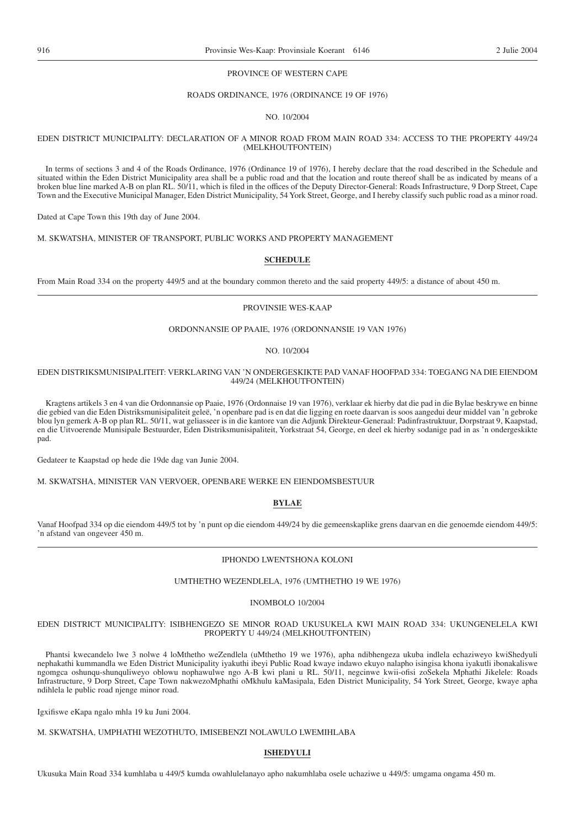### PROVINCE OF WESTERN CAPE

### ROADS ORDINANCE, 1976 (ORDINANCE 19 OF 1976)

NO. 10/2004

### EDEN DISTRICT MUNICIPALITY: DECLARATION OF A MINOR ROAD FROM MAIN ROAD 334: ACCESS TO THE PROPERTY 449/24 (MELKHOUTFONTEIN)

In terms of sections 3 and 4 of the Roads Ordinance, 1976 (Ordinance 19 of 1976), I hereby declare that the road described in the Schedule and situated within the Eden District Municipality area shall be a public road and that the location and route thereof shall be as indicated by means of a broken blue line marked A-B on plan RL. 50/11, which is filed in the offices of the Deputy Director-General: Roads Infrastructure, 9 Dorp Street, Cape Town and the Executive Municipal Manager, Eden District Municipality, 54 York Street, George, and I hereby classify such public road as a minor road.

Dated at Cape Town this 19th day of June 2004.

M. SKWATSHA, MINISTER OF TRANSPORT, PUBLIC WORKS AND PROPERTY MANAGEMENT

### **SCHEDULE**

From Main Road 334 on the property 449/5 and at the boundary common thereto and the said property 449/5: a distance of about 450 m.

### PROVINSIE WES-KAAP

### ORDONNANSIE OP PAAIE, 1976 (ORDONNANSIE 19 VAN 1976)

NO. 10/2004

### EDEN DISTRIKSMUNISIPALITEIT: VERKLARING VAN 'N ONDERGESKIKTE PAD VANAF HOOFPAD 334: TOEGANG NA DIE EIENDOM 449/24 (MELKHOUTFONTEIN)

Kragtens artikels 3 en 4 van die Ordonnansie op Paaie, 1976 (Ordonnaise 19 van 1976), verklaar ek hierby dat die pad in die Bylae beskrywe en binne die gebied van die Eden Distriksmunisipaliteit geleë, 'n openbare pad is en dat die ligging en roete daarvan is soos aangedui deur middel van 'n gebroke blou lyn gemerk A-B op plan RL. 50/11, wat geliasseer is in die kantore van die Adjunk Direkteur-Generaal: Padinfrastruktuur, Dorpstraat 9, Kaapstad, en die Uitvoerende Munisipale Bestuurder, Eden Distriksmunisipaliteit, Yorkstraat 54, George, en deel ek hierby sodanige pad in as 'n ondergeskikte pad.

Gedateer te Kaapstad op hede die 19de dag van Junie 2004.

M. SKWATSHA, MINISTER VAN VERVOER, OPENBARE WERKE EN EIENDOMSBESTUUR

### **BYLAE**

Vanaf Hoofpad 334 op die eiendom 449/5 tot by 'n punt op die eiendom 449/24 by die gemeenskaplike grens daarvan en die genoemde eiendom 449/5: 'n afstand van ongeveer 450 m.

### IPHONDO LWENTSHONA KOLONI

### UMTHETHO WEZENDLELA, 1976 (UMTHETHO 19 WE 1976)

INOMBOLO 10/2004

### EDEN DISTRICT MUNICIPALITY: ISIBHENGEZO SE MINOR ROAD UKUSUKELA KWI MAIN ROAD 334: UKUNGENELELA KWI PROPERTY U 449/24 (MELKHOUTFONTEIN)

Phantsi kwecandelo lwe 3 nolwe 4 loMthetho weZendlela (uMthetho 19 we 1976), apha ndibhengeza ukuba indlela echaziweyo kwiShedyuli nephakathi kummandla we Eden District Municipality iyakuthi ibeyi Public Road kwaye indawo ekuyo nalapho isingisa khona iyakutli ibonakaliswe ngomgca oshunqu-shunquliweyo oblowu nophawulwe ngo A-B kwi plani u RL. 50/11, negcinwe kwii-ofisi zoSekela Mphathi Jikelele: Roads Infrastructure, 9 Dorp Street, Cape Town nakwezoMphathi oMkhulu kaMasipala, Eden District Municipality, 54 York Street, George, kwaye apha ndihlela le public road njenge minor road.

Igxifiswe eKapa ngalo mhla 19 ku Juni 2004.

### M. SKWATSHA, UMPHATHI WEZOTHUTO, IMISEBENZI NOLAWULO LWEMIHLABA

### **ISHEDYULI**

Ukusuka Main Road 334 kumhlaba u 449/5 kumda owahlulelanayo apho nakumhlaba osele uchaziwe u 449/5: umgama ongama 450 m.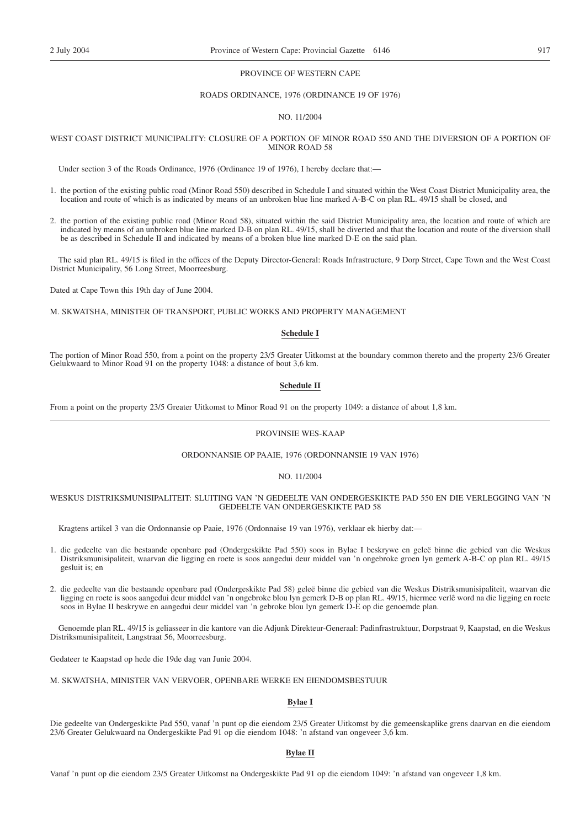### PROVINCE OF WESTERN CAPE

### ROADS ORDINANCE, 1976 (ORDINANCE 19 OF 1976)

### NO. 11/2004

### WEST COAST DISTRICT MUNICIPALITY: CLOSURE OF A PORTION OF MINOR ROAD 550 AND THE DIVERSION OF A PORTION OF MINOR ROAD 58

Under section 3 of the Roads Ordinance, 1976 (Ordinance 19 of 1976), I hereby declare that:—

- 1. the portion of the existing public road (Minor Road 550) described in Schedule I and situated within the West Coast District Municipality area, the location and route of which is as indicated by means of an unbroken blue line marked A-B-C on plan RL. 49/15 shall be closed, and
- 2. the portion of the existing public road (Minor Road 58), situated within the said District Municipality area, the location and route of which are indicated by means of an unbroken blue line marked D-B on plan RL. 49/15, shall be diverted and that the location and route of the diversion shall be as described in Schedule II and indicated by means of a broken blue line marked D-E on the said plan.

The said plan RL. 49/15 is filed in the offices of the Deputy Director-General: Roads Infrastructure, 9 Dorp Street, Cape Town and the West Coast District Municipality, 56 Long Street, Moorreesburg.

Dated at Cape Town this 19th day of June 2004.

M. SKWATSHA, MINISTER OF TRANSPORT, PUBLIC WORKS AND PROPERTY MANAGEMENT

### **Schedule I**

The portion of Minor Road 550, from a point on the property 23/5 Greater Uitkomst at the boundary common thereto and the property 23/6 Greater Gelukwaard to Minor Road 91 on the property 1048: a distance of bout 3,6 km.

### **Schedule II**

From a point on the property 23/5 Greater Uitkomst to Minor Road 91 on the property 1049: a distance of about 1,8 km.

### PROVINSIE WES-KAAP

### ORDONNANSIE OP PAAIE, 1976 (ORDONNANSIE 19 VAN 1976)

### NO. 11/2004

### WESKUS DISTRIKSMUNISIPALITEIT: SLUITING VAN 'N GEDEELTE VAN ONDERGESKIKTE PAD 550 EN DIE VERLEGGING VAN 'N GEDEELTE VAN ONDERGESKIKTE PAD 58

Kragtens artikel 3 van die Ordonnansie op Paaie, 1976 (Ordonnaise 19 van 1976), verklaar ek hierby dat:—

- 1. die gedeelte van die bestaande openbare pad (Ondergeskikte Pad 550) soos in Bylae I beskrywe en geleë binne die gebied van die Weskus Distriksmunisipaliteit, waarvan die ligging en roete is soos aangedui deur middel van 'n ongebroke groen lyn gemerk A-B-C op plan RL. 49/15 gesluit is; en
- 2. die gedeelte van die bestaande openbare pad (Ondergeskikte Pad 58) geleë binne die gebied van die Weskus Distriksmunisipaliteit, waarvan die ligging en roete is soos aangedui deur middel van 'n ongebroke blou lyn gemerk D-B op plan RL. 49/15, hiermee verlê word na die ligging en roete soos in Bylae II beskrywe en aangedui deur middel van 'n gebroke blou lyn gemerk D-E op die genoemde plan.

Genoemde plan RL. 49/15 is geliasseer in die kantore van die Adjunk Direkteur-Generaal: Padinfrastruktuur, Dorpstraat 9, Kaapstad, en die Weskus Distriksmunisipaliteit, Langstraat 56, Moorreesburg.

Gedateer te Kaapstad op hede die 19de dag van Junie 2004.

M. SKWATSHA, MINISTER VAN VERVOER, OPENBARE WERKE EN EIENDOMSBESTUUR

### **Bylae I**

Die gedeelte van Ondergeskikte Pad 550, vanaf 'n punt op die eiendom 23/5 Greater Uitkomst by die gemeenskaplike grens daarvan en die eiendom 23/6 Greater Gelukwaard na Ondergeskikte Pad 91 op die eiendom 1048: 'n afstand van ongeveer 3,6 km.

### **Bylae II**

Vanaf 'n punt op die eiendom 23/5 Greater Uitkomst na Ondergeskikte Pad 91 op die eiendom 1049: 'n afstand van ongeveer 1,8 km.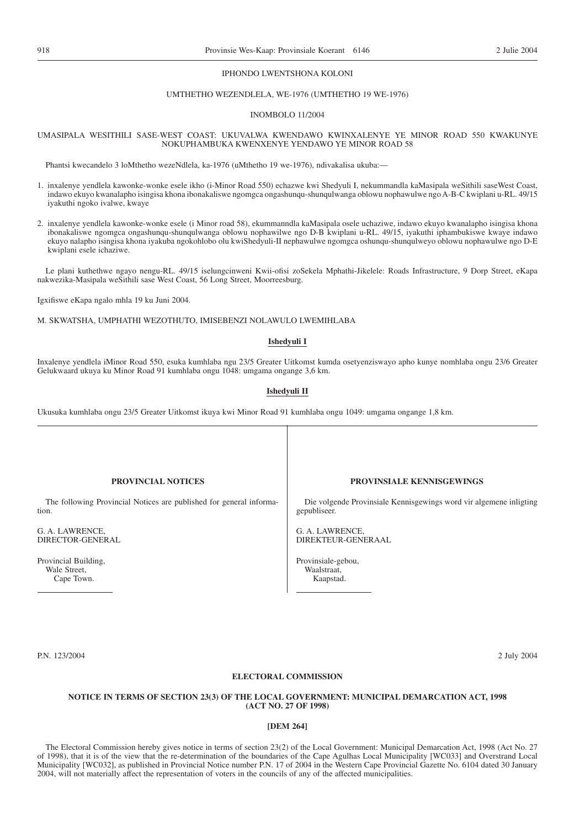### IPHONDO LWENTSHONA KOLONI

### UMTHETHO WEZENDLELA, WE-1976 (UMTHETHO 19 WE-1976)

### INOMBOLO 11/2004

### UMASIPALA WESITHILI SASE-WEST COAST: UKUVALWA KWENDAWO KWINXALENYE YE MINOR ROAD 550 KWAKUNYE NOKUPHAMBUKA KWENXENYE YENDAWO YE MINOR ROAD 58

Phantsi kwecandelo 3 loMthetho wezeNdlela, ka-1976 (uMthetho 19 we-1976), ndivakalisa ukuba:—

- 1. inxalenye yendlela kawonke-wonke esele ikho (i-Minor Road 550) echazwe kwi Shedyuli I, nekummandla kaMasipala weSithili saseWest Coast, indawo ekuyo kwanalapho isingisa khona ibonakaliswe ngomgca ongashunqu-shunqulwanga oblowu nophawulwe ngo A-B-C kwiplani u-RL. 49/15 iyakuthi ngoko ivalwe, kwaye
- 2. inxalenye yendlela kawonke-wonke esele (i Minor road 58), ekummanndla kaMasipala osele uchaziwe, indawo ekuyo kwanalapho isingisa khona ibonakaliswe ngomgca ongashunqu-shunqulwanga oblowu nophawilwe ngo D-B kwiplani u-RL. 49/15, iyakuthi iphambukiswe kwaye indawo ekuyo nalapho isingisa khona iyakuba ngokohlobo olu kwiShedyuli-II nephawulwe ngomgca oshunqu-shunqulweyo oblowu nophawulwe ngo D-E kwiplani esele ichaziwe.

Le plani kuthethwe ngayo nengu-RL. 49/15 iselungcinweni Kwii-ofisi zoSekela Mphathi-Jikelele: Roads Infrastructure, 9 Dorp Street, eKapa nakwezika-Masipala weSithili sase West Coast, 56 Long Street, Moorreesburg.

Igxifiswe eKapa ngalo mhla 19 ku Juni 2004.

M. SKWATSHA, UMPHATHI WEZOTHUTO, IMISEBENZI NOLAWULO LWEMIHLABA

### **Ishedyuli I**

Inxalenye yendlela iMinor Road 550, esuka kumhlaba ngu 23/5 Greater Uitkomst kumda osetyenziswayo apho kunye nomhlaba ongu 23/6 Greater Gelukwaard ukuya ku Minor Road 91 kumhlaba ongu 1048: umgama ongange 3,6 km.

### **Ishedyuli II**

Ukusuka kumhlaba ongu 23/5 Greater Uitkomst ikuya kwi Minor Road 91 kumhlaba ongu 1049: umgama ongange 1,8 km.

| <b>PROVINCIAL NOTICES</b>                                           | <b>PROVINSIALE KENNISGEWINGS</b>                                   |
|---------------------------------------------------------------------|--------------------------------------------------------------------|
| The following Provincial Notices are published for general informa- | Die volgende Provinsiale Kennisgewings word vir algemene inligting |
| tion.                                                               | gepubliseer.                                                       |
| G. A. LAWRENCE,                                                     | G. A. LAWRENCE,                                                    |
| DIRECTOR-GENERAL                                                    | DIREKTEUR-GENERAAL                                                 |
| Provincial Building,                                                | Provinsiale-gebou,                                                 |
| Wale Street,                                                        | Waalstraat,                                                        |
| Cape Town.                                                          | Kaapstad.                                                          |
|                                                                     |                                                                    |

P.N. 123/2004 2 July 2004

### **ELECTORAL COMMISSION**

### **NOTICE IN TERMS OF SECTION 23(3) OF THE LOCAL GOVERNMENT: MUNICIPAL DEMARCATION ACT, 1998 (ACT NO. 27 OF 1998)**

### **[DEM 264]**

The Electoral Commission hereby gives notice in terms of section 23(2) of the Local Government: Municipal Demarcation Act, 1998 (Act No. 27 of 1998), that it is of the view that the re-determination of the boundaries of the Cape Agulhas Local Municipality [WC033] and Overstrand Local Municipality [WC032], as published in Provincial Notice number P.N. 17 of 2004 in the Western Cape Provincial Gazette No. 6104 dated 30 January 2004, will not materially affect the representation of voters in the councils of any of the affected municipalities.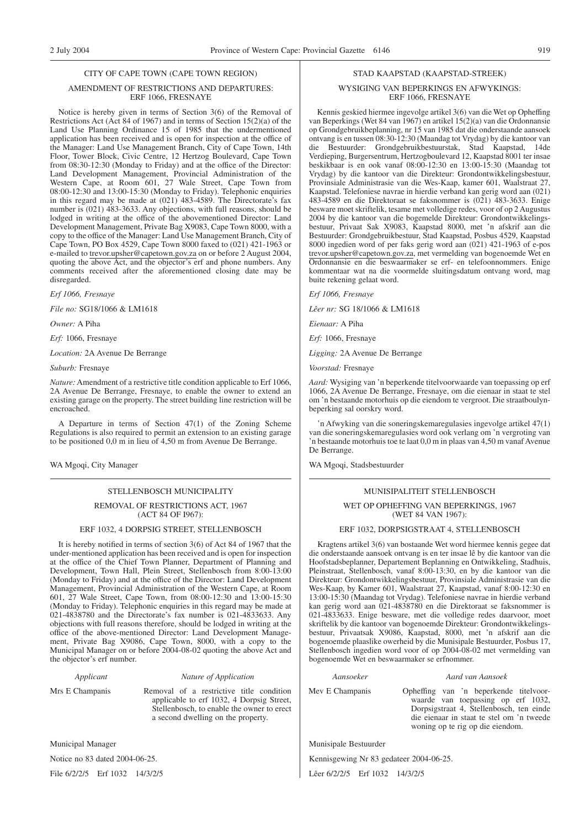### CITY OF CAPE TOWN (CAPE TOWN REGION)

### AMENDMENT OF RESTRICTIONS AND DEPARTURES: ERF 1066, FRESNAYE

Notice is hereby given in terms of Section 3(6) of the Removal of Restrictions Act (Act 84 of 1967) and in terms of Section 15(2)(a) of the Land Use Planning Ordinance 15 of 1985 that the undermentioned application has been received and is open for inspection at the office of the Manager: Land Use Management Branch, City of Cape Town, 14th Floor, Tower Block, Civic Centre, 12 Hertzog Boulevard, Cape Town from 08:30-12:30 (Monday to Friday) and at the office of the Director: Land Development Management, Provincial Administration of the Western Cape, at Room 601, 27 Wale Street, Cape Town from 08:00-12:30 and 13:00-15:30 (Monday to Friday). Telephonic enquiries in this regard may be made at (021) 483-4589. The Directorate's fax number is (021) 483-3633. Any objections, with full reasons, should be lodged in writing at the office of the abovementioned Director: Land Development Management, Private Bag X9083, Cape Town 8000, with a copy to the office of the Manager: Land Use Management Branch, City of Cape Town, PO Box 4529, Cape Town 8000 faxed to (021) 421-1963 or e-mailed to trevor.upsher@capetown.gov.za on or before 2 August 2004, quoting the above Act, and the objector's erf and phone numbers. Any comments received after the aforementioned closing date may be disregarded.

*Erf 1066, Fresnaye*

*File no:* SG18/1066 & LM1618

*Owner:* A Piha

*Erf:* 1066, Fresnaye

*Location:* 2A Avenue De Berrange

*Suburb:* Fresnaye

*Nature:*Amendment of a restrictive title condition applicable to Erf 1066, 2A Avenue De Berrange, Fresnaye, to enable the owner to extend an existing garage on the property. The street building line restriction will be encroached.

A Departure in terms of Section 47(1) of the Zoning Scheme Regulations is also required to permit an extension to an existing garage to be positioned 0,0 m in lieu of 4,50 m from Avenue De Berrange.

WA Mgoqi, City Manager

### STELLENBOSCH MUNICIPALITY

REMOVAL OF RESTRICTIONS ACT, 1967 (ACT 84 OF I967):

### ERF 1032, 4 DORPSIG STREET, STELLENBOSCH

It is hereby notified in terms of section 3(6) of Act 84 of 1967 that the under-mentioned application has been received and is open for inspection at the office of the Chief Town Planner, Department of Planning and Development, Town Hall, Plein Street, Stellenbosch from 8:00-13:00 (Monday to Friday) and at the office of the Director: Land Development Management, Provincial Administration of the Western Cape, at Room 601, 27 Wale Street, Cape Town, from 08:00-12:30 and 13:00-15:30 (Monday to Friday). Telephonic enquiries in this regard may be made at 021-4838780 and the Directorate's fax number is 021-4833633. Any objections with full reasons therefore, should be lodged in writing at the office of the above-mentioned Director: Land Development Management, Private Bag X9086, Cape Town, 8000, with a copy to the Municipal Manager on or before 2004-08-02 quoting the above Act and the objector's erf number.

### *Applicant Nature of Application*

Mrs E Champanis Removal of a restrictive title condition

applicable to erf 1032, 4 Dorpsig Street, Stellenbosch, to enable the owner to erect a second dwelling on the property.

Municipal Manager

Notice no 83 dated 2004-06-25.

File 6/2/2/5 Erf 1032 14/3/2/5

### STAD KAAPSTAD (KAAPSTAD-STREEK)

### WYSIGING VAN BEPERKINGS EN AFWYKINGS: ERF 1066, FRESNAYE

Kennis geskied hiermee ingevolge artikel 3(6) van die Wet op Opheffing van Beperkings (Wet 84 van 1967) en artikel 15(2)(a) van die Ordonnansie op Grondgebruikbeplanning, nr 15 van 1985 dat die onderstaande aansoek ontvang is en tussen 08:30-12:30 (Maandag tot Vrydag) by die kantoor van die Bestuurder: Grondgebruikbestuurstak, Stad Kaapstad, 14de Verdieping, Burgersentrum, Hertzogboulevard 12, Kaapstad 8001 ter insae beskikbaar is en ook vanaf 08:00-12:30 en 13:00-15:30 (Maandag tot Vrydag) by die kantoor van die Direkteur: Grondontwikkelingsbestuur, Provinsiale Administrasie van die Wes-Kaap, kamer 601, Waalstraat 27, Kaapstad. Telefoniese navrae in hierdie verband kan gerig word aan (021) 483-4589 en die Direktoraat se faksnommer is (021) 483-3633. Enige besware moet skriftelik, tesame met volledige redes, voor of op 2 Augustus 2004 by die kantoor van die bogemelde Direkteur: Grondontwikkelingsbestuur, Privaat Sak X9083, Kaapstad 8000, met 'n afskrif aan die Bestuurder: Grondgebruikbestuur, Stad Kaapstad, Posbus 4529, Kaapstad 8000 ingedien word of per faks gerig word aan (021) 421-1963 of e-pos trevor.upsher@capetown.gov.za, met vermelding van bogenoemde Wet en Ordonnansie en die beswaarmaker se erf- en telefoonnommers. Enige kommentaar wat na die voormelde sluitingsdatum ontvang word, mag buite rekening gelaat word.

*Erf 1066, Fresnaye*

*Lêer nr:* SG 18/1066 & LM1618

*Eienaar:* A Piha

*Erf:* 1066, Fresnaye

*Ligging:* 2A Avenue De Berrange

*Voorstad:* Fresnaye

*Aard:* Wysiging van 'n beperkende titelvoorwaarde van toepassing op erf 1066, 2A Avenue De Berrange, Fresnaye, om die eienaar in staat te stel om 'n bestaande motorhuis op die eiendom te vergroot. Die straatboulynbeperking sal oorskry word.

'n Afwyking van die soneringskemaregulasies ingevolge artikel 47(1) van die soneringskemaregulasies word ook verlang om 'n vergroting van 'n bestaande motorhuis toe te laat 0,0 m in plaas van 4,50 m vanaf Avenue De Berrange.

WA Mgoqi, Stadsbestuurder

### MUNISIPALITEIT STELLENBOSCH

### WET OP OPHEFFING VAN BEPERKINGS, 1967 (WET 84 VAN 1967):

### ERF 1032, DORPSIGSTRAAT 4, STELLENBOSCH

Kragtens artikel 3(6) van bostaande Wet word hiermee kennis gegee dat die onderstaande aansoek ontvang is en ter insae lê by die kantoor van die Hoofstadsbeplanner, Departement Beplanning en Ontwikkeling, Stadhuis, Pleinstraat, Stellenbosch, vanaf 8:00-13:30, en by die kantoor van die Direkteur: Grondontwikkelingsbestuur, Provinsiale Administrasie van die Wes-Kaap, by Kamer 601, Waalstraat 27, Kaapstad, vanaf 8:00-12:30 en 13:00-15:30 (Maandag tot Vrydag). Telefoniese navrae in hierdie verband kan gerig word aan 021-4838780 en die Direktoraat se faksnommer is 021-4833633. Enige besware, met die volledige redes daarvoor, moet skriftelik by die kantoor van bogenoemde Direkteur: Grondontwikkelingsbestuur, Privaatsak X9086, Kaapstad, 8000, met 'n afskrif aan die bogenoemde plaaslike owerheid by die Munisipale Bestuurder, Posbus 17, Stellenbosch ingedien word voor of op 2004-08-02 met vermelding van bogenoemde Wet en beswaarmaker se erfnommer.

### *Aansoeker Aard van Aansoek*

Mev E Champanis Opheffing van 'n beperkende titelvoorwaarde van toepassing op erf 1032,

Dorpsigstraat 4, Stellenbosch, ten einde die eienaar in staat te stel om 'n tweede woning op te rig op die eiendom.

Munisipale Bestuurder

Kennisgewing Nr 83 gedateer 2004-06-25.

Lêer 6/2/2/5 Erf 1032 14/3/2/5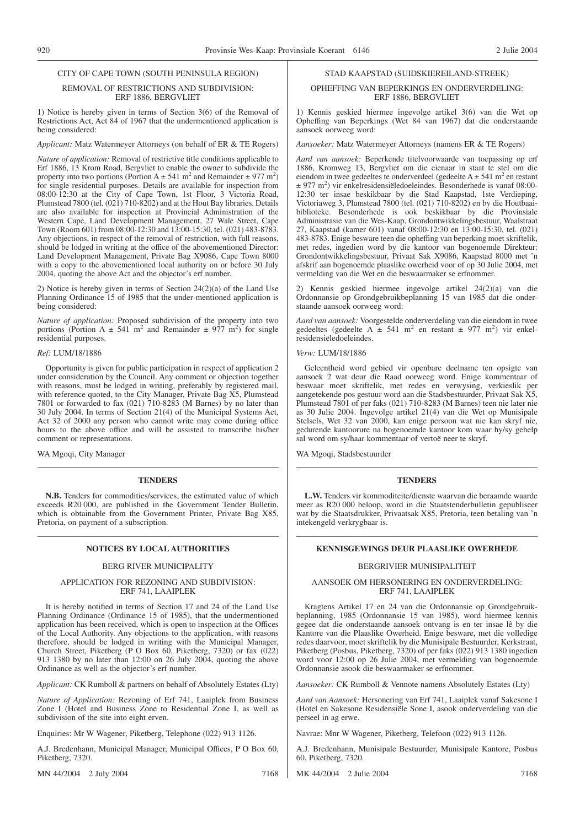### REMOVAL OF RESTRICTIONS AND SUBDIVISION: ERF 1886, BERGVLIET

1) Notice is hereby given in terms of Section 3(6) of the Removal of Restrictions Act, Act 84 of 1967 that the undermentioned application is being considered:

### *Applicant:* Matz Watermeyer Attorneys (on behalf of ER & TE Rogers)

*Nature of application:* Removal of restrictive title conditions applicable to Erf 1886, 13 Krom Road, Bergvliet to enable the owner to subdivide the property into two portions (Portion  $A \pm 541$  m<sup>2</sup> and Remainder  $\pm$  977 m<sup>2</sup>) for single residential purposes. Details are available for inspection from 08:00-12:30 at the City of Cape Town, 1st Floor, 3 Victoria Road, Plumstead 7800 (tel. (021) 710-8202) and at the Hout Bay libraries. Details are also available for inspection at Provincial Administration of the Western Cape, Land Development Management, 27 Wale Street, Cape Town (Room 601) from 08:00-12:30 and 13:00-15:30, tel. (021) 483-8783. Any objections, in respect of the removal of restriction, with full reasons, should be lodged in writing at the office of the abovementioned Director: Land Development Management, Private Bag X9086, Cape Town 8000 with a copy to the abovementioned local authority on or before 30 July 2004, quoting the above Act and the objector's erf number.

2) Notice is hereby given in terms of Section 24(2)(a) of the Land Use Planning Ordinance 15 of 1985 that the under-mentioned application is being considered:

*Nature of application:* Proposed subdivision of the property into two portions (Portion A  $\pm$  541 m<sup>2</sup> and Remainder  $\pm$  977 m<sup>2</sup>) for single residential purposes.

### *Ref:* LUM/18/1886

Opportunity is given for public participation in respect of application 2 under consideration by the Council. Any comment or objection together with reasons, must be lodged in writing, preferably by registered mail, with reference quoted, to the City Manager, Private Bag X5, Plumstead 7801 or forwarded to fax (021) 710-8283 (M Barnes) by no later than 30 July 2004. In terms of Section 21(4) of the Municipal Systems Act, Act 32 of 2000 any person who cannot write may come during office hours to the above office and will be assisted to transcribe his/her comment or representations.

WA Mgoqi, City Manager

### **TENDERS**

**N.B.** Tenders for commodities/services, the estimated value of which exceeds R20 000, are published in the Government Tender Bulletin, which is obtainable from the Government Printer, Private Bag X85, Pretoria, on payment of a subscription.

### BERG RIVER MUNICIPALITY

### APPLICATION FOR REZONING AND SUBDIVISION: ERF 741, LAAIPLEK

It is hereby notified in terms of Section 17 and 24 of the Land Use Planning Ordinance (Ordinance 15 of 1985), that the undermentioned application has been received, which is open to inspection at the Offices of the Local Authority. Any objections to the application, with reasons therefore, should be lodged in writing with the Municipal Manager, Church Street, Piketberg (P O Box 60, Piketberg, 7320) or fax (022) 913 1380 by no later than 12:00 on 26 July 2004, quoting the above Ordinance as well as the objector's erf number.

*Applicant:* CK Rumboll & partners on behalf of Absolutely Estates (Lty)

*Nature of Application:* Rezoning of Erf 741, Laaiplek from Business Zone I (Hotel and Business Zone to Residential Zone I, as well as subdivision of the site into eight erven.

Enquiries: Mr W Wagener, Piketberg, Telephone (022) 913 1126.

A.J. Bredenhann, Municipal Manager, Municipal Offices, P O Box 60, Piketberg, 7320.

MN 44/2004 2 July 2004 7168

### STAD KAAPSTAD (SUIDSKIEREILAND-STREEK)

### OPHEFFING VAN BEPERKINGS EN ONDERVERDELING: ERF 1886, BERGVLIET

1) Kennis geskied hiermee ingevolge artikel 3(6) van die Wet op Opheffing van Beperkings (Wet 84 van 1967) dat die onderstaande aansoek oorweeg word:

*Aansoeker:* Matz Watermeyer Attorneys (namens ER & TE Rogers)

*Aard van aansoek:* Beperkende titelvoorwaarde van toepassing op erf 1886, Kromweg 13, Bergvliet om die eienaar in staat te stel om die eiendom in twee gedeeltes te onderverdeel (gedeelte  $A \pm 541$  m<sup>2</sup> en restant ± 977 m2 ) vir enkelresidensiëledoeleindes. Besonderhede is vanaf 08:00- 12:30 ter insae beskikbaar by die Stad Kaapstad, 1ste Verdieping, Victoriaweg 3, Plumstead 7800 (tel. (021) 710-8202) en by die Houtbaaibiblioteke. Besonderhede is ook beskikbaar by die Provinsiale Administrasie van die Wes-Kaap, Grondontwikkelingsbestuur, Waalstraat 27, Kaapstad (kamer 601) vanaf 08:00-12:30 en 13:00-15:30, tel. (021) 483-8783. Enige besware teen die opheffing van beperking moet skriftelik, met redes, ingedien word by die kantoor van bogenoemde Direkteur: Grondontwikkelingsbestuur, Privaat Sak X9086, Kaapstad 8000 met 'n afskrif aan bogenoemde plaaslike owerheid voor of op 30 Julie 2004, met vermelding van die Wet en die beswaarmaker se erfnommer.

2) Kennis geskied hiermee ingevolge artikel 24(2)(a) van die Ordonnansie op Grondgebruikbeplanning 15 van 1985 dat die onderstaande aansoek oorweeg word:

*Aard van aansoek:* Voorgestelde onderverdeling van die eiendom in twee gedeeltes (gedeelte A  $\pm$  541 m<sup>2</sup> en restant  $\pm$  977 m<sup>2</sup>) vir enkelresidensiëledoeleindes.

*Verw:* LUM/18/1886

Geleentheid word gebied vir openbare deelname ten opsigte van aansoek 2 wat deur die Raad oorweeg word. Enige kommentaar of beswaar moet skriftelik, met redes en verwysing, verkieslik per aangetekende pos gestuur word aan die Stadsbestuurder, Privaat Sak X5, Plumstead 7801 of per faks (021) 710-8283 (M Barnes) teen nie later nie as 30 Julie 2004. Ingevolge artikel 21(4) van die Wet op Munisipale Stelsels, Wet 32 van 2000, kan enige persoon wat nie kan skryf nie, gedurende kantoorure na bogenoemde kantoor kom waar hy/sy gehelp sal word om sy/haar kommentaar of vertoë neer te skryf.

WA Mgoqi, Stadsbestuurder

### **TENDERS**

**L.W.** Tenders vir kommoditeite/dienste waarvan die beraamde waarde meer as R20 000 beloop, word in die Staatstenderbulletin gepubliseer wat by die Staatsdrukker, Privaatsak X85, Pretoria, teen betaling van 'n intekengeld verkrygbaar is.

### **NOTICES BY LOCAL AUTHORITIES KENNISGEWINGS DEUR PLAASLIKE OWERHEDE**

### BERGRIVIER MUNISIPALITEIT

### AANSOEK OM HERSONERING EN ONDERVERDELING: ERF 741, LAAIPLEK

Kragtens Artikel 17 en 24 van die Ordonnansie op Grondgebruikbeplanning, 1985 (Ordonnansie 15 van 1985), word hiermee kennis gegee dat die onderstaande aansoek ontvang is en ter insae lê by die Kantore van die Plaaslike Owerheid. Enige besware, met die volledige redes daarvoor, moet skriftelik by die Munisipale Bestuurder, Kerkstraat, Piketberg (Posbus, Piketberg, 7320) of per faks (022) 913 1380 ingedien word voor 12:00 op 26 Julie 2004, met vermelding van bogenoemde Ordonnansie asook die beswaarmaker se erfnommer.

*Aansoeker:* CK Rumboll & Vennote namens Absolutely Estates (Lty)

*Aard van Aansoek:* Hersonering van Erf 741, Laaiplek vanaf Sakesone I (Hotel en Sakesone Residensiële Sone I, asook onderverdeling van die perseel in ag erwe.

Navrae: Mnr W Wagener, Piketberg, Telefoon (022) 913 1126.

A.J. Bredenhann, Munisipale Bestuurder, Munisipale Kantore, Posbus 60, Piketberg, 7320.

MK 44/2004 2 Julie 2004 7168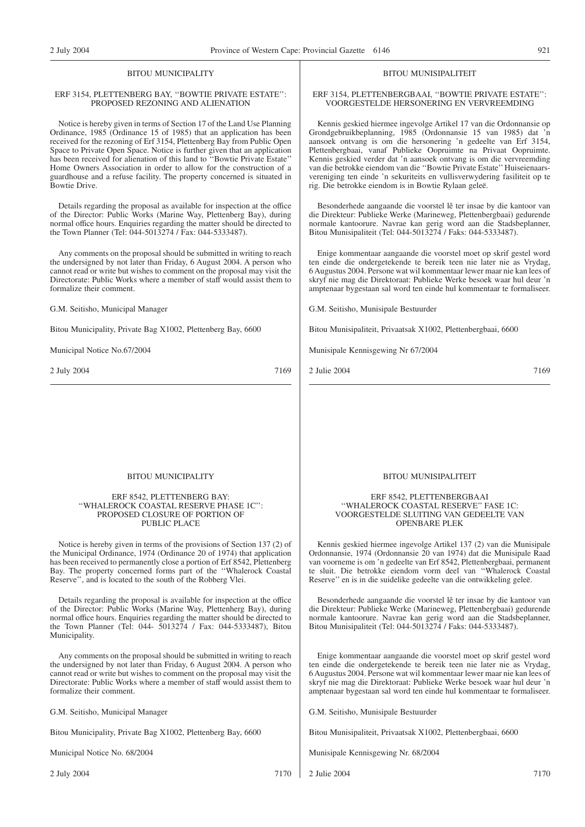### BITOU MUNICIPALITY

### ERF 3154, PLETTENBERG BAY, ''BOWTIE PRIVATE ESTATE'': PROPOSED REZONING AND ALIENATION

Notice is hereby given in terms of Section 17 of the Land Use Planning Ordinance, 1985 (Ordinance 15 of 1985) that an application has been received for the rezoning of Erf 3154, Plettenberg Bay from Public Open Space to Private Open Space. Notice is further given that an application has been received for alienation of this land to ''Bowtie Private Estate'' Home Owners Association in order to allow for the construction of a guardhouse and a refuse facility. The property concerned is situated in Bowtie Drive.

Details regarding the proposal as available for inspection at the office of the Director: Public Works (Marine Way, Plettenberg Bay), during normal office hours. Enquiries regarding the matter should be directed to the Town Planner (Tel: 044-5013274 / Fax: 044-5333487).

Any comments on the proposal should be submitted in writing to reach the undersigned by not later than Friday, 6 August 2004. A person who cannot read or write but wishes to comment on the proposal may visit the Directorate: Public Works where a member of staff would assist them to formalize their comment.

G.M. Seitisho, Municipal Manager

Bitou Municipality, Private Bag X1002, Plettenberg Bay, 6600

Municipal Notice No.67/2004

2 July 2004 7169

### BITOU MUNISIPALITEIT

### ERF 3154, PLETTENBERGBAAI, ''BOWTIE PRIVATE ESTATE'': VOORGESTELDE HERSONERING EN VERVREEMDING

Kennis geskied hiermee ingevolge Artikel 17 van die Ordonnansie op Grondgebruikbeplanning, 1985 (Ordonnansie 15 van 1985) dat 'n aansoek ontvang is om die hersonering 'n gedeelte van Erf 3154, Plettenbergbaai, vanaf Publieke Oopruimte na Privaat Oopruimte. Kennis geskied verder dat 'n aansoek ontvang is om die vervreemding van die betrokke eiendom van die ''Bowtie Private Estate'' Huiseienaarsvereniging ten einde 'n sekuriteits en vullisverwydering fasiliteit op te rig. Die betrokke eiendom is in Bowtie Rylaan geleë.

Besonderhede aangaande die voorstel lê ter insae by die kantoor van die Direkteur: Publieke Werke (Marineweg, Plettenbergbaai) gedurende normale kantoorure. Navrae kan gerig word aan die Stadsbeplanner, Bitou Munisipaliteit (Tel: 044-5013274 / Faks: 044-5333487).

Enige kommentaar aangaande die voorstel moet op skrif gestel word ten einde die ondergetekende te bereik teen nie later nie as Vrydag, 6 Augustus 2004. Persone wat wil kommentaar lewer maar nie kan lees of skryf nie mag die Direktoraat: Publieke Werke besoek waar hul deur 'n amptenaar bygestaan sal word ten einde hul kommentaar te formaliseer.

G.M. Seitisho, Munisipale Bestuurder

Bitou Munisipaliteit, Privaatsak X1002, Plettenbergbaai, 6600

Munisipale Kennisgewing Nr 67/2004

2 Julie 2004 7169

### BITOU MUNICIPALITY

### ERF 8542, PLETTENBERG BAY: ''WHALEROCK COASTAL RESERVE PHASE 1C'': PROPOSED CLOSURE OF PORTION OF PUBLIC PLACE

Notice is hereby given in terms of the provisions of Section 137 (2) of the Municipal Ordinance, 1974 (Ordinance 20 of 1974) that application has been received to permanently close a portion of Erf 8542, Plettenberg Bay. The property concerned forms part of the ''Whalerock Coastal Reserve'', and is located to the south of the Robberg Vlei.

Details regarding the proposal is available for inspection at the office of the Director: Public Works (Marine Way, Plettenherg Bay), during normal office hours. Enquiries regarding the matter should be directed to the Town Planner (Tel: 044- 5013274 / Fax: 044-5333487), Bitou Municipality.

Any comments on the proposal should be submitted in writing to reach the undersigned by not later than Friday, 6 August 2004. A person who cannot read or write but wishes to comment on the proposal may visit the Directorate: Public Works where a member of staff would assist them to formalize their comment.

G.M. Seitisho, Municipal Manager

Bitou Municipality, Private Bag X1002, Plettenberg Bay, 6600

Municipal Notice No. 68/2004

2 July 2004 7170

### BITOU MUNISIPALITEIT

### ERF 8542, PLETTENBERGBAAI ''WHALEROCK COASTAL RESERVE'' FASE 1C: VOORGESTELDE SLUITING VAN GEDEELTE VAN OPENBARE PLEK

Kennis geskied hiermee ingevolge Artikel 137 (2) van die Munisipale Ordonnansie, 1974 (Ordonnansie 20 van 1974) dat die Munisipale Raad van voorneme is om 'n gedeelte van Erf 8542, Plettenbergbaai, permanent te sluit. Die betrokke eiendom vorm deel van ''Whalerock Coastal Reserve'' en is in die suidelike gedeelte van die ontwikkeling geleë.

Besonderhede aangaande die voorstel lê ter insae by die kantoor van die Direkteur: Publieke Werke (Marineweg, Plettenbergbaai) gedurende normale kantoorure. Navrae kan gerig word aan die Stadsbeplanner, Bitou Munisipaliteit (Tel: 044-5013274 / Faks: 044-5333487).

Enige kommentaar aangaande die voorstel moet op skrif gestel word ten einde die ondergetekende te bereik teen nie later nie as Vrydag, 6 Augustus 2004. Persone wat wil kommentaar lewer maar nie kan lees of skryf nie mag die Direktoraat: Publieke Werke besoek waar hul deur 'n amptenaar bygestaan sal word ten einde hul kommentaar te formaliseer.

G.M. Seitisho, Munisipale Bestuurder

Bitou Munisipaliteit, Privaatsak X1002, Plettenbergbaai, 6600

Munisipale Kennisgewing Nr. 68/2004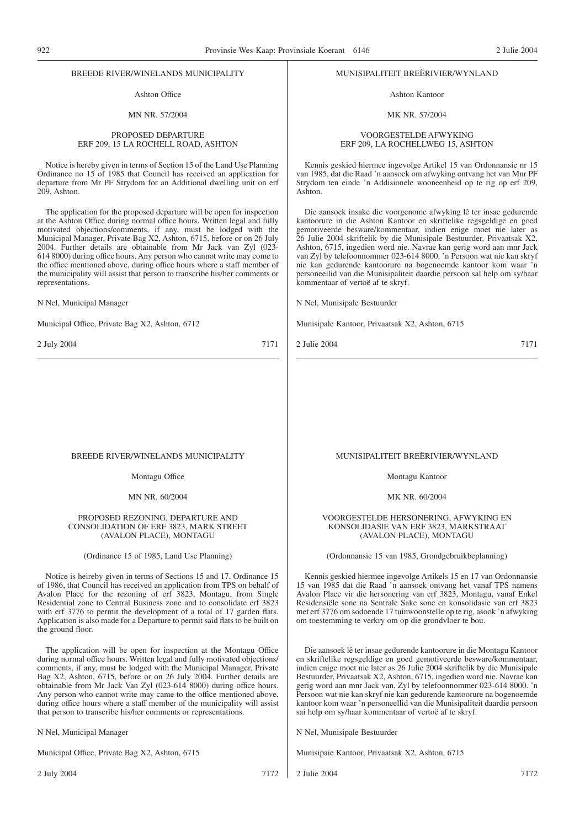### BREEDE RIVER/WINELANDS MUNICIPALITY

### Ashton Office

### MN NR. 57/2004

### PROPOSED DEPARTURE ERF 209, 15 LA ROCHELL ROAD, ASHTON

Notice is hereby given in terms of Section 15 of the Land Use Planning Ordinance no 15 of 1985 that Council has received an application for departure from Mr PF Strydom for an Additional dwelling unit on erf 209, Ashton.

The application for the proposed departure will be open for inspection at the Ashton Office during normal office hours. Written legal and fully motivated objections/comments, if any, must be lodged with the Municipal Manager, Private Bag X2, Ashton, 6715, before or on 26 July 2004. Further details are obtainable from Mr Jack van Zyl (023- 614 8000) during office hours. Any person who cannot write may come to the office mentioned above, during office hours where a staff member of the municipality will assist that person to transcribe his/her comments or representations.

N Nel, Municipal Manager

Municipal Office, Private Bag X2, Ashton, 6712

2 July 2004 7171

### MUNISIPALITEIT BREËRIVIER/WYNLAND

Ashton Kantoor

### MK NR. 57/2004

### VOORGESTELDE AFWYKING ERF 209, LA ROCHELLWEG 15, ASHTON

Kennis geskied hiermee ingevolge Artikel 15 van Ordonnansie nr 15 van 1985, dat die Raad 'n aansoek om afwyking ontvang het van Mnr PF Strydom ten einde 'n Addisionele wooneenheid op te rig op erf 209, Ashton.

Die aansoek insake die voorgenome afwyking lê ter insae gedurende kantoorure in die Ashton Kantoor en skriftelike regsgeldige en goed gemotiveerde besware/kommentaar, indien enige moet nie later as 26 Julie 2004 skriftelik by die Munisipale Bestuurder, Privaatsak X2, Ashton, 6715, ingedien word nie. Navrae kan gerig word aan mnr Jack van Zyl by telefoonnommer 023-614 8000. 'n Persoon wat nie kan skryf nie kan gedurende kantoorure na bogenoemde kantoor kom waar 'n personeellid van die Munisipaliteit daardie persoon sal help om sy/haar kommentaar of vertoë af te skryf.

N Nel, Munisipale Bestuurder

Munisipale Kantoor, Privaatsak X2, Ashton, 6715

2 Julie 2004 7171

### BREEDE RIVER/WINELANDS MUNICIPALITY

Montagu Office

MN NR. 60/2004

### PROPOSED REZONING, DEPARTURE AND CONSOLIDATION OF ERF 3823, MARK STREET (AVALON PLACE), MONTAGU

(Ordinance 15 of 1985, Land Use Planning)

Notice is heireby given in terms of Sections 15 and 17, Ordinance 15 of 1986, that Council has received an application from TPS on behalf of Avalon Place for the rezoning of erf 3823, Montagu, from Single Residential zone to Central Business zone and to consolidate erf 3823 with erf 3776 to permit the development of a total of 17 garden flats. Application is also made for a Departure to permit said flats to be built on the ground floor.

The application will be open for inspection at the Montagu Office during normal office hours. Written legal and fully motivated objections/ comments, if any, must be lodged with the Municipal Manager, Private Bag X2, Ashton, 6715, before or on 26 July 2004. Further details are obtainable from Mr Jack Van Zyl (023-614 8000) during office hours. Any person who cannot write may came to the office mentioned above, during office hours where a staff member of the municipality will assist that person to transcribe his/her comments or representations.

N Nel, Municipal Manager

Municipal Office, Private Bag X2, Ashton, 6715

2 July 2004 7172

MUNISIPALITEIT BREËRIVIER/WYNLAND

Montagu Kantoor

MK NR. 60/2004

VOORGESTELDE HERSONERING, AFWYKING EN KONSOLIDASlE VAN ERF 3823, MARKSTRAAT (AVALON PLACE), MONTAGU

(Ordonnansie 15 van 1985, Grondgebruikbeplanning)

Kennis geskied hiermee ingevolge Artikels 15 en 17 van Ordonnansie 15 van 1985 dat die Raad 'n aansoek ontvang het vanaf TPS namens Avalon Place vir die hersonering van erf 3823, Montagu, vanaf Enkel Residensiële sone na Sentrale Sake sone en konsolidasie van erf 3823 met erf 3776 om sodoende 17 tuinwoonstelle op te rig, asook 'n afwyking om toestemming te verkry om op die grondvloer te bou.

Die aansoek lê ter insae gedurende kantoorure in die Montagu Kantoor en skriftelike regsgeldige en goed gemotiveerde besware/kommentaar, indien enige moet nie later as 26 Julie 2004 skriftelik by die Munisipale Bestuurder, Privaatsak X2, Ashton, 6715, ingedien word nie. Navrae kan gerig word aan mnr Jack van, Zyl by telefoonnommer 023-614 8000. 'n Persoon wat nie kan skryf nie kan gedurende kantoorure na bogenoemde kantoor kom waar 'n personeellid van die Munisipaliteit daardie persoon sai help om sy/haar kommentaar of vertoë af te skryf.

N Nel, Munisipale Bestuurder

Munisipaie Kantoor, Privaatsak X2, Ashton, 6715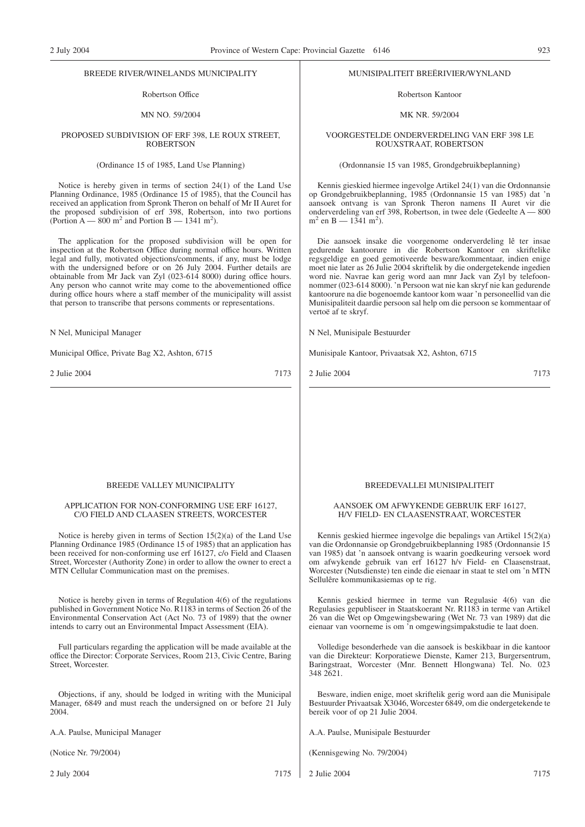### BREEDE RIVER/WINELANDS MUNICIPALITY

### Robertson Office

### MN NO. 59/2004

### PROPOSED SUBDIVISION OF ERF 398, LE ROUX STREET, ROBERTSON

### (Ordinance 15 of 1985, Land Use Planning)

Notice is hereby given in terms of section 24(1) of the Land Use Planning Ordinance, 1985 (Ordinance 15 of 1985), that the Council has received an application from Spronk Theron on behalf of Mr II Auret for the proposed subdivision of erf 398, Robertson, into two portions (Portion  $A = 800$  m<sup>2</sup> and Portion B  $- 1341$  m<sup>2</sup>).

The application for the proposed subdivision will be open for inspection at the Robertson Office during normal office hours. Written legal and fully, motivated objections/comments, if any, must be lodge with the undersigned before or on 26 July 2004. Further details are obtainable from Mr Jack van Zyl (023-614 8000) during office hours. Any person who cannot write may come to the abovementioned office during office hours where a staff member of the municipality will assist that person to transcribe that persons comments or representations.

N Nel, Municipal Manager

Municipal Office, Private Bag X2, Ashton, 6715

2 Julie 2004 7173

### BREEDE VALLEY MUNICIPALITY

### APPLICATION FOR NON-CONFORMING USE ERF 16127, C/O FIELD AND CLAASEN STREETS, WORCESTER

Notice is hereby given in terms of Section 15(2)(a) of the Land Use Planning Ordinance 1985 (Ordinance 15 of 1985) that an application has been received for non-conforming use erf 16127, c/o Field and Claasen Street, Worcester (Authority Zone) in order to allow the owner to erect a MTN Cellular Communication mast on the premises.

Notice is hereby given in terms of Regulation 4(6) of the regulations published in Government Notice No. R1183 in terms of Section 26 of the Environmental Conservation Act (Act No. 73 of 1989) that the owner intends to carry out an Environmental Impact Assessment (EIA).

Full particulars regarding the application will be made available at the office the Director: Corporate Services, Room 213, Civic Centre, Baring Street, Worcester.

Objections, if any, should be lodged in writing with the Municipal Manager, 6849 and must reach the undersigned on or before 21 July 2004.

A.A. Paulse, Municipal Manager

(Notice Nr. 79/2004)

2 July 2004 7175

### MUNISIPALITEIT BREËRIVIER/WYNLAND

Robertson Kantoor

### MK NR. 59/2004

### VOORGESTELDE ONDERVERDELING VAN ERF 398 LE ROUXSTRAAT, ROBERTSON

### (Ordonnansie 15 van 1985, Grondgebruikbeplanning)

Kennis gieskied hiermee ingevolge Artikel 24(1) van die Ordonnansie op Grondgebruikbeplanning, 1985 (Ordonnansie 15 van 1985) dat 'n aansoek ontvang is van Spronk Theron namens II Auret vir die onderverdeling van erf 398, Robertson, in twee dele (Gedeelte A — 800  $m^2$  en B — 1341 m<sup>2</sup>).

Die aansoek insake die voorgenome onderverdeling lê ter insae gedurende kantoorure in die Robertson Kantoor en skriftelike regsgeldige en goed gemotiveerde besware/kommentaar, indien enige moet nie later as 26 Julie 2004 skriftelik by die ondergetekende ingedien word nie. Navrae kan gerig word aan mnr Jack van Zyl by telefoonnommer (023-614 8000). 'n Persoon wat nie kan skryf nie kan gedurende kantoorure na die bogenoemde kantoor kom waar 'n personeellid van die Munisipaliteit daardie persoon sal help om die persoon se kommentaar of vertoë af te skryf.

N Nel, Munisipale Bestuurder

Munisipale Kantoor, Privaatsak X2, Ashton, 6715

2 Julie 2004 7173

### BREEDEVALLEI MUNISIPALITEIT

### AANSOEK OM AFWYKENDE GEBRUIK ERF 16127, H/V FIELD- EN CLAASENSTRAAT, WORCESTER

Kennis geskied hiermee ingevolge die bepalings van Artikel 15(2)(a) van die Ordonnansie op Grondgebruikbeplanning 1985 (Ordonnansie 15 van 1985) dat 'n aansoek ontvang is waarin goedkeuring versoek word om afwykende gebruik van erf 16127 h/v Field- en Claasenstraat, Worcester (Nutsdienste) ten einde die eienaar in staat te stel om 'n MTN Sellulêre kommunikasiemas op te rig.

Kennis geskied hiermee in terme van Regulasie 4(6) van die Regulasies gepubliseer in Staatskoerant Nr. R1183 in terme van Artikel 26 van die Wet op Omgewingsbewaring (Wet Nr. 73 van 1989) dat die eienaar van voorneme is om 'n omgewingsimpakstudie te laat doen.

Volledige besonderhede van die aansoek is beskikbaar in die kantoor van die Direkteur: Korporatiewe Dienste, Kamer 213, Burgersentrum, Baringstraat, Worcester (Mnr. Bennett Hlongwana) Tel. No. 023 348 2621.

Besware, indien enige, moet skriftelik gerig word aan die Munisipale Bestuurder Privaatsak X3046, Worcester 6849, om die ondergetekende te bereik voor of op 21 Julie 2004.

A.A. Paulse, Munisipale Bestuurder

(Kennisgewing No. 79/2004)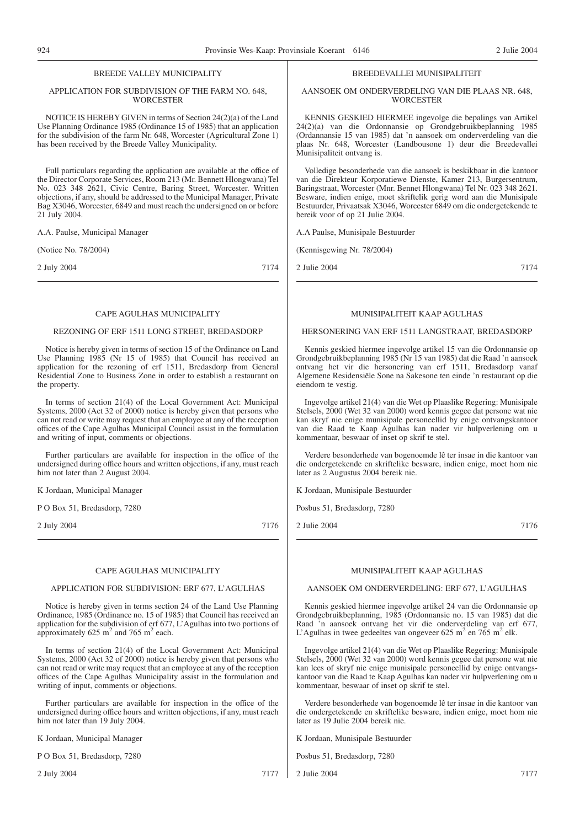### BREEDE VALLEY MUNICIPALITY

### APPLICATION FOR SUBDIVISION OF THE FARM NO. 648, **WORCESTER**

NOTICE IS HEREBY GIVEN in terms of Section 24(2)(a) of the Land Use Planning Ordinance 1985 (Ordinance 15 of 1985) that an application for the subdivision of the farm Nr. 648, Worcester (Agricultural Zone 1) has been received by the Breede Valley Municipality.

Full particulars regarding the application are available at the office of the Director Corporate Services, Room 213 (Mr. Bennett Hlongwana) Tel No. 023 348 2621, Civic Centre, Baring Street, Worcester. Written objections, if any, should be addressed to the Municipal Manager, Private Bag X3046, Worcester, 6849 and must reach the undersigned on or before 21 July 2004.

A.A. Paulse, Municipal Manager

(Notice No. 78/2004)

2 July 2004 7174

### CAPE AGULHAS MUNICIPALITY

### REZONING OF ERF 1511 LONG STREET, BREDASDORP

Notice is hereby given in terms of section 15 of the Ordinance on Land Use Planning 1985 (Nr 15 of 1985) that Council has received an application for the rezoning of erf 1511, Bredasdorp from General Residential Zone to Business Zone in order to establish a restaurant on the property.

In terms of section 21(4) of the Local Government Act: Municipal Systems, 2000 (Act 32 of 2000) notice is hereby given that persons who can not read or write may request that an employee at any of the reception offices of the Cape Agulhas Municipal Council assist in the formulation and writing of input, comments or objections.

Further particulars are available for inspection in the office of the undersigned during office hours and written objections, if any, must reach him not later than 2 August 2004.

K Jordaan, Municipal Manager

P O Box 51, Bredasdorp, 7280

2 July 2004 7176

### CAPE AGULHAS MUNICIPALITY

### APPLICATION FOR SUBDIVISION: ERF 677, L'AGULHAS

Notice is hereby given in terms section 24 of the Land Use Planning Ordinance, 1985 (Ordinance no. 15 of 1985) that Council has received an application for the subdivision of erf 677, L'Agulhas into two portions of approximately 625 m<sup>2</sup> and 765 m<sup>2</sup> each.

In terms of section 21(4) of the Local Government Act: Municipal Systems, 2000 (Act 32 of 2000) notice is hereby given that persons who can not read or write may request that an employee at any of the reception offices of the Cape Agulhas Municipality assist in the formulation and writing of input, comments or objections.

Further particulars are available for inspection in the office of the undersigned during office hours and written objections, if any, must reach him not later than 19 July 2004.

K Jordaan, Municipal Manager

P O Box 51, Bredasdorp, 7280

2 July 2004 7177

### BREEDEVALLEI MUNISIPALITEIT

### AANSOEK OM ONDERVERDELING VAN DIE PLAAS NR. 648, **WORCESTER**

KENNIS GESKIED HIERMEE ingevolge die bepalings van Artikel 24(2)(a) van die Ordonnansie op Grondgebruikbeplanning 1985 (Ordannansie 15 van 1985) dat 'n aansoek om onderverdeling van die plaas Nr. 648, Worcester (Landbousone 1) deur die Breedevallei Munisipaliteit ontvang is.

Volledige besonderhede van die aansoek is beskikbaar in die kantoor van die Direkteur Korporatiewe Dienste, Kamer 213, Burgersentrum, Baringstraat, Worcester (Mnr. Bennet Hlongwana) Tel Nr. 023 348 2621. Besware, indien enige, moet skriftelik gerig word aan die Munisipale Bestuurder, Privaatsak X3046, Worcester 6849 om die ondergetekende te bereik voor of op 21 Julie 2004.

A.A Paulse, Munisipale Bestuurder

(Kennisgewing Nr. 78/2004)

2 Julie 2004 7174

### MUNISIPALITEIT KAAP AGULHAS

### HERSONERING VAN ERF 1511 LANGSTRAAT, BREDASDORP

Kennis geskied hiermee ingevolge artikel 15 van die Ordonnansie op Grondgebruikbeplanning 1985 (Nr 15 van 1985) dat die Raad 'n aansoek ontvang het vir die hersonering van erf 1511, Bredasdorp vanaf Algemene Residensiële Sone na Sakesone ten einde 'n restaurant op die eiendom te vestig.

Ingevolge artikel 21(4) van die Wet op Plaaslike Regering: Munisipale Stelsels, 2000 (Wet 32 van 2000) word kennis gegee dat persone wat nie kan skryf nie enige munisipale personeellid by enige ontvangskantoor van die Raad te Kaap Agulhas kan nader vir hulpverlening om u kommentaar, beswaar of inset op skrif te stel.

Verdere besonderhede van bogenoemde lê ter insae in die kantoor van die ondergetekende en skriftelike besware, indien enige, moet hom nie later as 2 Augustus 2004 bereik nie.

K Jordaan, Munisipale Bestuurder

Posbus 51, Bredasdorp, 7280

2 Julie 2004 7176

### MUNISIPALITEIT KAAP AGULHAS

### AANSOEK OM ONDERVERDELING: ERF 677, L'AGULHAS

Kennis geskied hiermee ingevolge artikel 24 van die Ordonnansie op Grondgebruikbeplanning, 1985 (Ordonnansie no. 15 van 1985) dat die Raad 'n aansoek ontvang het vir die onderverdeling van erf 677, L'Agulhas in twee gedeeltes van ongeveer 625 m<sup>2</sup> en 765 m<sup>2</sup> elk.

Ingevolge artikel 21(4) van die Wet op Plaaslike Regering: Munisipale Stelsels, 2000 (Wet 32 van 2000) word kennis gegee dat persone wat nie kan lees of skryf nie enige munisipale personeellid by enige ontvangskantoor van die Raad te Kaap Agulhas kan nader vir hulpverlening om u kommentaar, beswaar of inset op skrif te stel.

Verdere besonderhede van bogenoemde lê ter insae in die kantoor van die ondergetekende en skriftelike besware, indien enige, moet hom nie later as 19 Julie 2004 bereik nie.

K Jordaan, Munisipale Bestuurder

Posbus 51, Bredasdorp, 7280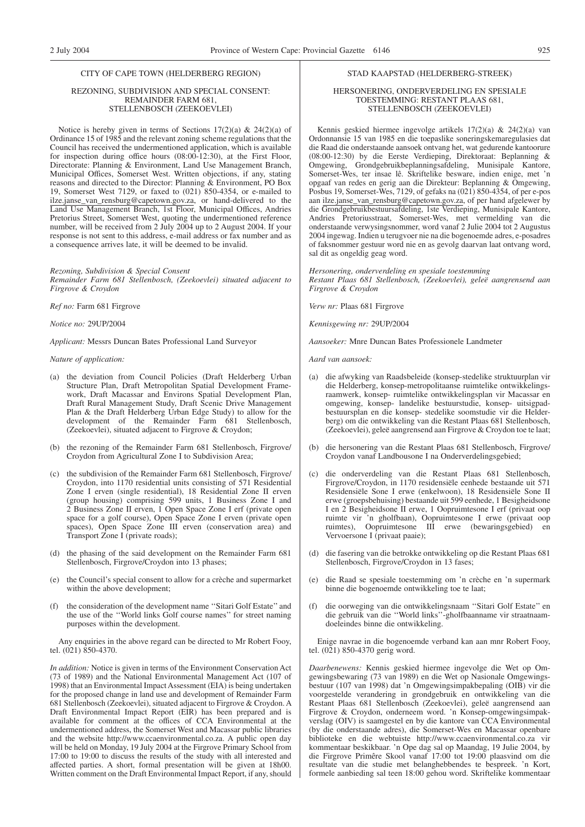### CITY OF CAPE TOWN (HELDERBERG REGION)

### REZONING, SUBDIVISION AND SPECIAL CONSENT: REMAINDER FARM 681, STELLENBOSCH (ZEEKOEVLEI)

Notice is hereby given in terms of Sections  $17(2)(a)$  &  $24(2)(a)$  of Ordinance 15 of 1985 and the relevant zoning scheme regulations that the Council has received the undermentioned application, which is available for inspection during office hours (08:00-12:30), at the First Floor, Directorate: Planning & Environment, Land Use Management Branch, Municipal Offices, Somerset West. Written objections, if any, stating reasons and directed to the Director: Planning & Environment, PO Box 19, Somerset West 7129, or faxed to (021) 850-4354, or e-mailed to ilze.janse\_van\_rensburg@capetown.gov.za, or hand-delivered to the Land Use Management Branch, 1st Floor, Municipal Offices, Andries Pretorius Street, Somerset West, quoting the undermentioned reference number, will be received from 2 July 2004 up to 2 August 2004. If your response is not sent to this address, e-mail address or fax number and as a consequence arrives late, it will be deemed to be invalid.

### *Rezoning, Subdivision & Special Consent*

*Remainder Farm 681 Stellenbosch, (Zeekoevlei) situated adjacent to Firgrove & Croydon*

*Ref no:* Farm 681 Firgrove

*Notice no:* 29UP/2004

*Applicant:* Messrs Duncan Bates Professional Land Surveyor

### *Nature of application:*

- (a) the deviation from Council Policies (Draft Helderberg Urban Structure Plan, Draft Metropolitan Spatial Development Framework, Draft Macassar and Environs Spatial Development Plan, Draft Rural Management Study, Draft Scenic Drive Management Plan & the Draft Helderberg Urban Edge Study) to allow for the development of the Remainder Farm 681 Stellenbosch, (Zeekoevlei), situated adjacent to Firgrove & Croydon;
- (b) the rezoning of the Remainder Farm 681 Stellenbosch, Firgrove/ Croydon from Agricultural Zone I to Subdivision Area;
- (c) the subdivision of the Remainder Farm 681 Stellenbosch, Firgrove/ Croydon, into 1170 residential units consisting of 571 Residential Zone I erven (single residential), 18 Residential Zone II erven (group housing) comprising 599 units, 1 Business Zone I and 2 Business Zone II erven, 1 Open Space Zone I erf (private open space for a golf course), Open Space Zone I erven (private open spaces), Open Space Zone III erven (conservation area) and Transport Zone I (private roads);
- (d) the phasing of the said development on the Remainder Farm 681 Stellenbosch, Firgrove/Croydon into 13 phases;
- (e) the Council's special consent to allow for a crèche and supermarket within the above development;
- (f) the consideration of the development name ''Sitari Golf Estate'' and the use of the ''World links Golf course names'' for street naming purposes within the development.

Any enquiries in the above regard can be directed to Mr Robert Fooy, tel. (021) 850-4370.

*In addition:* Notice is given in terms of the Environment Conservation Act (73 of 1989) and the National Environmental Management Act (107 of 1998) that an Environmental Impact Assessment (EIA) is being undertaken for the proposed change in land use and development of Remainder Farm 681 Stellenbosch (Zeekoevlei), situated adjacent to Firgrove & Croydon. A Draft Environmental Impact Report (EIR) has been prepared and is available for comment at the offices of CCA Environmental at the undermentioned address, the Somerset West and Macassar public libraries and the website http://www.ccaenvironmental.co.za. A public open day will be held on Monday, 19 July 2004 at the Firgrove Primary School from 17:00 to 19:00 to discuss the results of the study with all interested and affected parties. A short, formal presentation will be given at 18h00. Written comment on the Draft Environmental Impact Report, if any, should

### STAD KAAPSTAD (HELDERBERG-STREEK)

### HERSONERING, ONDERVERDELING EN SPESIALE TOESTEMMING: RESTANT PLAAS 681, STELLENBOSCH (ZEEKOEVLEI)

Kennis geskied hiermee ingevolge artikels 17(2)(a) & 24(2)(a) van Ordonnansie 15 van 1985 en die toepaslike soneringskemaregulasies dat die Raad die onderstaande aansoek ontvang het, wat gedurende kantoorure (08:00-12:30) by die Eerste Verdieping, Direktoraat: Beplanning & Omgewing, Grondgebruikbeplanningsafdeling, Munisipale Kantore, Somerset-Wes, ter insae lê. Skriftelike besware, indien enige, met 'n opgaaf van redes en gerig aan die Direkteur: Beplanning & Omgewing, Posbus 19, Somerset-Wes, 7129, of gefaks na (021) 850-4354, of per e-pos aan ilze.janse\_van\_rensburg@capetown.gov.za, of per hand afgelewer by die Grondgebruikbestuursafdeling, 1ste Verdieping, Munisipale Kantore, Andries Pretoriusstraat, Somerset-Wes, met vermelding van die onderstaande verwysingsnommer, word vanaf 2 Julie 2004 tot 2 Augustus 2004 ingewag. Indien u terugvoer nie na die bogenoemde adres, e-posadres of faksnommer gestuur word nie en as gevolg daarvan laat ontvang word, sal dit as ongeldig geag word.

*Hersonering, onderverdeling en spesiale toestemming*

*Restant Plaas 681 Stellenbosch, (Zeekoevlei), geleë aangrensend aan Firgrove & Croydon*

*Verw nr:* Plaas 681 Firgrove

*Kennisgewing nr:* 29UP/2004

*Aansoeker:* Mnre Duncan Bates Professionele Landmeter

*Aard van aansoek:*

- (a) die afwyking van Raadsbeleide (konsep-stedelike struktuurplan vir die Helderberg, konsep-metropolitaanse ruimtelike ontwikkelingsraamwerk, konsep- ruimtelike ontwikkelingsplan vir Macassar en omgewing, konsep- landelike bestuurstudie, konsep- uitsigpadbestuursplan en die konsep- stedelike soomstudie vir die Helderberg) om die ontwikkeling van die Restant Plaas 681 Stellenbosch, (Zeekoevlei), geleë aangrensend aan Firgrove & Croydon toe te laat;
- (b) die hersonering van die Restant Plaas 681 Stellenbosch, Firgrove/ Croydon vanaf Landbousone I na Onderverdelingsgebied;
- (c) die onderverdeling van die Restant Plaas 681 Stellenbosch, Firgrove/Croydon, in 1170 residensiële eenhede bestaande uit 571 Residensiële Sone I erwe (enkelwoon), 18 Residensiële Sone II erwe (groepsbehuising) bestaande uit 599 eenhede, 1 Besigheidsone I en 2 Besigheidsone II erwe, 1 Oopruimtesone I erf (privaat oop ruimte vir 'n gholfbaan), Oopruimtesone I erwe (privaat oop ruimtes), Oopruimtesone III erwe (bewaringsgebied) en Vervoersone I (privaat paaie);
- (d) die fasering van die betrokke ontwikkeling op die Restant Plaas 681 Stellenbosch, Firgrove/Croydon in 13 fases;
- (e) die Raad se spesiale toestemming om 'n crèche en 'n supermark binne die bogenoemde ontwikkeling toe te laat;
- (f) die oorweging van die ontwikkelingsnaam ''Sitari Golf Estate'' en die gebruik van die ''World links''-gholfbaanname vir straatnaamdoeleindes binne die ontwikkeling.

Enige navrae in die bogenoemde verband kan aan mnr Robert Fooy, tel. (021) 850-4370 gerig word.

*Daarbenewens:* Kennis geskied hiermee ingevolge die Wet op Omgewingsbewaring (73 van 1989) en die Wet op Nasionale Omgewingsbestuur (107 van 1998) dat 'n Omgewingsimpakbepaling (OIB) vir die voorgestelde verandering in grondgebruik en ontwikkeling van die Restant Plaas 681 Stellenbosch (Zeekoevlei), geleë aangrensend aan Firgrove & Croydon, onderneem word. 'n Konsep-omgewingsimpakverslag (OIV) is saamgestel en by die kantore van CCA Environmental (by die onderstaande adres), die Somerset-Wes en Macassar openbare biblioteke en die webtuiste http://www.ccaenvironmental.co.za vir kommentaar beskikbaar. 'n Ope dag sal op Maandag, 19 Julie 2004, by die Firgrove Primêre Skool vanaf 17:00 tot 19:00 plaasvind om die resultate van die studie met belanghebbendes te bespreek. 'n Kort, formele aanbieding sal teen 18:00 gehou word. Skriftelike kommentaar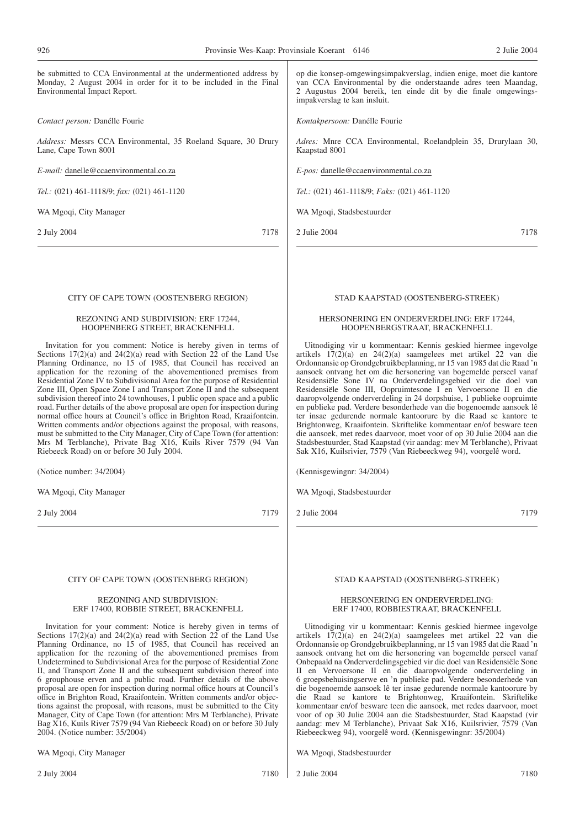be submitted to CCA Environmental at the undermentioned address by Monday, 2 August 2004 in order for it to be included in the Final Environmental Impact Report.

*Contact person:* Danélle Fourie

*Address:* Messrs CCA Environmental, 35 Roeland Square, 30 Drury Lane, Cape Town 8001

*E-mail:* danelle@ccaenvironmental.co.za

*Tel.:* (021) 461-1118/9; *fax:* (021) 461-1120

WA Mgoqi, City Manager

2 July 2004 7178

op die konsep-omgewingsimpakverslag, indien enige, moet die kantore van CCA Environmental by die onderstaande adres teen Maandag, 2 Augustus 2004 bereik, ten einde dit by die finale omgewingsimpakverslag te kan insluit.

*Kontakpersoon:* Danélle Fourie

*Adres:* Mnre CCA Environmental, Roelandplein 35, Drurylaan 30, Kaapstad 8001

*E-pos:* danelle@ccaenvironmental.co.za

*Tel.:* (021) 461-1118/9; *Faks:* (021) 461-1120

WA Mgoqi, Stadsbestuurder

2 Julie 2004 7178

### CITY OF CAPE TOWN (OOSTENBERG REGION)

### REZONING AND SUBDIVISION: ERF 17244, HOOPENBERG STREET, BRACKENFELL

Invitation for you comment: Notice is hereby given in terms of Sections 17(2)(a) and 24(2)(a) read with Section 22 of the Land Use Planning Ordinance, no 15 of 1985, that Council has received an application for the rezoning of the abovementioned premises from Residential Zone IV to Subdivisional Area for the purpose of Residential Zone III, Open Space Zone I and Transport Zone II and the subsequent subdivision thereof into 24 townhouses, 1 public open space and a public road. Further details of the above proposal are open for inspection during normal office hours at Council's office in Brighton Road, Kraaifontein. Written comments and/or objections against the proposal, with reasons, must be submitted to the City Manager, City of Cape Town (for attention: Mrs M Terblanche), Private Bag X16, Kuils River 7579 (94 Van Riebeeck Road) on or before 30 July 2004.

(Notice number: 34/2004)

WA Mgoqi, City Manager

2 July 2004 7179

### CITY OF CAPE TOWN (OOSTENBERG REGION)

### REZONING AND SUBDIVISION: ERF 17400, ROBBIE STREET, BRACKENFELL

Invitation for your comment: Notice is hereby given in terms of Sections 17(2)(a) and 24(2)(a) read with Section 22 of the Land Use Planning Ordinance, no 15 of 1985, that Council has received an application for the rezoning of the abovementioned premises from Undetermined to Subdivisional Area for the purpose of Residential Zone II, and Transport Zone II and the subsequent subdivision thereof into 6 grouphouse erven and a public road. Further details of the above proposal are open for inspection during normal office hours at Council's office in Brighton Road, Kraaifontein. Written comments and/or objections against the proposal, with reasons, must be submitted to the City Manager, City of Cape Town (for attention: Mrs M Terblanche), Private Bag X16, Kuils River 7579 (94 Van Riebeeck Road) on or before 30 July 2004. (Notice number: 35/2004)

WA Mgoqi, City Manager

STAD KAAPSTAD (OOSTENBERG-STREEK)

### HERSONERING EN ONDERVERDELING: ERF 17244, HOOPENBERGSTRAAT, BRACKENFELL

Uitnodiging vir u kommentaar: Kennis geskied hiermee ingevolge artikels 17(2)(a) en 24(2)(a) saamgelees met artikel 22 van die Ordonnansie op Grondgebruikbeplanning, nr 15 van 1985 dat die Raad 'n aansoek ontvang het om die hersonering van bogemelde perseel vanaf Residensiële Sone IV na Onderverdelingsgebied vir die doel van Residensiële Sone III, Oopruimtesone I en Vervoersone II en die daaropvolgende onderverdeling in 24 dorpshuise, 1 publieke oopruimte en publieke pad. Verdere besonderhede van die bogenoemde aansoek lê ter insae gedurende normale kantoorure by die Raad se kantore te Brightonweg, Kraaifontein. Skriftelike kommentaar en/of besware teen die aansoek, met redes daarvoor, moet voor of op 30 Julie 2004 aan die Stadsbestuurder, Stad Kaapstad (vir aandag: mev M Terblanche), Privaat Sak X16, Kuilsrivier, 7579 (Van Riebeeckweg 94), voorgelê word.

(Kennisgewingnr: 34/2004)

WA Mgoqi, Stadsbestuurder

2 Julie 2004 7179

### STAD KAAPSTAD (OOSTENBERG-STREEK)

### HERSONERING EN ONDERVERDELING: ERF 17400, ROBBIESTRAAT, BRACKENFELL

Uitnodiging vir u kommentaar: Kennis geskied hiermee ingevolge artikels 17(2)(a) en 24(2)(a) saamgelees met artikel 22 van die Ordonnansie op Grondgebruikbeplanning, nr 15 van 1985 dat die Raad 'n aansoek ontvang het om die hersonering van bogemelde perseel vanaf Onbepaald na Onderverdelingsgebied vir die doel van Residensiële Sone II en Vervoersone II en die daaropvolgende onderverdeling in 6 groepsbehuisingserwe en 'n publieke pad. Verdere besonderhede van die bogenoemde aansoek lê ter insae gedurende normale kantoorure by die Raad se kantore te Brightonweg, Kraaifontein. Skriftelike kommentaar en/of besware teen die aansoek, met redes daarvoor, moet voor of op 30 Julie 2004 aan die Stadsbestuurder, Stad Kaapstad (vir aandag: mev M Terblanche), Privaat Sak X16, Kuilsrivier, 7579 (Van Riebeeckweg 94), voorgelê word. (Kennisgewingnr: 35/2004)

WA Mgoqi, Stadsbestuurder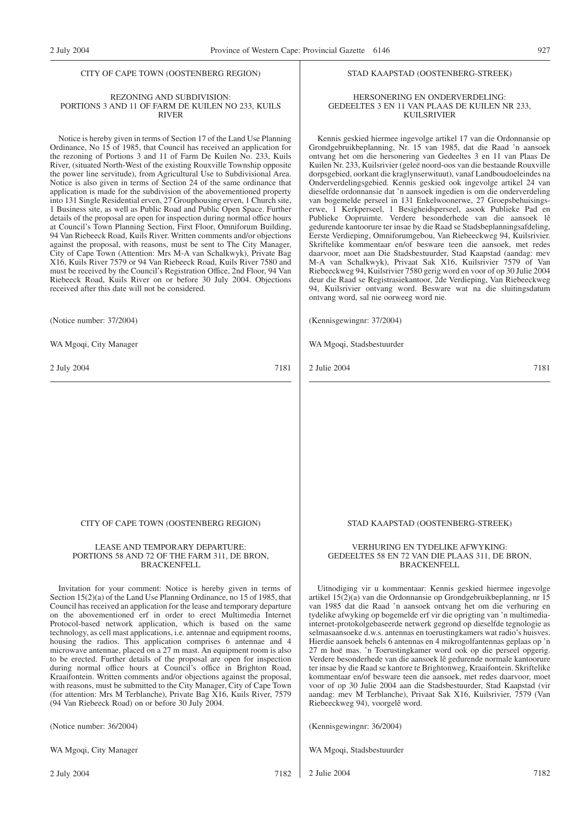### CITY OF CAPE TOWN (OOSTENBERG REGION)

### REZONING AND SUBDIVISION: PORTIONS 3 AND 11 OF FARM DE KUILEN NO 233, KUILS RIVER

Notice is hereby given in terms of Section 17 of the Land Use Planning Ordinance, No 15 of 1985, that Council has received an application for the rezoning of Portions 3 and 11 of Farm De Kuilen No. 233, Kuils River, (situated North-West of the existing Rouxville Township opposite the power line servitude), from Agricultural Use to Subdivisional Area. Notice is also given in terms of Section 24 of the same ordinance that application is made for the subdivision of the abovementioned property into 131 Single Residential erven, 27 Grouphousing erven, 1 Church site, 1 Business site, as well as Public Road and Public Open Space. Further details of the proposal are open for inspection during normal office hours at Council's Town Planning Section, First Floor, Omniforum Building, 94 Van Riebeeck Road, Kuils River. Written comments and/or objections against the proposal, with reasons, must be sent to The City Manager, City of Cape Town (Attention: Mrs M-A van Schalkwyk), Private Bag X16, Kuils River 7579 or 94 Van Riebeeck Road, Kuils River 7580 and must be received by the Council's Registration Office, 2nd Floor, 94 Van Riebeeck Road, Kuils River on or before 30 July 2004. Objections received after this date will not be considered.

(Notice number: 37/2004)

WA Mgoqi, City Manager

2 July 2004 7181

### STAD KAAPSTAD (OOSTENBERG-STREEK)

### HERSONERING EN ONDERVERDELING: GEDEELTES 3 EN 11 VAN PLAAS DE KUILEN NR 233, KUILSRIVIER

Kennis geskied hiermee ingevolge artikel 17 van die Ordonnansie op Grondgebruikbeplanning, Nr. 15 van 1985, dat die Raad 'n aansoek ontvang het om die hersonering van Gedeeltes 3 en 11 van Plaas De Kuilen Nr. 233, Kuilsrivier (geleë noord-oos van die bestaande Rouxville dorpsgebied, oorkant die kraglynserwituut), vanaf Landboudoeleindes na Onderverdelingsgebied. Kennis geskied ook ingevolge artikel 24 van dieselfde ordonnansie dat 'n aansoek ingedien is om die onderverdeling van bogemelde perseel in 131 Enkelwoonerwe, 27 Groepsbehuisingserwe, 1 Kerkperseel, 1 Besigheidsperseel, asook Publieke Pad en Publieke Oopruimte. Verdere besonderhede van die aansoek lê gedurende kantoorure ter insae by die Raad se Stadsbeplanningsafdeling, Eerste Verdieping, Omniforumgebou, Van Riebeeckweg 94, Kuilsrivier. Skriftelike kommentaar en/of besware teen die aansoek, met redes daarvoor, moet aan Die Stadsbestuurder, Stad Kaapstad (aandag: mev M-A van Schalkwyk), Privaat Sak X16, Kuilsrivier 7579 of Van Riebeeckweg 94, Kuilsrivier 7580 gerig word en voor of op 30 Julie 2004 deur die Raad se Registrasiekantoor, 2de Verdieping, Van Riebeeckweg 94, Kuilsrivier ontvang word. Besware wat na die sluitingsdatum ontvang word, sal nie oorweeg word nie.

(Kennisgewingnr: 37/2004)

WA Mgoqi, Stadsbestuurder

2 Julie 2004 7181

CITY OF CAPE TOWN (OOSTENBERG REGION)

### LEASE AND TEMPORARY DEPARTURE: PORTIONS 58 AND 72 OF THE FARM 311, DE BRON, BRACKENFELL

Invitation for your comment: Notice is hereby given in terms of Section 15(2)(a) of the Land Use Planning Ordinance, no 15 of 1985, that Council has received an application for the lease and temporary departure on the abovementioned erf in order to erect Multimedia Internet Protocol-based network application, which is based on the same technology, as cell mast applications, i.e. antennae and equipment rooms, housing the radios. This application comprises 6 antennae and 4 microwave antennae, placed on a 27 m mast. An equipment room is also to be erected. Further details of the proposal are open for inspection during normal office hours at Council's office in Brighton Road, Kraaifontein. Written comments and/or objections against the proposal, with reasons, must be submitted to the City Manager, City of Cape Town (for attention: Mrs M Terblanche), Private Bag X16, Kuils River, 7579 (94 Van Riebeeck Road) on or before 30 July 2004.

(Notice number: 36/2004)

WA Mgoqi, City Manager

2 July 2004 7182

STAD KAAPSTAD (OOSTENBERG-STREEK)

### VERHURING EN TYDELIKE AFWYKING: GEDEELTES 58 EN 72 VAN DIE PLAAS 311, DE BRON, BRACKENFELL

Uitnodiging vir u kommentaar: Kennis geskied hiermee ingevolge artikel 15(2)(a) van die Ordonnansie op Grondgebruikbeplanning, nr 15 van 1985 dat die Raad 'n aansoek ontvang het om die verhuring en tydelike afwyking op bogemelde erf vir die oprigting van 'n multimediainternet-protokolgebaseerde netwerk gegrond op dieselfde tegnologie as selmasaansoeke d.w.s. antennas en toerustingkamers wat radio's huisves. Hierdie aansoek behels 6 antennas en 4 mikrogolfantennas geplaas op 'n 27 m hoë mas. 'n Toerustingkamer word ook op die perseel opgerig. Verdere besonderhede van die aansoek lê gedurende normale kantoorure ter insae by die Raad se kantore te Brightonweg, Kraaifontein. Skriftelike kommentaar en/of besware teen die aansoek, met redes daarvoor, moet voor of op 30 Julie 2004 aan die Stadsbestuurder, Stad Kaapstad (vir aandag: mev M Terblanche), Privaat Sak X16, Kuilsrivier, 7579 (Van Riebeeckweg 94), voorgelê word.

(Kennisgewingnr: 36/2004)

WA Mgoqi, Stadsbestuurder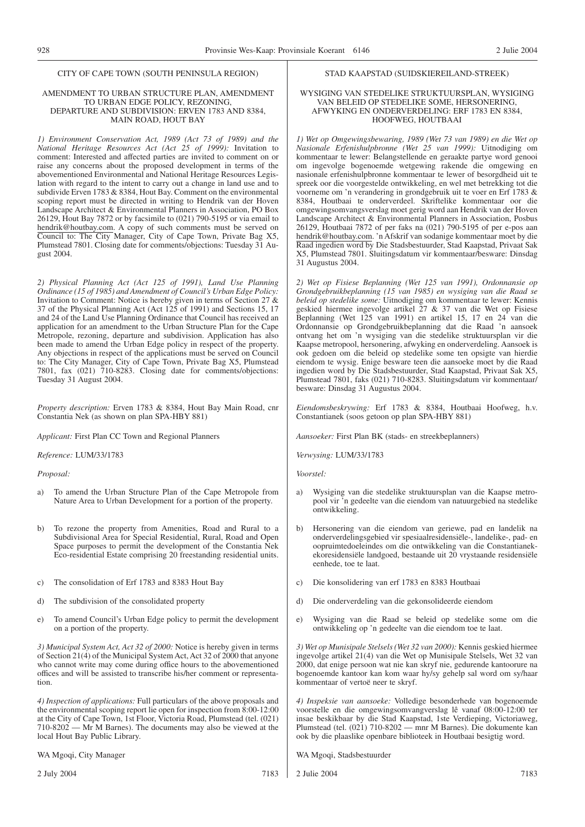### AMENDMENT TO URBAN STRUCTURE PLAN, AMENDMENT TO URBAN EDGE POLICY, REZONING, DEPARTURE AND SUBDIVISION: ERVEN 1783 AND 8384, MAIN ROAD, HOUT BAY

*1) Environment Conservation Act, 1989 (Act 73 of 1989) and the National Heritage Resources Act (Act 25 of 1999):* Invitation to comment: Interested and affected parties are invited to comment on or raise any concerns about the proposed development in terms of the abovementioned Environmental and National Heritage Resources Legislation with regard to the intent to carry out a change in land use and to subdivide Erven 1783 & 8384, Hout Bay. Comment on the environmental scoping report must be directed in writing to Hendrik van der Hoven Landscape Architect & Environmental Planners in Association, PO Box 26129, Hout Bay 7872 or by facsimile to (021) 790-5195 or via email to hendrik@houtbay.com. A copy of such comments must be served on Council to: The City Manager, City of Cape Town, Private Bag X5, Plumstead 7801. Closing date for comments/objections: Tuesday 31 August 2004.

*2) Physical Planning Act (Act 125 of 1991), Land Use Planning Ordinance (15 of 1985) and Amendment of Council's Urban Edge Policy:* Invitation to Comment: Notice is hereby given in terms of Section 27 & 37 of the Physical Planning Act (Act 125 of 1991) and Sections 15, 17 and 24 of the Land Use Planning Ordinance that Council has received an application for an amendment to the Urban Structure Plan for the Cape Metropole, rezoning, departure and subdivision. Application has also been made to amend the Urban Edge policy in respect of the property. Any objections in respect of the applications must be served on Council to: The City Manager, City of Cape Town, Private Bag X5, Plumstead 7801, fax (021) 710-8283. Closing date for comments/objections: Tuesday 31 August 2004.

*Property description:* Erven 1783 & 8384, Hout Bay Main Road, cnr Constantia Nek (as shown on plan SPA-HBY 881)

*Applicant:* First Plan CC Town and Regional Planners

*Reference:* LUM/33/1783

*Proposal:*

- a) To amend the Urban Structure Plan of the Cape Metropole from Nature Area to Urban Development for a portion of the property.
- b) To rezone the property from Amenities, Road and Rural to a Subdivisional Area for Special Residential, Rural, Road and Open Space purposes to permit the development of the Constantia Nek Eco-residential Estate comprising 20 freestanding residential units.
- c) The consolidation of Erf 1783 and 8383 Hout Bay
- d) The subdivision of the consolidated property
- e) To amend Council's Urban Edge policy to permit the development on a portion of the property.

*3) Municipal System Act, Act 32 of 2000:* Notice is hereby given in terms of Section 21(4) of the Municipal System Act, Act 32 of 2000 that anyone who cannot write may come during office hours to the abovementioned offices and will be assisted to transcribe his/her comment or representation.

*4) Inspection of applications:* Full particulars of the above proposals and the environmental scoping report lie open for inspection from 8:00-12:00 at the City of Cape Town, 1st Floor, Victoria Road, Plumstead (tel. (021) 710-8202 — Mr M Barnes). The documents may also be viewed at the local Hout Bay Public Library.

WA Mgoqi, City Manager

2 July 2004 7183

### STAD KAAPSTAD (SUIDSKIEREILAND-STREEK)

### WYSIGING VAN STEDELIKE STRUKTUURSPLAN, WYSIGING VAN BELEID OP STEDELIKE SOME, HERSONERING, AFWYKING EN ONDERVERDELING: ERF 1783 EN 8384, HOOFWEG, HOUTBAAI

*1) Wet op Omgewingsbewaring, 1989 (Wet 73 van 1989) en die Wet op Nasionale Erfenishulpbronne (Wet 25 van 1999):* Uitnodiging om kommentaar te lewer: Belangstellende en geraakte partye word genooi om ingevolge bogenoemde wetgewing rakende die omgewing en nasionale erfenishulpbronne kommentaar te lewer of besorgdheid uit te spreek oor die voorgestelde ontwikkeling, en wel met betrekking tot die voorneme om 'n verandering in grondgebruik uit te voer en Erf 1783 & 8384, Houtbaai te onderverdeel. Skriftelike kommentaar oor die omgewingsomvangsverslag moet gerig word aan Hendrik van der Hoven Landscape Architect & Environmental Planners in Association, Posbus 26129, Houtbaai 7872 of per faks na (021) 790-5195 of per e-pos aan hendrik@houtbay.com. 'n Afskrif van sodanige kommentaar moet by die Raad ingedien word by Die Stadsbestuurder, Stad Kaapstad, Privaat Sak X5, Plumstead 7801. Sluitingsdatum vir kommentaar/besware: Dinsdag 31 Augustus 2004.

*2) Wet op Fisiese Beplanning (Wet 125 van 1991), Ordonnansie op Grondgebruikbeplanning (15 van 1985) en wysiging van die Raad se beleid op stedelike some:* Uitnodiging om kommentaar te lewer: Kennis geskied hiermee ingevolge artikel 27 & 37 van die Wet op Fisiese Beplanning (Wet 125 van 1991) en artikel 15, 17 en 24 van die Ordonnansie op Grondgebruikbeplanning dat die Raad 'n aansoek ontvang het om 'n wysiging van die stedelike struktuursplan vir die Kaapse metropool, hersonering, afwyking en onderverdeling. Aansoek is ook gedoen om die beleid op stedelike some ten opsigte van hierdie eiendom te wysig. Enige besware teen die aansoeke moet by die Raad ingedien word by Die Stadsbestuurder, Stad Kaapstad, Privaat Sak X5, Plumstead 7801, faks (021) 710-8283. Sluitingsdatum vir kommentaar/ besware: Dinsdag 31 Augustus 2004.

*Eiendomsbeskrywing:* Erf 1783 & 8384, Houtbaai Hoofweg, h.v. Constantianek (soos getoon op plan SPA-HBY 881)

*Aansoeker:* First Plan BK (stads- en streekbeplanners)

*Verwysing:* LUM/33/1783

*Voorstel:*

- a) Wysiging van die stedelike struktuursplan van die Kaapse metropool vir 'n gedeelte van die eiendom van natuurgebied na stedelike ontwikkeling.
- b) Hersonering van die eiendom van geriewe, pad en landelik na onderverdelingsgebied vir spesiaalresidensiële-, landelike-, pad- en oopruimtedoeleindes om die ontwikkeling van die Constantianekekoresidensiële landgoed, bestaande uit 20 vrystaande residensiële eenhede, toe te laat.
- c) Die konsolidering van erf 1783 en 8383 Houtbaai
- d) Die onderverdeling van die gekonsolideerde eiendom
- e) Wysiging van die Raad se beleid op stedelike some om die ontwikkeling op 'n gedeelte van die eiendom toe te laat.

*3) Wet op Munisipale Stelsels (Wet 32 van 2000):* Kennis geskied hiermee ingevolge artikel 21(4) van die Wet op Munisipale Stelsels, Wet 32 van 2000, dat enige persoon wat nie kan skryf nie, gedurende kantoorure na bogenoemde kantoor kan kom waar hy/sy gehelp sal word om sy/haar kommentaar of vertoë neer te skryf.

*4) Inspeksie van aansoeke:* Volledige besonderhede van bogenoemde voorstelle en die omgewingsomvangverslag lê vanaf 08:00-12:00 ter insae beskikbaar by die Stad Kaapstad, 1ste Verdieping, Victoriaweg, Plumstead (tel. (021) 710-8202 — mnr M Barnes). Die dokumente kan ook by die plaaslike openbare biblioteek in Houtbaai besigtig word.

WA Mgoqi, Stadsbestuurder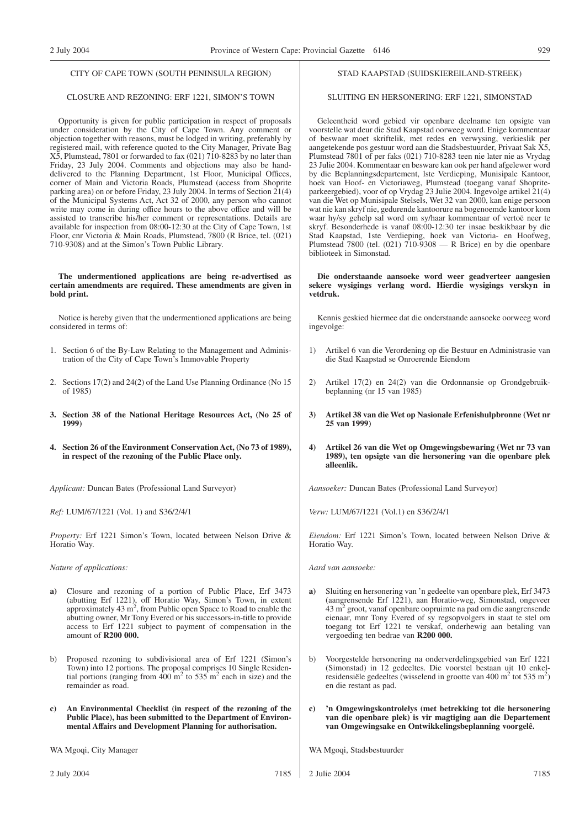### CLOSURE AND REZONING: ERF 1221, SIMON'S TOWN

Opportunity is given for public participation in respect of proposals under consideration by the City of Cape Town. Any comment or objection together with reasons, must be lodged in writing, preferably by registered mail, with reference quoted to the City Manager, Private Bag X5, Plumstead, 7801 or forwarded to fax (021) 710-8283 by no later than Friday, 23 July 2004. Comments and objections may also be handdelivered to the Planning Department, 1st Floor, Municipal Offices, corner of Main and Victoria Roads, Plumstead (access from Shoprite parking area) on or before Friday, 23 July 2004. In terms of Section 21(4) of the Municipal Systems Act, Act 32 of 2000, any person who cannot write may come in during office hours to the above office and will be assisted to transcribe his/her comment or representations. Details are available for inspection from 08:00-12:30 at the City of Cape Town, 1st Floor, cnr Victoria & Main Roads, Plumstead, 7800 (R Brice, tel. (021) 710-9308) and at the Simon's Town Public Library.

### **The undermentioned applications are being re-advertised as certain amendments are required. These amendments are given in bold print.**

Notice is hereby given that the undermentioned applications are being considered in terms of:

- 1. Section 6 of the By-Law Relating to the Management and Administration of the City of Cape Town's Immovable Property
- 2. Sections 17(2) and 24(2) of the Land Use Planning Ordinance (No 15 of 1985)
- **3. Section 38 of the National Heritage Resources Act, (No 25 of 1999)**
- **4. Section 26 of the Environment Conservation Act, (No 73 of 1989), in respect of the rezoning of the Public Place only.**

*Applicant:* Duncan Bates (Professional Land Surveyor)

*Ref:* LUM/67/1221 (Vol. 1) and S36/2/4/1

*Property:* Erf 1221 Simon's Town, located between Nelson Drive & Horatio Way.

*Nature of applications:*

- **a)** Closure and rezoning of a portion of Public Place, Erf 3473 (abutting Erf 1221), off Horatio Way, Simon's Town, in extent approximately 43 m<sup>2</sup>, from Public open Space to Road to enable the abutting owner, Mr Tony Evered or his successors-in-title to provide access to Erf 1221 subject to payment of compensation in the amount of **R200 000.**
- b) Proposed rezoning to subdivisional area of Erf 1221 (Simon's Town) into 12 portions. The proposal comprises 10 Single Residential portions (ranging from  $400 \text{ m}^2$  to  $535 \text{ m}^2$  each in size) and the remainder as road.
- **c) An Environmental Checklist (in respect of the rezoning of the** Public Place), has been submitted to the Department of Environ**mental Affairs and Development Planning for authorisation.**

WA Mgoqi, City Manager

### STAD KAAPSTAD (SUIDSKIEREILAND-STREEK)

### SLUITING EN HERSONERING: ERF 1221, SIMONSTAD

Geleentheid word gebied vir openbare deelname ten opsigte van voorstelle wat deur die Stad Kaapstad oorweeg word. Enige kommentaar of beswaar moet skriftelik, met redes en verwysing, verkieslik per aangetekende pos gestuur word aan die Stadsbestuurder, Privaat Sak X5, Plumstead 7801 of per faks (021) 710-8283 teen nie later nie as Vrydag 23 Julie 2004. Kommentaar en besware kan ook per hand afgelewer word by die Beplanningsdepartement, lste Verdieping, Munisipale Kantoor, hoek van Hoof- en Victoriaweg, Plumstead (toegang vanaf Shopriteparkeergebied), voor of op Vrydag 23 Julie 2004. Ingevolge artikel 21(4) van die Wet op Munisipale Stelsels, Wet 32 van 2000, kan enige persoon wat nie kan skryf nie, gedurende kantoorure na bogenoemde kantoor kom waar hy/sy gehelp sal word om sy/haar kommentaar of vertoë neer te skryf. Besonderhede is vanaf 08:00-12:30 ter insae beskikbaar by die Stad Kaapstad, 1ste Verdieping, hoek van Victoria- en Hoofweg, Plumstead 7800 (tel. (021) 710-9308 — R Brice) en by die openbare biblioteek in Simonstad.

### **Die onderstaande aansoeke word weer geadverteer aangesien sekere wysigings verlang word. Hierdie wysigings verskyn in vetdruk.**

Kennis geskied hiermee dat die onderstaande aansoeke oorweeg word ingevolge:

- 1) Artikel 6 van die Verordening op die Bestuur en Administrasie van die Stad Kaapstad se Onroerende Eiendom
- 2) Artikel 17(2) en 24(2) van die Ordonnansie op Grondgebruikbeplanning (nr 15 van 1985)
- **3) Artikel 38 van die Wet op Nasionale Erfenishulpbronne (Wet nr 25 van 1999)**
- **4) Artikel 26 van die Wet op Omgewingsbewaring (Wet nr 73 van 1989), ten opsigte van die hersonering van die openbare plek alleenlik.**

*Aansoeker:* Duncan Bates (Professional Land Surveyor)

*Verw:* LUM/67/1221 (Vol.1) en S36/2/4/1

*Eiendom:* Erf 1221 Simon's Town, located between Nelson Drive & Horatio Way.

*Aard van aansoeke:*

- **a)** Sluiting en hersonering van 'n gedeelte van openbare plek, Erf 3473 (aangrensende Erf 1221), aan Horatio-weg, Simonstad, ongeveer 43 m2 groot, vanaf openbare oopruimte na pad om die aangrensende eienaar, mnr Tony Evered of sy regsopvolgers in staat te stel om toegang tot Erf 1221 te verskaf, onderhewig aan betaling van vergoeding ten bedrae van **R200 000.**
- b) Voorgestelde hersonering na onderverdelingsgebied van Erf 1221 (Simonstad) in 12 gedeeltes. Die voorstel bestaan uit 10 enkelresidensiële gedeeltes (wisselend in grootte van 400 m<sup>2</sup> tot 535 m<sup>2</sup>) en die restant as pad.
- **c) 'n Omgewingskontrolelys (met betrekking tot die hersonering van die openbare plek) is vir magtiging aan die Departement van Omgewingsake en Ontwikkelingsbeplanning voorgelê.**

WA Mgoqi, Stadsbestuurder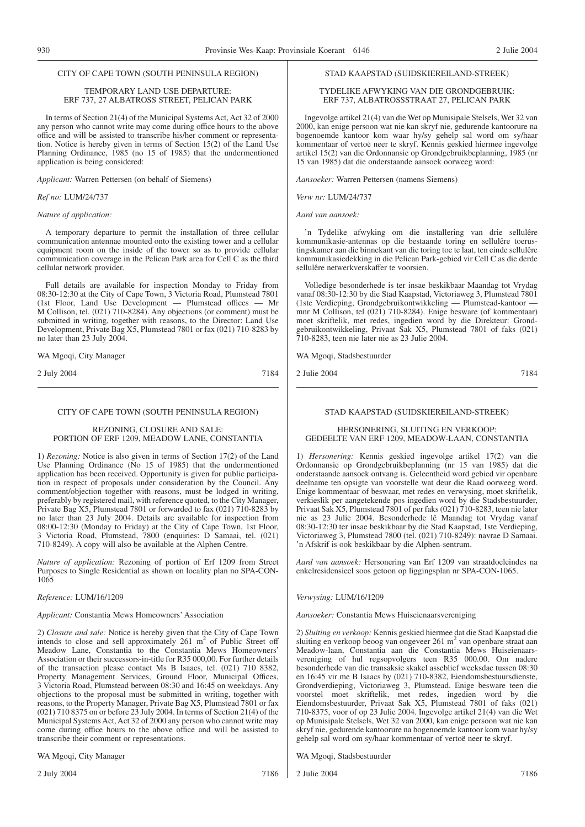### TEMPORARY LAND USE DEPARTURE: ERF 737, 27 ALBATROSS STREET, PELICAN PARK

In terms of Section 21(4) of the Municipal Systems Act, Act 32 of 2000 any person who cannot write may come during office hours to the above office and will be assisted to transcribe his/her comment or representation. Notice is hereby given in terms of Section 15(2) of the Land Use Planning Ordinance, 1985 (no 15 of 1985) that the undermentioned application is being considered:

*Applicant:* Warren Pettersen (on behalf of Siemens)

### *Ref no:* LUM/24/737

### *Nature of application:*

A temporary departure to permit the installation of three cellular communication antennae mounted onto the existing tower and a cellular equipment room on the inside of the tower so as to provide cellular communication coverage in the Pelican Park area for Cell C as the third cellular network provider.

Full details are available for inspection Monday to Friday from 08:30-12:30 at the City of Cape Town, 3 Victoria Road, Plumstead 7801 (1st Floor, Land Use Development — Plumstead offices — Mr M Collison, tel. (021) 710-8284). Any objections (or comment) must be submitted in writing, together with reasons, to the Director: Land Use Development, Private Bag X5, Plumstead 7801 or fax (021) 710-8283 by no later than 23 July 2004.

WA Mgoqi, City Manager

2 July 2004 7184

### CITY OF CAPE TOWN (SOUTH PENINSULA REGION)

### REZONING, CLOSURE AND SALE: PORTION OF ERF 1209, MEADOW LANE, CONSTANTIA

1) *Rezoning:* Notice is also given in terms of Section 17(2) of the Land Use Planning Ordinance (No 15 of 1985) that the undermentioned application has been received. Opportunity is given for public participation in respect of proposals under consideration by the Council. Any comment/objection together with reasons, must be lodged in writing, preferably by registered mail, with reference quoted, to the City Manager, Private Bag X5, Plumstead 7801 or forwarded to fax (021) 710-8283 by no later than 23 July 2004. Details are available for inspection from 08:00-12:30 (Monday to Friday) at the City of Cape Town, 1st Floor, 3 Victoria Road, Plumstead, 7800 (enquiries: D Samaai, tel. (021) 710-8249). A copy will also be available at the Alphen Centre.

*Nature of application:* Rezoning of portion of Erf 1209 from Street Purposes to Single Residential as shown on locality plan no SPA-CON-1065

### *Reference:* LUM/16/1209

*Applicant:* Constantia Mews Homeowners' Association

2) *Closure and sale:* Notice is hereby given that the City of Cape Town intends to close and sell approximately  $261 \text{ m}^2$  of Public Street off Meadow Lane, Constantia to the Constantia Mews Homeowners' Association or their successors-in-title for R35 000,00. For further details of the transaction please contact Ms B Isaacs, tel. (021) 710 8382, Property Management Services, Ground Floor, Municipal Offices, 3 Victoria Road, Plumstead between 08:30 and 16:45 on weekdays. Any objections to the proposal must be submitted in writing, together with reasons, to the Property Manager, Private Bag X5, Plumstead 7801 or fax (021) 710 8375 on or before 23 July 2004. In terms of Section 21(4) of the Municipal Systems Act, Act 32 of 2000 any person who cannot write may come during office hours to the above office and will be assisted to transcribe their comment or representations.

WA Mgoqi, City Manager

2 July 2004 7186

TYDELIKE AFWYKING VAN DIE GRONDGEBRUIK: ERF 737, ALBATROSSSTRAAT 27, PELICAN PARK

STAD KAAPSTAD (SUIDSKIEREILAND-STREEK)

Ingevolge artikel 21(4) van die Wet op Munisipale Stelsels, Wet 32 van 2000, kan enige persoon wat nie kan skryf nie, gedurende kantoorure na bogenoemde kantoor kom waar hy/sy gehelp sal word om sy/haar kommentaar of vertoë neer te skryf. Kennis geskied hiermee ingevolge artikel 15(2) van die Ordonnansie op Grondgebruikbeplanning, 1985 (nr 15 van 1985) dat die onderstaande aansoek oorweeg word:

*Aansoeker:* Warren Pettersen (namens Siemens)

*Verw nr:* LUM/24/737

*Aard van aansoek:*

'n Tydelike afwyking om die installering van drie sellulêre kommunikasie-antennas op die bestaande toring en sellulêre toerustingskamer aan die binnekant van die toring toe te laat, ten einde sellulêre kommunikasiedekking in die Pelican Park-gebied vir Cell C as die derde sellulêre netwerkverskaffer te voorsien.

Volledige besonderhede is ter insae beskikbaar Maandag tot Vrydag vanaf 08:30-12:30 by die Stad Kaapstad, Victoriaweg 3, Plumstead 7801 (1ste Verdieping, Grondgebruikontwikkeling — Plumstead-kantoor mnr M Collison, tel (021) 710-8284). Enige besware (of kommentaar) moet skriftelik, met redes, ingedien word by die Direkteur: Grondgebruikontwikkeling, Privaat Sak X5, Plumstead 7801 of faks (021) 710-8283, teen nie later nie as 23 Julie 2004.

WA Mgoqi, Stadsbestuurder

2 Julie 2004 7184

### STAD KAAPSTAD (SUIDSKIEREILAND-STREEK)

HERSONERING, SLUITING EN VERKOOP: GEDEELTE VAN ERF 1209, MEADOW-LAAN, CONSTANTIA

1) *Hersonering:* Kennis geskied ingevolge artikel 17(2) van die Ordonnansie op Grondgebruikbeplanning (nr 15 van 1985) dat die onderstaande aansoek ontvang is. Geleentheid word gebied vir openbare deelname ten opsigte van voorstelle wat deur die Raad oorweeg word. Enige kommentaar of beswaar, met redes en verwysing, moet skriftelik, verkieslik per aangetekende pos ingedien word by die Stadsbestuurder, Privaat Sak X5, Plumstead 7801 of per faks (021) 710-8283, teen nie later nie as 23 Julie 2004. Besonderhede lê Maandag tot Vrydag vanaf 08:30-12:30 ter insae beskikbaar by die Stad Kaapstad, 1ste Verdieping, Victoriaweg 3, Plumstead 7800 (tel. (021) 710-8249): navrae D Samaai. 'n Afskrif is ook beskikbaar by die Alphen-sentrum.

*Aard van aansoek:* Hersonering van Erf 1209 van straatdoeleindes na enkelresidensieel soos getoon op liggingsplan nr SPA-CON-1065.

*Verwysing:* LUM/16/1209

*Aansoeker:* Constantia Mews Huiseienaarsvereniging

2) *Sluiting en verkoop:* Kennis geskied hiermee dat die Stad Kaapstad die sluiting en verkoop beoog van ongeveer 261 m<sup>2</sup> van openbare straat aan Meadow-laan, Constantia aan die Constantia Mews Huiseienaarsvereniging of hul regsopvolgers teen R35 000.00. Om nadere besonderhede van die transaksie skakel asseblief weeksdae tussen 08:30 en 16:45 vir me B Isaacs by (021) 710-8382, Eiendomsbestuursdienste, Grondverdieping, Victoriaweg 3, Plumstead. Enige besware teen die voorstel moet skriftelik, met redes, ingedien word by die Eiendomsbestuurder, Privaat Sak X5, Plumstead 7801 of faks (021) 710-8375, voor of op 23 Julie 2004. Ingevolge artikel 21(4) van die Wet op Munisipale Stelsels, Wet 32 van 2000, kan enige persoon wat nie kan skryf nie, gedurende kantoorure na bogenoemde kantoor kom waar hy/sy gehelp sal word om sy/haar kommentaar of vertoë neer te skryf.

WA Mgoqi, Stadsbestuurder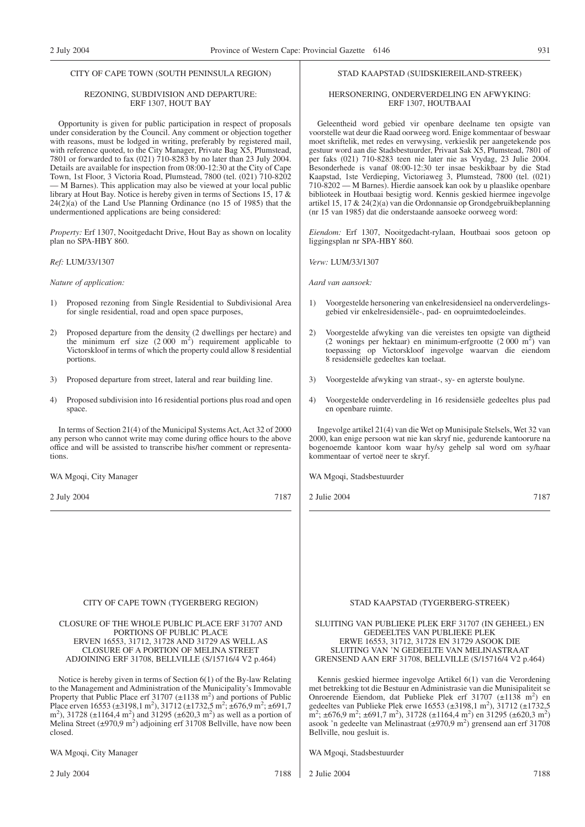### REZONING, SUBDIVISION AND DEPARTURE: ERF 1307, HOUT BAY

Opportunity is given for public participation in respect of proposals under consideration by the Council. Any comment or objection together with reasons, must be lodged in writing, preferably by registered mail, with reference quoted, to the City Manager, Private Bag X5, Plumstead, 7801 or forwarded to fax (021) 710-8283 by no later than 23 July 2004. Details are available for inspection from 08:00-12:30 at the City of Cape Town, 1st Floor, 3 Victoria Road, Plumstead, 7800 (tel. (021) 710-8202 — M Barnes). This application may also be viewed at your local public library at Hout Bay. Notice is hereby given in terms of Sections 15, 17 & 24(2)(a) of the Land Use Planning Ordinance (no 15 of 1985) that the undermentioned applications are being considered:

*Property:* Erf 1307, Nooitgedacht Drive, Hout Bay as shown on locality plan no SPA-HBY 860.

*Ref:* LUM/33/1307

*Nature of application:*

- 1) Proposed rezoning from Single Residential to Subdivisional Area for single residential, road and open space purposes,
- 2) Proposed departure from the density (2 dwellings per hectare) and the minimum erf size  $(2000 \text{ m}^2)$  requirement applicable to Victorskloof in terms of which the property could allow 8 residential portions.
- 3) Proposed departure from street, lateral and rear building line.
- 4) Proposed subdivision into 16 residential portions plus road and open space.

In terms of Section 21(4) of the Municipal Systems Act, Act 32 of 2000 any person who cannot write may come during office hours to the above office and will be assisted to transcribe his/her comment or representations.

WA Mgoqi, City Manager

2 July 2004 7187

### STAD KAAPSTAD (SUIDSKIEREILAND-STREEK)

### HERSONERING, ONDERVERDELING EN AFWYKING: ERF 1307, HOUTBAAI

Geleentheid word gebied vir openbare deelname ten opsigte van voorstelle wat deur die Raad oorweeg word. Enige kommentaar of beswaar moet skriftelik, met redes en verwysing, verkieslik per aangetekende pos gestuur word aan die Stadsbestuurder, Privaat Sak X5, Plumstead, 7801 of per faks (021) 710-8283 teen nie later nie as Vrydag, 23 Julie 2004. Besonderhede is vanaf 08:00-12:30 ter insae beskikbaar by die Stad Kaapstad, 1ste Verdieping, Victoriaweg 3, Plumstead, 7800 (tel. (021) 710-8202 — M Barnes). Hierdie aansoek kan ook by u plaaslike openbare biblioteek in Houtbaai besigtig word. Kennis geskied hiermee ingevolge artikel 15, 17 & 24(2)(a) van die Ordonnansie op Grondgebruikbeplanning (nr 15 van 1985) dat die onderstaande aansoeke oorweeg word:

*Eiendom:* Erf 1307, Nooitgedacht-rylaan, Houtbaai soos getoon op liggingsplan nr SPA-HBY 860.

*Verw:* LUM/33/1307

*Aard van aansoek:*

- 1) Voorgestelde hersonering van enkelresidensieel na onderverdelingsgebied vir enkelresidensiële-, pad- en oopruimtedoeleindes.
- 2) Voorgestelde afwyking van die vereistes ten opsigte van digtheid (2 wonings per hektaar) en minimum-erfgrootte (2 000 m<sup>2</sup>) van toepassing op Victorskloof ingevolge waarvan die eiendom 8 residensiële gedeeltes kan toelaat.
- 3) Voorgestelde afwyking van straat-, sy- en agterste boulyne.
- 4) Voorgestelde onderverdeling in 16 residensiële gedeeltes plus pad en openbare ruimte.

Ingevolge artikel 21(4) van die Wet op Munisipale Stelsels, Wet 32 van 2000, kan enige persoon wat nie kan skryf nie, gedurende kantoorure na bogenoemde kantoor kom waar hy/sy gehelp sal word om sy/haar kommentaar of vertoë neer te skryf.

WA Mgoqi, Stadsbestuurder

2 Julie 2004 7187

### CITY OF CAPE TOWN (TYGERBERG REGION)

CLOSURE OF THE WHOLE PUBLIC PLACE ERF 31707 AND PORTIONS OF PUBLIC PLACE ERVEN 16553, 31712, 31728 AND 31729 AS WELL AS CLOSURE OF A PORTION OF MELINA STREET ADJOINING ERF 31708, BELLVILLE (S/15716/4 V2 p.464)

Notice is hereby given in terms of Section 6(1) of the By-law Relating to the Management and Administration of the Municipality's Immovable Property that Public Place erf  $31707 \ (\pm 1138 \ m^2)$  and portions of Public Place erven 16553 ( $\pm$ 3198,1 m<sup>2</sup>), 31712 ( $\pm$ 1732,5 m<sup>2</sup>;  $\pm$ 676,9 m<sup>2</sup>;  $\pm$ 691,7 m<sup>2</sup>), 31728 ( $\pm$ 1164,4 m<sup>2</sup>) and 31295 ( $\pm$ 620,3 m<sup>2</sup>) as well as a portion of Melina Street  $(\pm 970.9 \text{ m}^2)$  adjoining erf 31708 Bellville, have now been closed.

WA Mgoqi, City Manager

2 July 2004 7188

### STAD KAAPSTAD (TYGERBERG-STREEK)

SLUITING VAN PUBLIEKE PLEK ERF 31707 (IN GEHEEL) EN GEDEELTES VAN PUBLIEKE PLEK ERWE 16553, 31712, 31728 EN 31729 ASOOK DIE SLUITING VAN 'N GEDEELTE VAN MELINASTRAAT GRENSEND AAN ERF 31708, BELLVILLE (S/15716/4 V2 p.464)

Kennis geskied hiermee ingevolge Artikel 6(1) van die Verordening met betrekking tot die Bestuur en Administrasie van die Munisipaliteit se Onroerende Eiendom, dat Publieke Plek erf 31707 (±1138 m<sup>2</sup>) en gedeeltes van Publieke Plek erwe  $16553 \ (\pm 3198, 1 \text{ m}^2)$ ,  $31712 \ (\pm 1732, 5 \text{ m}^2)$  $\text{m}^2$ ; ±676,9 m<sup>2</sup>; ±691,7 m<sup>2</sup>), 31728 (±1164,4 m<sup>2</sup>) en 31295 (±620,3 m<sup>2</sup>) asook 'n gedeelte van Melinastraat ( $\pm$ 970,9 m<sup>2</sup>) grensend aan erf 31708 Bellville, nou gesluit is.

WA Mgoqi, Stadsbestuurder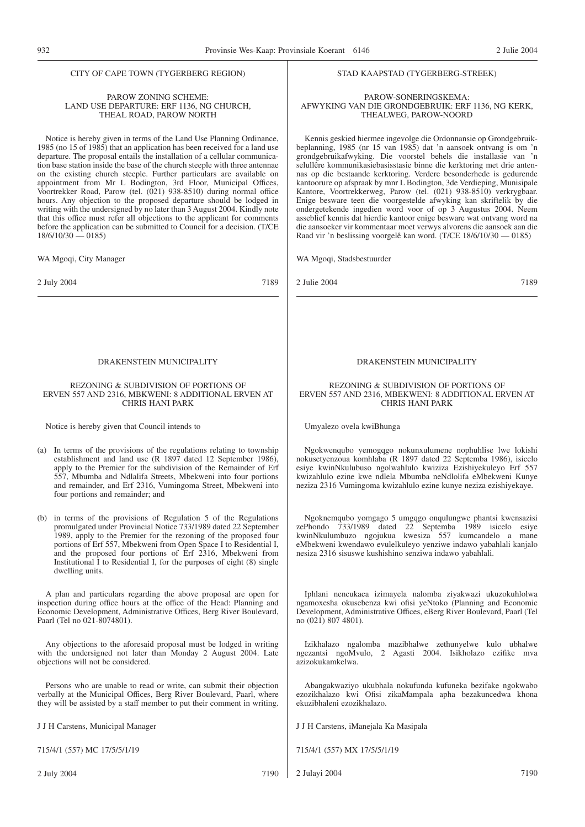### CITY OF CAPE TOWN (TYGERBERG REGION)

### PAROW ZONING SCHEME: LAND USE DEPARTURE: ERF 1136, NG CHURCH, THEAL ROAD, PAROW NORTH

Notice is hereby given in terms of the Land Use Planning Ordinance, 1985 (no 15 of 1985) that an application has been received for a land use departure. The proposal entails the installation of a cellular communication base station inside the base of the church steeple with three antennae on the existing church steeple. Further particulars are available on appointment from Mr L Bodington, 3rd Floor, Municipal Offices, Voortrekker Road, Parow (tel. (021) 938-8510) during normal office hours. Any objection to the proposed departure should be lodged in writing with the undersigned by no later than 3 August 2004. Kindly note that this office must refer all objections to the applicant for comments before the application can be submitted to Council for a decision. (T/CE  $18/6/10/30 - 0185$ 

WA Mgoqi, City Manager

2 July 2004 7189

### DRAKENSTEIN MUNICIPALITY

### REZONING & SUBDIVISION OF PORTIONS OF ERVEN 557 AND 2316, MBKWENI: 8 ADDITIONAL ERVEN AT CHRIS HANI PARK

Notice is hereby given that Council intends to

- (a) In terms of the provisions of the regulations relating to township establishment and land use (R 1897 dated 12 September 1986), apply to the Premier for the subdivision of the Remainder of Erf 557, Mbumba and Ndlalifa Streets, Mbekweni into four portions and remainder, and Erf 2316, Vumingoma Street, Mbekweni into four portions and remainder; and
- (b) in terms of the provisions of Regulation 5 of the Regulations promulgated under Provincial Notice 733/1989 dated 22 September 1989, apply to the Premier for the rezoning of the proposed four portions of Erf 557, Mbekweni from Open Space I to Residential I, and the proposed four portions of Erf 2316, Mbekweni from Institutional I to Residential I, for the purposes of eight (8) single dwelling units.

A plan and particulars regarding the above proposal are open for inspection during office hours at the office of the Head: Planning and Economic Development, Administrative Offices, Berg River Boulevard, Paarl (Tel no 021-8074801).

Any objections to the aforesaid proposal must be lodged in writing with the undersigned not later than Monday 2 August 2004. Late objections will not be considered.

Persons who are unable to read or write, can submit their objection verbally at the Municipal Offices, Berg River Boulevard, Paarl, where they will be assisted by a staff member to put their comment in writing.

J J H Carstens, Municipal Manager

715/4/1 (557) MC 17/5/5/1/19

### STAD KAAPSTAD (TYGERBERG-STREEK)

### PAROW-SONERINGSKEMA: AFWYKING VAN DIE GRONDGEBRUIK: ERF 1136, NG KERK, THEALWEG, PAROW-NOORD

Kennis geskied hiermee ingevolge die Ordonnansie op Grondgebruikbeplanning, 1985 (nr 15 van 1985) dat 'n aansoek ontvang is om 'n grondgebruikafwyking. Die voorstel behels die installasie van 'n selullêre kommunikasiebasisstasie binne die kerktoring met drie antennas op die bestaande kerktoring. Verdere besonderhede is gedurende kantoorure op afspraak by mnr L Bodington, 3de Verdieping, Munisipale Kantore, Voortrekkerweg, Parow (tel. (021) 938-8510) verkrygbaar. Enige besware teen die voorgestelde afwyking kan skriftelik by die ondergetekende ingedien word voor of op 3 Augustus 2004. Neem asseblief kennis dat hierdie kantoor enige besware wat ontvang word na die aansoeker vir kommentaar moet verwys alvorens die aansoek aan die Raad vir 'n beslissing voorgelê kan word. (T/CE 18/6/10/30 — 0185)

WA Mgoqi, Stadsbestuurder

2 Julie 2004 7189

### DRAKENSTEIN MUNICIPALITY

REZONING & SUBDIVISION OF PORTIONS OF ERVEN 557 AND 2316, MBEKWENI: 8 ADDITIONAL ERVEN AT CHRIS HANI PARK

Umyalezo ovela kwiBhunga

Ngokwenqubo yemogqgo nokunxulumene nophuhlise lwe lokishi nokusetyenzoua komhlaba (R 1897 dated 22 Septemba 1986), isicelo esiye kwinNkulubuso ngolwahlulo kwiziza Ezishiyekuleyo Erf 557 kwizahlulo ezine kwe ndlela Mbumba neNdlolifa eMbekweni Kunye neziza 2316 Vumingoma kwizahlulo ezine kunye neziza ezishiyekaye.

Ngoknemqubo yomgago 5 umgqgo onqulungwe phantsi kwensazisi zePhondo 733/1989 dated 22 Septemba 1989 isicelo esiye kwinNkulumbuzo ngojukua kwesiza 557 kumcandelo a mane eMbekweni kwendawo evulelkuleyo yenziwe indawo yabahlali kanjalo nesiza 2316 sisuswe kushishino senziwa indawo yabahlali.

Iphlani nencukaca izimayela nalomba ziyakwazi ukuzokuhlolwa ngamoxesha okusebenza kwi ofisi yeNtoko (Planning and Economic Development, Administrative Offices, eBerg River Boulevard, Paarl (Tel no (021) 807 4801).

Izikhalazo ngalomba mazibhalwe zethunyelwe kulo ubhalwe ngezantsi ngoMvulo, 2 Agasti 2004. Isikholazo ezifike mva azizokukamkelwa.

Abangakwaziyo ukubhala nokufunda kufuneka bezifake ngokwabo ezozikhalazo kwi Ofisi zikaMampala apha bezakuncedwa khona ekuzibhaleni ezozikhalazo.

J J H Carstens, iManejala Ka Masipala

715/4/1 (557) MX 17/5/5/1/19

2 Julayi 2004 7190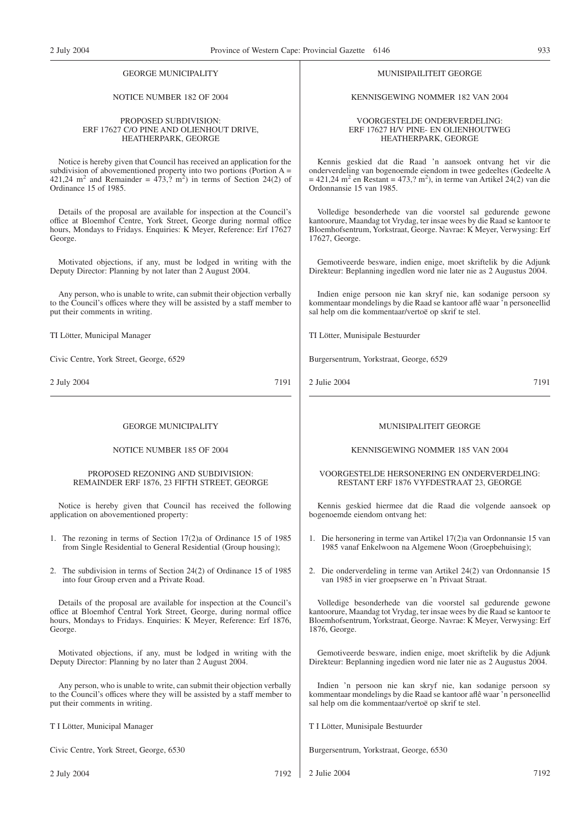### NOTICE NUMBER 182 OF 2004

### PROPOSED SUBDIVISION: ERF 17627 C/O PINE AND OLIENHOUT DRIVE, HEATHERPARK, GEORGE

Notice is hereby given that Council has received an application for the subdivision of abovementioned property into two portions (Portion A =  $421,24 \text{ m}^2$  and Remainder =  $473,2 \text{ m}^2$ ) in terms of Section 24(2) of Ordinance 15 of 1985.

Details of the proposal are available for inspection at the Council's office at Bloemhof Centre, York Street, George during normal office hours, Mondays to Fridays. Enquiries: K Meyer, Reference: Erf 17627 George.

Motivated objections, if any, must be lodged in writing with the Deputy Director: Planning by not later than 2 August 2004.

Any person, who is unable to write, can submit their objection verbally to the Council's offices where they will be assisted by a staff member to put their comments in writing.

TI Lötter, Municipal Manager

Civic Centre, York Street, George, 6529

2 July 2004 7191

### GEORGE MUNICIPALITY

### NOTICE NUMBER 185 OF 2004

### PROPOSED REZONING AND SUBDIVISION: REMAINDER ERF 1876, 23 FIFTH STREET, GEORGE

Notice is hereby given that Council has received the following application on abovementioned property:

- 1. The rezoning in terms of Section 17(2)a of Ordinance 15 of 1985 from Single Residential to General Residential (Group housing);
- 2. The subdivision in terms of Section 24(2) of Ordinance 15 of 1985 into four Group erven and a Private Road.

Details of the proposal are available for inspection at the Council's office at Bloemhof Central York Street, George, during normal office hours, Mondays to Fridays. Enquiries: K Meyer, Reference: Erf 1876, George.

Motivated objections, if any, must be lodged in writing with the Deputy Director: Planning by no later than 2 August 2004.

Any person, who is unable to write, can submit their objection verbally to the Council's offices where they will be assisted by a staff member to put their comments in writing.

T I Lötter, Municipal Manager

Civic Centre, York Street, George, 6530

### MUNISIPAILITEIT GEORGE

KENNISGEWING NOMMER 182 VAN 2004

VOORGESTELDE ONDERVERDELING: ERF 17627 H/V PINE- EN OLIENHOUTWEG HEATHERPARK, GEORGE

Kennis geskied dat die Raad 'n aansoek ontvang het vir die onderverdeling van bogenoemde eiendom in twee gedeeltes (Gedeelte A  $= 421,24$  m<sup>2</sup> en Restant = 473,? m<sup>2</sup>), in terme van Artikel 24(2) van die Ordonnansie 15 van 1985.

Volledige besonderhede van die voorstel sal gedurende gewone kantoorure, Maandag tot Vrydag, ter insae wees by die Raad se kantoor te Bloemhofsentrum, Yorkstraat, George. Navrae: K Meyer, Verwysing: Erf 17627, George.

Gemotiveerde besware, indien enige, moet skriftelik by die Adjunk Direkteur: Beplanning ingedlen word nie later nie as 2 Augustus 2004.

Indien enige persoon nie kan skryf nie, kan sodanige persoon sy kommentaar mondelings by die Raad se kantoor aflê waar 'n personeellid sal help om die kommentaar/vertoë op skrif te stel.

TI Lötter, Munisipale Bestuurder

Burgersentrum, Yorkstraat, George, 6529

2 Julie 2004 7191

### MUNISIPALITEIT GEORGE

KENNISGEWING NOMMER 185 VAN 2004

### VOORGESTELDE HERSONERING EN ONDERVERDELING: RESTANT ERF 1876 VYFDESTRAAT 23, GEORGE

Kennis geskied hiermee dat die Raad die volgende aansoek op bogenoemde eiendom ontvang het:

- 1. Die hersonering in terme van Artikel 17(2)a van Ordonnansie 15 van 1985 vanaf Enkelwoon na Algemene Woon (Groepbehuising);
- 2. Die onderverdeling in terme van Artikel 24(2) van Ordonnansie 15 van 1985 in vier groepserwe en 'n Privaat Straat.

Volledige besonderhede van die voorstel sal gedurende gewone kantoorure, Maandag tot Vrydag, ter insae wees by die Raad se kantoor te Bloemhofsentrum, Yorkstraat, George. Navrae: K Meyer, Verwysing: Erf 1876, George.

Gemotiveerde besware, indien enige, moet skriftelik by die Adjunk Direkteur: Beplanning ingedien word nie later nie as 2 Augustus 2004.

Indien 'n persoon nie kan skryf nie, kan sodanige persoon sy kommentaar mondelings by die Raad se kantoor aflê waar 'n personeellid sal help om die kommentaar/vertoë op skrif te stel.

T I Lötter, Munisipale Bestuurder

Burgersentrum, Yorkstraat, George, 6530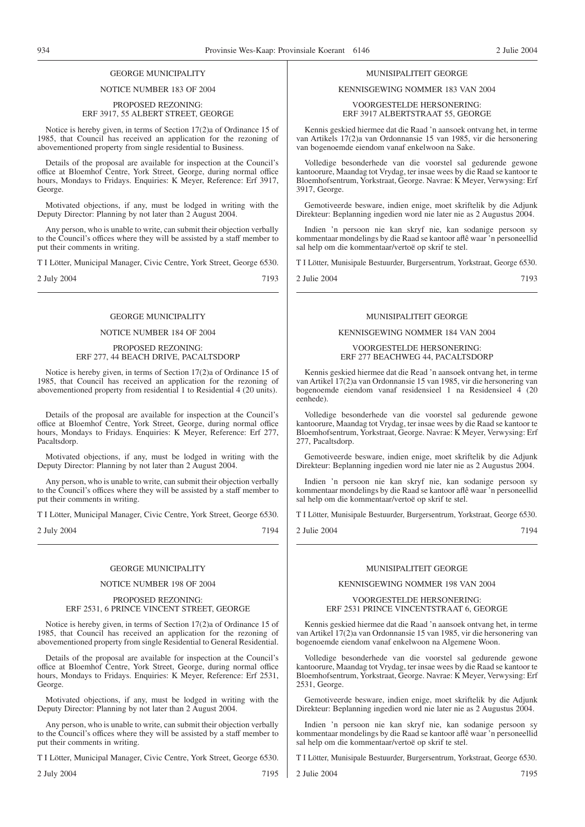### NOTICE NUMBER 183 OF 2004

### PROPOSED REZONING: ERF 3917, 55 ALBERT STREET, GEORGE

Notice is hereby given, in terms of Section 17(2)a of Ordinance 15 of 1985, that Council has received an application for the rezoning of abovementioned property from single residential to Business.

Details of the proposal are available for inspection at the Council's office at Bloemhof Centre, York Street, George, during normal office hours, Mondays to Fridays. Enquiries: K Meyer, Reference: Erf 3917, George.

Motivated objections, if any, must be lodged in writing with the Deputy Director: Planning by not later than 2 August 2004.

Any person, who is unable to write, can submit their objection verbally to the Council's offices where they will be assisted by a staff member to put their comments in writing.

T I Lötter, Municipal Manager, Civic Centre, York Street, George 6530.

2 July 2004 7193

### GEORGE MUNICIPALITY

### NOTICE NUMBER 184 OF 2004

### PROPOSED REZONING: ERF 277, 44 BEACH DRIVE, PACALTSDORP

Notice is hereby given, in terms of Section 17(2)a of Ordinance 15 of 1985, that Council has received an application for the rezoning of abovementioned property from residential 1 to Residential 4 (20 units).

Details of the proposal are available for inspection at the Council's office at Bloemhof Centre, York Street, George, during normal office hours, Mondays to Fridays. Enquiries: K Meyer, Reference: Erf 277, Pacaltsdorp.

Motivated objections, if any, must be lodged in writing with the Deputy Director: Planning by not later than 2 August 2004.

Any person, who is unable to write, can submit their objection verbally to the Council's offices where they will be assisted by a staff member to put their comments in writing.

T I Lötter, Municipal Manager, Civic Centre, York Street, George 6530.

2 July 2004 7194

### GEORGE MUNICIPALITY

### NOTICE NUMBER 198 OF 2004

### PROPOSED REZONING: ERF 2531, 6 PRINCE VINCENT STREET, GEORGE

Notice is hereby given, in terms of Section 17(2)a of Ordinance 15 of 1985, that Council has received an application for the rezoning of abovementioned property from single Residential to General Residential.

Details of the proposal are available for inspection at the Council's office at Bloemhof Centre, York Street, George, during normal office hours, Mondays to Fridays. Enquiries: K Meyer, Reference: Erf 2531, George.

Motivated objections, if any, must be lodged in writing with the Deputy Director: Planning by not later than 2 August 2004.

Any person, who is unable to write, can submit their objection verbally to the Council's offices where they will be assisted by a staff member to put their comments in writing.

T I Lötter, Municipal Manager, Civic Centre, York Street, George 6530.

2 July 2004 7195

### MUNISIPALITEIT GEORGE

### KENNISGEWING NOMMER 183 VAN 2004

VOORGESTELDE HERSONERING: ERF 3917 ALBERTSTRAAT 55, GEORGE

Kennis geskied hiermee dat die Raad 'n aansoek ontvang het, in terme van Artikels 17(2)a van Ordonnansie 15 van 1985, vir die hersonering van bogenoemde eiendom vanaf enkelwoon na Sake.

Volledige besonderhede van die voorstel sal gedurende gewone kantoorure, Maandag tot Vrydag, ter insae wees by die Raad se kantoor te Bloemhofsentrum, Yorkstraat, George. Navrae: K Meyer, Verwysing: Erf 3917, George.

Gemotiveerde besware, indien enige, moet skriftelik by die Adjunk Direkteur: Beplanning ingedien word nie later nie as 2 Augustus 2004.

Indien 'n persoon nie kan skryf nie, kan sodanige persoon sy kommentaar mondelings by die Raad se kantoor aflê waar 'n personeellid sal help om die kommentaar/vertoë op skrif te stel.

T I Lötter, Munisipale Bestuurder, Burgersentrum, Yorkstraat, George 6530.

2 Julie 2004 7193

### MUNISIPALITEIT GEORGE

### KENNISGEWING NOMMER 184 VAN 2004

VOORGESTELDE HERSONERING: ERF 277 BEACHWEG 44, PACALTSDORP

Kennis geskied hiermee dat die Read 'n aansoek ontvang het, in terme van Artikel 17(2)a van Ordonnansie 15 van 1985, vir die hersonering van bogenoemde eiendom vanaf residensieel 1 na Residensieel 4 (20 eenhede).

Volledige besonderhede van die voorstel sal gedurende gewone kantoorure, Maandag tot Vrydag, ter insae wees by die Raad se kantoor te Bloemhofsentrum, Yorkstraat, George. Navrae: K Meyer, Verwysing: Erf 277, Pacaltsdorp.

Gemotiveerde besware, indien enige, moet skriftelik by die Adjunk Direkteur: Beplanning ingedien word nie later nie as 2 Augustus 2004.

Indien 'n persoon nie kan skryf nie, kan sodanige persoon sy kommentaar mondelings by die Raad se kantoor aflê waar 'n personeellid sal help om die kommentaar/vertoë op skrif te stel.

T I Lötter, Munisipale Bestuurder, Burgersentrum, Yorkstraat, George 6530.

2 Julie 2004 7194

### MUNISIPALITEIT GEORGE

### KENNISGEWING NOMMER 198 VAN 2004

### VOORGESTELDE HERSONERING: ERF 2531 PRINCE VINCENTSTRAAT 6, GEORGE

Kennis geskied hiermee dat die Raad 'n aansoek ontvang het, in terme van Artikel 17(2)a van Ordonnansie 15 van 1985, vir die hersonering van bogenoemde eiendom vanaf enkelwoon na Algemene Woon.

Volledige besonderhede van die voorstel sal gedurende gewone kantoorure, Maandag tot Vrydag, ter insae wees by die Raad se kantoor te Bloemhofsentrum, Yorkstraat, George. Navrae: K Meyer, Verwysing: Erf 2531, George.

Gemotiveerde besware, indien enige, moet skriftelik by die Adjunk Direkteur: Beplanning ingedien word nie later nie as 2 Augustus 2004.

Indien 'n persoon nie kan skryf nie, kan sodanige persoon sy kommentaar mondelings by die Raad se kantoor aflê waar 'n personeellid sal help om die kommentaar/vertoë op skrif te stel.

T I Lötter, Munisipale Bestuurder, Burgersentrum, Yorkstraat, George 6530.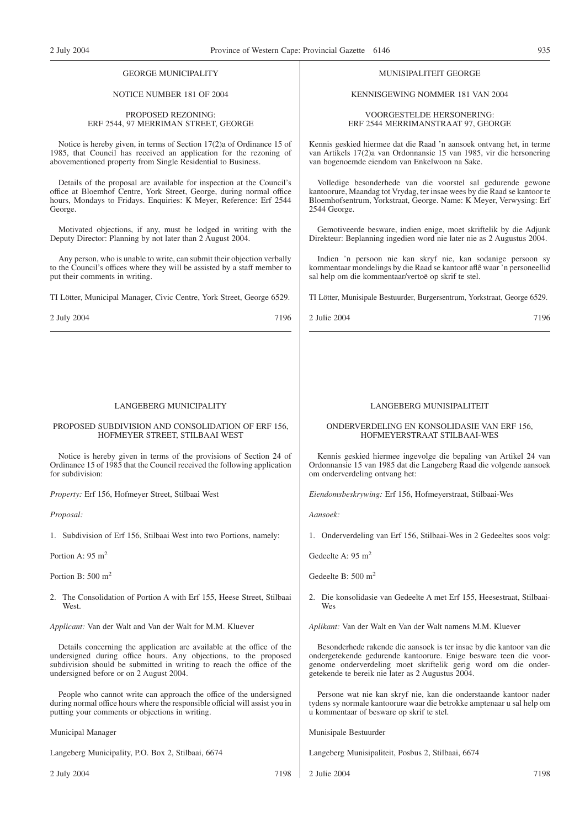### NOTICE NUMBER 181 OF 2004

### PROPOSED REZONING: ERF 2544, 97 MERRIMAN STREET, GEORGE

Notice is hereby given, in terms of Section 17(2)a of Ordinance 15 of 1985, that Council has received an application for the rezoning of abovementioned property from Single Residential to Business.

Details of the proposal are available for inspection at the Council's office at Bloemhof Centre, York Street, George, during normal office hours, Mondays to Fridays. Enquiries: K Meyer, Reference: Erf 2544 George.

Motivated objections, if any, must be lodged in writing with the Deputy Director: Planning by not later than 2 August 2004.

Any person, who is unable to write, can submit their objection verbally to the Council's offices where they will be assisted by a staff member to put their comments in writing.

TI Lötter, Municipal Manager, Civic Centre, York Street, George 6529.

2 July 2004 7196

### LANGEBERG MUNICIPALITY

### PROPOSED SUBDIVISION AND CONSOLIDATION OF ERF 156, HOFMEYER STREET, STILBAAI WEST

Notice is hereby given in terms of the provisions of Section 24 of Ordinance 15 of 1985 that the Council received the following application for subdivision:

*Property:* Erf 156, Hofmeyer Street, Stilbaai West

*Proposal:*

1. Subdivision of Erf 156, Stilbaai West into two Portions, namely:

Portion A:  $95 \text{ m}^2$ 

Portion B:  $500 \text{ m}^2$ 

2. The Consolidation of Portion A with Erf 155, Heese Street, Stilbaai West.

*Applicant:* Van der Walt and Van der Walt for M.M. Kluever

Details concerning the application are available at the office of the undersigned during office hours. Any objections, to the proposed subdivision should be submitted in writing to reach the office of the undersigned before or on 2 August 2004.

People who cannot write can approach the office of the undersigned during normal office hours where the responsible official will assist you in putting your comments or objections in writing.

Municipal Manager

Langeberg Municipality, P.O. Box 2, Stilbaai, 6674

2 July 2004 7198

MUNISIPALITEIT GEORGE

KENNISGEWING NOMMER 181 VAN 2004

VOORGESTELDE HERSONERING: ERF 2544 MERRIMANSTRAAT 97, GEORGE

Kennis geskied hiermee dat die Raad 'n aansoek ontvang het, in terme van Artikels 17(2)a van Ordonnansie 15 van 1985, vir die hersonering van bogenoemde eiendom van Enkelwoon na Sake.

Volledige besonderhede van die voorstel sal gedurende gewone kantoorure, Maandag tot Vrydag, ter insae wees by die Raad se kantoor te Bloemhofsentrum, Yorkstraat, George. Name: K Meyer, Verwysing: Erf 2544 George.

Gemotiveerde besware, indien enige, moet skriftelik by die Adjunk Direkteur: Beplanning ingedien word nie later nie as 2 Augustus 2004.

Indien 'n persoon nie kan skryf nie, kan sodanige persoon sy kommentaar mondelings by die Raad se kantoor aflê waar 'n personeellid sal help om die kommentaar/vertoë op skrif te stel.

TI Lötter, Munisipale Bestuurder, Burgersentrum, Yorkstraat, George 6529.

2 Julie 2004 7196

### LANGEBERG MUNISIPALITEIT

### ONDERVERDELING EN KONSOLIDASIE VAN ERF 156, HOFMEYERSTRAAT STILBAAI-WES

Kennis geskied hiermee ingevolge die bepaling van Artikel 24 van Ordonnansie 15 van 1985 dat die Langeberg Raad die volgende aansoek om onderverdeling ontvang het:

*Eiendomsbeskrywing:* Erf 156, Hofmeyerstraat, Stilbaai-Wes

*Aansoek:*

1. Onderverdeling van Erf 156, Stilbaai-Wes in 2 Gedeeltes soos volg:

Gedeelte A: 95 m<sup>2</sup>

Gedeelte B: 500 m2

2. Die konsolidasie van Gedeelte A met Erf 155, Heesestraat, Stilbaai-Wes

*Aplikant:* Van der Walt en Van der Walt namens M.M. Kluever

Besonderhede rakende die aansoek is ter insae by die kantoor van die ondergetekende gedurende kantoorure. Enige besware teen die voorgenome onderverdeling moet skriftelik gerig word om die ondergetekende te bereik nie later as 2 Augustus 2004.

Persone wat nie kan skryf nie, kan die onderstaande kantoor nader tydens sy normale kantoorure waar die betrokke amptenaar u sal help om u kommentaar of besware op skrif te stel.

Munisipale Bestuurder

Langeberg Munisipaliteit, Posbus 2, Stilbaai, 6674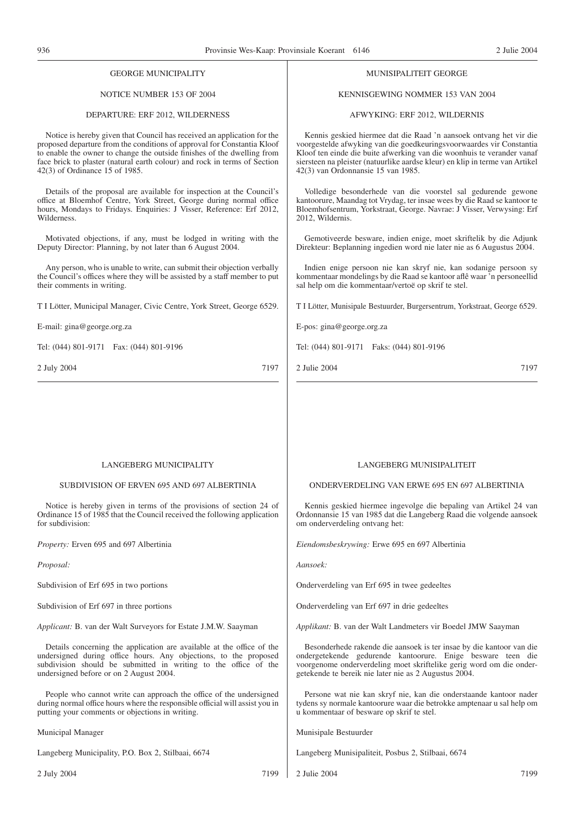| <b>GEORGE MUNICIPALITY</b>                                                                                                                                                                                                                                                                                                                   | MUNISIPALITEIT GEORGE                                                                                                                                                                                                                                                                                                                      |
|----------------------------------------------------------------------------------------------------------------------------------------------------------------------------------------------------------------------------------------------------------------------------------------------------------------------------------------------|--------------------------------------------------------------------------------------------------------------------------------------------------------------------------------------------------------------------------------------------------------------------------------------------------------------------------------------------|
| NOTICE NUMBER 153 OF 2004                                                                                                                                                                                                                                                                                                                    | KENNISGEWING NOMMER 153 VAN 2004                                                                                                                                                                                                                                                                                                           |
| DEPARTURE: ERF 2012, WILDERNESS                                                                                                                                                                                                                                                                                                              | AFWYKING: ERF 2012, WILDERNIS                                                                                                                                                                                                                                                                                                              |
| Notice is hereby given that Council has received an application for the<br>proposed departure from the conditions of approval for Constantia Kloof<br>to enable the owner to change the outside finishes of the dwelling from<br>face brick to plaster (natural earth colour) and rock in terms of Section<br>42(3) of Ordinance 15 of 1985. | Kennis geskied hiermee dat die Raad 'n aansoek ontvang het vir die<br>voorgestelde afwyking van die goedkeuringsvoorwaardes vir Constantia<br>Kloof ten einde die buite afwerking van die woonhuis te verander vanaf<br>siersteen na pleister (natuurlike aardse kleur) en klip in terme van Artikel<br>42(3) van Ordonnansie 15 van 1985. |
| Details of the proposal are available for inspection at the Council's<br>office at Bloemhof Centre, York Street, George during normal office<br>hours, Mondays to Fridays. Enquiries: J Visser, Reference: Erf 2012,<br>Wilderness.                                                                                                          | Volledige besonderhede van die voorstel sal gedurende gewone<br>kantoorure, Maandag tot Vrydag, ter insae wees by die Raad se kantoor te<br>Bloemhofsentrum, Yorkstraat, George. Navrae: J Visser, Verwysing: Erf<br>2012, Wildernis.                                                                                                      |
| Motivated objections, if any, must be lodged in writing with the<br>Deputy Director: Planning, by not later than 6 August 2004.                                                                                                                                                                                                              | Gemotiveerde besware, indien enige, moet skriftelik by die Adjunk<br>Direkteur: Beplanning ingedien word nie later nie as 6 Augustus 2004.                                                                                                                                                                                                 |
| Any person, who is unable to write, can submit their objection verbally<br>the Council's offices where they will be assisted by a staff member to put<br>their comments in writing.                                                                                                                                                          | Indien enige persoon nie kan skryf nie, kan sodanige persoon sy<br>kommentaar mondelings by die Raad se kantoor aflê waar 'n personeellid<br>sal help om die kommentaar/vertoë op skrif te stel.                                                                                                                                           |
| T I Lötter, Municipal Manager, Civic Centre, York Street, George 6529.                                                                                                                                                                                                                                                                       | T I Lötter, Munisipale Bestuurder, Burgersentrum, Yorkstraat, George 6529.                                                                                                                                                                                                                                                                 |
| E-mail: gina@george.org.za                                                                                                                                                                                                                                                                                                                   | E-pos: gina@george.org.za                                                                                                                                                                                                                                                                                                                  |
| Tel: (044) 801-9171  Fax: (044) 801-9196                                                                                                                                                                                                                                                                                                     | Tel: (044) 801-9171  Faks: (044) 801-9196                                                                                                                                                                                                                                                                                                  |
| 7197<br>2 July 2004                                                                                                                                                                                                                                                                                                                          | 2 Julie 2004<br>7197                                                                                                                                                                                                                                                                                                                       |
|                                                                                                                                                                                                                                                                                                                                              |                                                                                                                                                                                                                                                                                                                                            |
|                                                                                                                                                                                                                                                                                                                                              |                                                                                                                                                                                                                                                                                                                                            |
|                                                                                                                                                                                                                                                                                                                                              |                                                                                                                                                                                                                                                                                                                                            |

### LANGEBERG MUNICIPALITY

### SUBDIVISION OF ERVEN 695 AND 697 ALBERTINIA

Notice is hereby given in terms of the provisions of section 24 of Ordinance 15 of 1985 that the Council received the following application for subdivision:

*Property:* Erven 695 and 697 Albertinia

*Proposal:*

Subdivision of Erf 695 in two portions

Subdivision of Erf 697 in three portions

*Applicant:* B. van der Walt Surveyors for Estate J.M.W. Saayman

Details concerning the application are available at the office of the undersigned during office hours. Any objections, to the proposed subdivision should be submitted in writing to the office of the undersigned before or on 2 August 2004.

People who cannot write can approach the office of the undersigned during normal office hours where the responsible official will assist you in putting your comments or objections in writing.

Municipal Manager

Langeberg Municipality, P.O. Box 2, Stilbaai, 6674

2 July 2004 7199

### LANGEBERG MUNISIPALITEIT

ONDERVERDELING VAN ERWE 695 EN 697 ALBERTINIA

Kennis geskied hiermee ingevolge die bepaling van Artikel 24 van Ordonnansie 15 van 1985 dat die Langeberg Raad die volgende aansoek om onderverdeling ontvang het:

*Eiendomsbeskrywing:* Erwe 695 en 697 Albertinia

*Aansoek:*

Onderverdeling van Erf 695 in twee gedeeltes

Onderverdeling van Erf 697 in drie gedeeltes

*Applikant:* B. van der Walt Landmeters vir Boedel JMW Saayman

Besonderhede rakende die aansoek is ter insae by die kantoor van die ondergetekende gedurende kantoorure. Enige besware teen die voorgenome onderverdeling moet skriftelike gerig word om die ondergetekende te bereik nie later nie as 2 Augustus 2004.

Persone wat nie kan skryf nie, kan die onderstaande kantoor nader tydens sy normale kantoorure waar die betrokke amptenaar u sal help om u kommentaar of besware op skrif te stel.

Munisipale Bestuurder

Langeberg Munisipaliteit, Posbus 2, Stilbaai, 6674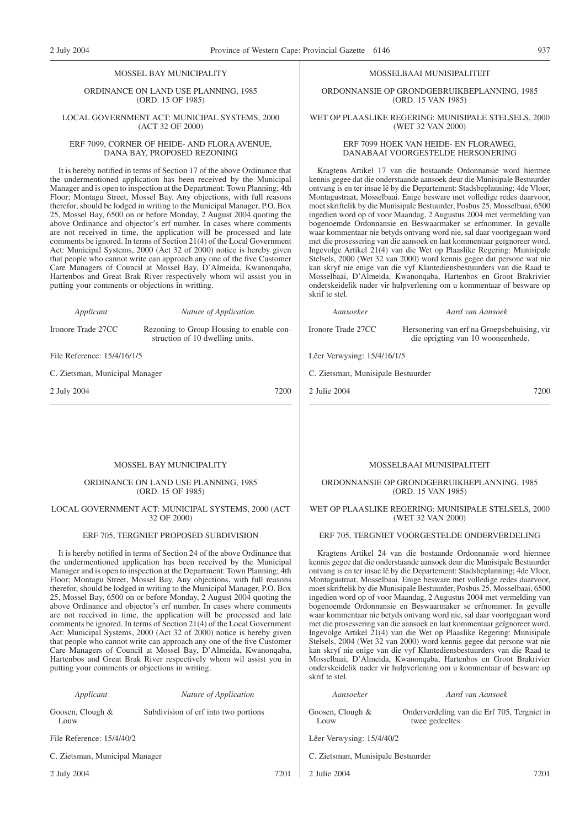### MOSSEL BAY MUNICIPALITY

ORDINANCE ON LAND USE PLANNING, 1985 (ORD. 15 OF 1985)

### LOCAL GOVERNMENT ACT: MUNICIPAL SYSTEMS, 2000 (ACT 32 OF 2000)

### ERF 7099, CORNER OF HEIDE- AND FLORA AVENUE, DANA BAY, PROPOSED REZONING

It is hereby notified in terms of Section 17 of the above Ordinance that the undermentioned application has been received by the Municipal Manager and is open to inspection at the Department: Town Planning; 4th Floor; Montagu Street, Mossel Bay. Any objections, with full reasons therefor, should be lodged in writing to the Municipal Manager, P.O. Box 25, Mossel Bay, 6500 on or before Monday, 2 August 2004 quoting the above Ordinance and objector's erf number. In cases where comments are not received in time, the application will be processed and late comments be ignored. In terms of Section 21(4) of the Local Government Act: Municipal Systems, 2000 (Act 32 of 2000) notice is hereby given that people who cannot write can approach any one of the five Customer Care Managers of Council at Mossel Bay, D'Almeida, Kwanonqaba, Hartenbos and Great Brak River respectively whom wil assist you in putting your comments or objections in writting.

*Applicant Nature of Application*

Ironore Trade 27CC Rezoning to Group Housing to enable construction of 10 dwelling units.

File Reference: 15/4/16/1/5

C. Zietsman, Municipal Manager

2 July 2004 7200

### MOSSELBAAI MUNISIPALITEIT

ORDONNANSIE OP GRONDGEBRUIKBEPLANNING, 1985 (ORD. 15 VAN 1985)

### WET OP PLAASLIKE REGERING: MUNISIPALE STELSELS, 2000 (WET 32 VAN 2000)

### ERF 7099 HOEK VAN HEIDE- EN FLORAWEG, DANABAAI VOORGESTELDE HERSONERING

Kragtens Artikel 17 van die bostaande Ordonnansie word hiermee kennis gegee dat die onderstaande aansoek deur die Munisipale Bestuurder ontvang is en ter insae lê by die Departement: Stadsbeplanning; 4de Vloer, Montagustraat, Mosselbaai. Enige besware met volledige redes daarvoor, moet skriftelik by die Munisipale Bestuurder, Posbus 25, Mosselbaai, 6500 ingedien word op of voor Maandag, 2 Augustus 2004 met vermelding van bogenoemde Ordonnansie en Beswaarmaker se erfnommer. In gevalle waar kommentaar nie betyds ontvang word nie, sal daar voortgegaan word met die prosessering van die aansoek en laat kommentaar geïgnoreer word. Ingevolge Artikel 21(4) van die Wet op Plaaslike Regering: Munisipale Stelsels, 2000 (Wet 32 van 2000) word kennis gegee dat persone wat nie kan skryf nie enige van die vyf Klantediensbestuurders van die Raad te Mosselbaai, D'Almeida, Kwanonqaba, Hartenbos en Groot Brakrivier onderskeidelik nader vir hulpverlening om u kommentaar of besware op skrif te stel.

### *Aansoeker Aard van Aansoek*

die oprigting van 10 wooneenhede.

Ironore Trade 27CC Hersonering van erf na Groepsbehuising, vir

Lêer Verwysing: 15/4/16/1/5

C. Zietsman, Munisipale Bestuurder

2 Julie 2004 7200

### MOSSEL BAY MUNICIPALITY

### ORDINANCE ON LAND USE PLANNING, 1985 (ORD. 15 OF 1985)

### LOCAL GOVERNMENT ACT: MUNICIPAL SYSTEMS, 2000 (ACT 32 OF 2000)

### ERF 705, TERGNIET PROPOSED SUBDIVISION

It is hereby notified in terms of Section 24 of the above Ordinance that the undermentioned application has been received by the Municipal Manager and is open to inspection at the Department: Town Planning; 4th Floor; Montagu Street, Mossel Bay. Any objections, with full reasons therefor, should be lodged in writing to the Municipal Manager, P.O. Box 25, Mossel Bay, 6500 on or before Monday, 2 August 2004 quoting the above Ordinance and objector's erf number. In cases where comments are not received in time, the application will be processed and late comments be ignored. In terms of Section 21(4) of the Local Government Act: Municipal Systems, 2000 (Act 32 of 2000) notice is hereby given that people who cannot write can approach any one of the five Customer Care Managers of Council at Mossel Bay, D'Almeida, Kwanonqaba, Hartenbos and Great Brak River respectively whom wil assist you in putting your comments or objections in writing.

*Applicant Nature of Application*

 $L$   $\Omega$ 

Goosen, Clough &

Subdivision of erf into two portions

File Reference: 15/4/40/2

C. Zietsman, Municipal Manager

2 July 2004 7201

### MOSSELBAAI MUNISIPALITEIT

### ORDONNANSIE OP GRONDGEBRUIKBEPLANNING, 1985 (ORD. 15 VAN 1985)

### WET OP PLAASLIKE REGERING: MUNISIPALE STELSELS, 2000 (WET 32 VAN 2000)

### ERF 705, TERGNIET VOORGESTELDE ONDERVERDELING

Kragtens Artikel 24 van die bostaande Ordonnansie word hiermee kennis gegee dat die onderstaande aansoek deur die Munisipale Bestuurder ontvang is en ter insae lê by die Departement: Stadsbeplanning; 4de Vloer, Montagustraat, Mosselbaai. Enige besware met volledige redes daarvoor, moet skriftelik by die Munisipale Bestuurder, Posbus 25, Mosselbaai, 6500 ingedien word op of voor Maandag, 2 Augustus 2004 met vermelding van bogenoemde Ordonnansie en Beswaarmaker se erfnommer. In gevalle waar kommentaar nie betyds ontvang word nie, sal daar voortgegaan word met die prosessering van die aansoek en laat kommentaar geïgnoreer word. Ingevolge Artikel 21(4) van die Wet op Plaaslike Regering: Munisipale Stelsels, 2004 (Wet 32 van 2000) word kennis gegee dat persone wat nie kan skryf nie enige van die vyf Klantediensbestuurders van die Raad te Mosselbaai, D'Almeida, Kwanonqaba, Hartenbos en Groot Brakrivier onderskeidelik nader vir hulpverlening om u kommentaar of besware op skrif te stel.

### *Aansoeker Aard van Aansoek* Goosen, Clough &  $L$   $\Omega$ uw Onderverdeling van die Erf 705, Tergniet in twee gedeeltes

Lêer Verwysing: 15/4/40/2

C. Zietsman, Munisipale Bestuurder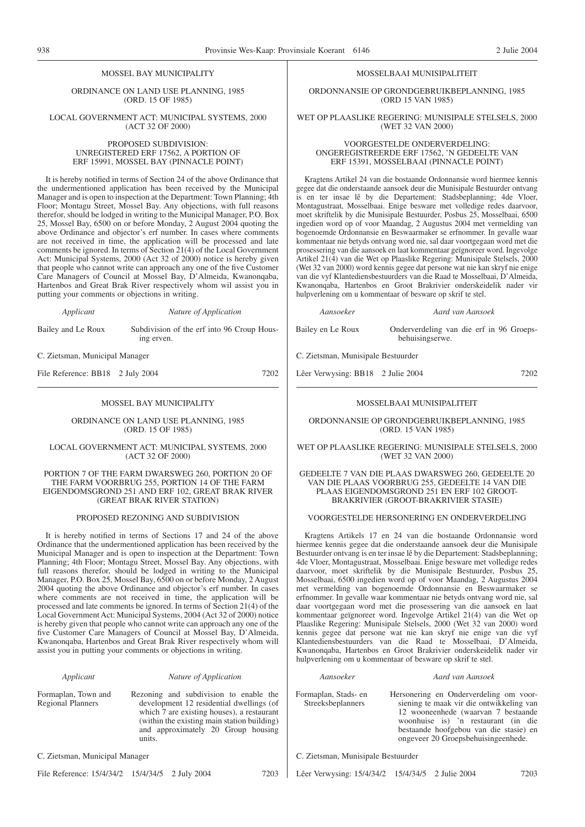### MOSSEL BAY MUNICIPALITY

ORDINANCE ON LAND USE PLANNING, 1985 (ORD. 15 OF 1985)

LOCAL GOVERNMENT ACT: MUNICIPAL SYSTEMS, 2000 (ACT 32 OF 2000)

> PROPOSED SUBDIVISION: UNREGISTERED ERF 17562, A PORTION OF ERF 15991, MOSSEL BAY (PINNACLE POINT)

It is hereby notified in terms of Section 24 of the above Ordinance that the undermentioned application has been received by the Municipal Manager and is open to inspection at the Department: Town Planning; 4th Floor; Montagu Street, Mossel Bay. Any objections, with full reasons therefor, should be lodged in writing to the Municipal Manager, P.O. Box 25, Mossel Bay, 6500 on or before Monday, 2 August 2004 quoting the above Ordinance and objector's erf number. In cases where comments are not received in time, the application will be processed and late comments be ignored. In terms of Section 21(4) of the Local Government Act: Municipal Systems, 2000 (Act 32 of 2000) notice is hereby given that people who cannot write can approach any one of the five Customer Care Managers of Council at Mossel Bay, D'Almeida, Kwanonqaba, Hartenbos and Great Brak River respectively whom wil assist you in putting your comments or objections in writing.

*Applicant Nature of Application*

Bailey and Le Roux Subdivision of the erf into 96 Croup Housing erven.

C. Zietsman, Municipal Manager

File Reference: BB18 2 July 2004 7202

### MOSSEL BAY MUNICIPALITY

ORDINANCE ON LAND USE PLANNING, 1985 (ORD. 15 OF 1985)

LOCAL GOVERNMENT ACT: MUNICIPAL SYSTEMS, 2000 (ACT 32 OF 2000)

PORTION 7 OF THE FARM DWARSWEG 260, PORTION 20 OF THE FARM VOORBRUG 255, PORTION 14 OF THE FARM EIGENDOMSGROND 251 AND ERF 102, GREAT BRAK RIVER (GREAT BRAK RIVER STATION)

### PROPOSED REZONING AND SUBDIVISION

It is hereby notified in terms of Sections 17 and 24 of the above Ordinance that the undermentioned application has been received by the Municipal Manager and is open to inspection at the Department: Town Planning; 4th Floor; Montagu Street, Mossel Bay. Any objections, with full reasons therefor, should be lodged in writing to the Municipal Manager, P.O. Box 25, Mossel Bay, 6500 on or before Monday, 2 August 2004 quoting the above Ordinance and objector's erf number. In cases where comments are not received in time, the application will be processed and late comments be ignored. In terms of Section 21(4) of the Local Government Act: Municipal Systems, 2004 (Act 32 of 2000) notice is hereby given that people who cannot write can approach any one of the five Customer Care Managers of Council at Mossel Bay, D'Almeida, Kwanonqaba, Hartenbos and Great Brak River respectively whom will assist you in putting your comments or objections in writing.

*Applicant Nature of Application* Formaplan, Town and Regional Planners Rezoning and subdivision to enable the development 12 residential dwellings (of which 7 are existing houses), a restaurant (within the existing main station building) and approximately 20 Group housing units.

C. Zietsman, Municipal Manager

File Reference: 15/4/34/2 15/4/34/5 2 July 2004 7203

MOSSELBAAI MUNISIPALITEIT

ORDONNANSIE OP GRONDGEBRUIKBEPLANNING, 1985 (ORD 15 VAN 1985)

WET OP PLAASLIKE REGERING: MUNISIPALE STELSELS, 2000 (WET 32 VAN 2000)

VOORGESTELDE ONDERVERDELING: ONGEREGISTREERDE ERF 17562, 'N GEDEELTE VAN ERF 15391, MOSSELBAAI (PINNACLE POINT)

Kragtens Artikel 24 van die bostaande Ordonnansie word hiermee kennis gegee dat die onderstaande aansoek deur die Munisipale Bestuurder ontvang is en ter insae lê by die Departement: Stadsbeplanning; 4de Vloer, Montagustraat, Mosselbaai. Enige besware met volledige redes daarvoor, moet skriftelik by die Munisipale Bestuurder, Posbus 25, Mosselbaai, 6500 ingedien word op of voor Maandag, 2 Augustus 2004 met vermelding van bogenoemde Ordonnansie en Beswaarmaker se erfnommer. In gevalle waar kommentaar nie betyds ontvang word nie, sal daar voortgegaan word met die prosessering van die aansoek en laat kommentaar geïgnoreer word. Ingevolge Artikel 21(4) van die Wet op Plaaslike Regering: Munisipale Stelsels, 2000 (Wet 32 van 2000) word kennis gegee dat persone wat nie kan skryf nie enige van die vyf Klantediensbestuurders van die Raad te Mosselbaai, D'Almeida, Kwanonqaba, Hartenbos en Groot Brakrivier onderskeidelik nader vir hulpverlening om u kommentaar of besware op skrif te stel.

*Aansoeker Aard van Aansoek*

Bailey en Le Roux Onderverdeling van die erf in 96 Groepsbehuisingserwe.

C. Zietsman, Munisipale Bestuurder

Lêer Verwysing: BB18 2 Julie 2004 7202

### MOSSELBAAI MUNISIPALITEIT

ORDONNANSIE OP GRONDGEBRUIKBEPLANNING, 1985 (ORD. 15 VAN 1985)

WET OP PLAASLIKE REGERING: MUNISIPALE STELSELS, 2000 (WET 32 VAN 2000)

### GEDEELTE 7 VAN DIE PLAAS DWARSWEG 260, GEDEELTE 20 VAN DIE PLAAS VOORBRUG 255, GEDEELTE 14 VAN DIE PLAAS EIGENDOMSGROND 251 EN ERF 102 GROOT-BRAKRIVIER (GROOT-BRAKRIVIER STASIE)

### VOORGESTELDE HERSONERING EN ONDERVERDELING

Kragtens Artikels 17 en 24 van die bostaande Ordonnansie word hiermee kennis gegee dat die onderstaande aansoek deur die Munisipale Bestuurder ontvang is en ter insae lê by die Departement: Stadsbeplanning; 4de Vloer, Montagustraat, Mosselbaai. Enige besware met volledige redes daarvoor, moet skriftelik by die Munisipale Bestuurder, Posbus 25, Mosselbaai, 6500 ingedien word op of voor Maandag, 2 Augustus 2004 met vermelding van bogenoemde Ordonnansie en Beswaarmaker se erfnommer. In gevalle waar kommentaar nie betyds ontvang word nie, sal daar voortgegaan word met die prosessering van die aansoek en laat kommentaar geïgnoreer word. Ingevolge Artikel 21(4) van die Wet op Plaaslike Regering: Munisipale Stelsels, 2000 (Wet 32 van 2000) word kennis gegee dat persone wat nie kan skryf nie enige van die vyf Klantediensbestuurders van die Raad te Mosselbaai, D'Almeida, Kwanonqaba, Hartenbos en Groot Brakrivier onderskeidelik nader vir hulpverlening om u kommentaar of besware op skrif te stel.

### *Aansoeker Aard van Aansoek*

Formaplan, Stads- en Streeksbeplanners Hersonering en Onderverdeling om voorsiening te maak vir die ontwikkeling van 12 wooneenhede (waarvan 7 bestaande woonhuise is) 'n restaurant (in die bestaande hoofgebou van die stasie) en ongeveer 20 Groepsbehuisingeenhede.

C. Zietsman, Munisipale Bestuurder

Lêer Verwysing: 15/4/34/2 15/4/34/5 2 Julie 2004 7203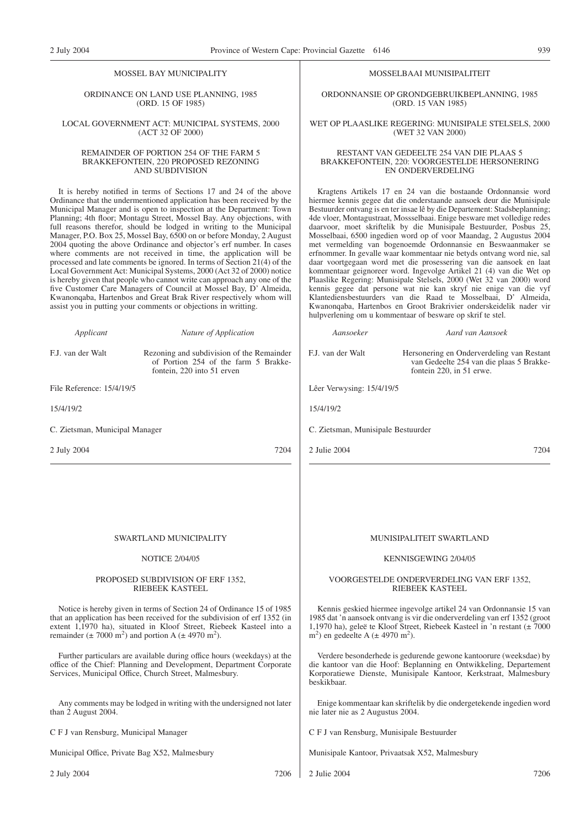### MOSSEL BAY MUNICIPALITY

### ORDINANCE ON LAND USE PLANNING, 1985 (ORD. 15 OF 1985)

### LOCAL GOVERNMENT ACT: MUNICIPAL SYSTEMS, 2000 (ACT 32 OF 2000)

### REMAINDER OF PORTION 254 OF THE FARM 5 BRAKKEFONTEIN, 220 PROPOSED REZONING AND SUBDIVISION

It is hereby notified in terms of Sections 17 and 24 of the above Ordinance that the undermentioned application has been received by the Municipal Manager and is open to inspection at the Department: Town Planning; 4th floor; Montagu Street, Mossel Bay. Any objections, with full reasons therefor, should be lodged in writing to the Municipal Manager, P.O. Box 25, Mossel Bay, 6500 on or before Monday, 2 August 2004 quoting the above Ordinance and objector's erf number. In cases where comments are not received in time, the application will be processed and late comments be ignored. In terms of Section 21(4) of the Local Government Act: Municipal Systems, 2000 (Act 32 of 2000) notice is hereby given that people who cannot write can approach any one of the five Customer Care Managers of Council at Mossel Bay, D' Almeida, Kwanonqaba, Hartenbos and Great Brak River respectively whom will assist you in putting your comments or objections in writting.

| Applicant                                                                            | Nature of Application                                                                                                                                                                                                     | Aansoeker                                                     | Aard van Aansoek                                                                                                                                                                                                            |
|--------------------------------------------------------------------------------------|---------------------------------------------------------------------------------------------------------------------------------------------------------------------------------------------------------------------------|---------------------------------------------------------------|-----------------------------------------------------------------------------------------------------------------------------------------------------------------------------------------------------------------------------|
| F.J. van der Walt                                                                    | Rezoning and subdivision of the Remainder<br>of Portion 254 of the farm 5 Brakke-<br>fontein, 220 into 51 erven                                                                                                           | F.J. van der Walt                                             | Hersonering en Onderverdeling van Restant<br>van Gedeelte 254 van die plaas 5 Brakke-<br>fontein 220, in 51 erwe.                                                                                                           |
| File Reference: 15/4/19/5                                                            |                                                                                                                                                                                                                           | Lêer Verwysing: 15/4/19/5                                     |                                                                                                                                                                                                                             |
| 15/4/19/2                                                                            |                                                                                                                                                                                                                           | 15/4/19/2                                                     |                                                                                                                                                                                                                             |
| C. Zietsman, Municipal Manager                                                       |                                                                                                                                                                                                                           | C. Zietsman, Munisipale Bestuurder                            |                                                                                                                                                                                                                             |
| 2 July 2004                                                                          | 7204                                                                                                                                                                                                                      | 2 Julie 2004                                                  | 7204                                                                                                                                                                                                                        |
|                                                                                      |                                                                                                                                                                                                                           |                                                               |                                                                                                                                                                                                                             |
|                                                                                      | SWARTLAND MUNICIPALITY                                                                                                                                                                                                    |                                                               | MUNISIPALITEIT SWARTLAND                                                                                                                                                                                                    |
|                                                                                      | <b>NOTICE 2/04/05</b>                                                                                                                                                                                                     |                                                               | KENNISGEWING 2/04/05                                                                                                                                                                                                        |
|                                                                                      | PROPOSED SUBDIVISION OF ERF 1352,<br><b>RIEBEEK KASTEEL</b>                                                                                                                                                               |                                                               | VOORGESTELDE ONDERVERDELING VAN ERF 1352,<br><b>RIEBEEK KASTEEL</b>                                                                                                                                                         |
| remainder ( $\pm$ 7000 m <sup>2</sup> ) and portion A ( $\pm$ 4970 m <sup>2</sup> ). | Notice is hereby given in terms of Section 24 of Ordinance 15 of 1985<br>that an application has been received for the subdivision of erf 1352 (in<br>extent 1,1970 ha), situated in Kloof Street, Riebeek Kasteel into a | m <sup>2</sup> ) en gedeelte A ( $\pm$ 4970 m <sup>2</sup> ). | Kennis geskied hiermee ingevolge artikel 24 van Ordonnansie 15 van<br>1985 dat 'n aansoek ontvang is vir die onderverdeling van erf 1352 (groot<br>1,1970 ha), geleë te Kloof Street, Riebeek Kasteel in 'n restant (± 7000 |

Further particulars are available during office hours (weekdays) at the office of the Chief: Planning and Development, Department Corporate Services, Municipal Office, Church Street, Malmesbury.

Any comments may be lodged in writing with the undersigned not later than 2 August 2004.

C F J van Rensburg, Municipal Manager

Municipal Office, Private Bag X52, Malmesbury

2 July 2004 7206

### MOSSELBAAI MUNISIPALITEIT

ORDONNANSIE OP GRONDGEBRUIKBEPLANNING, 1985 (ORD. 15 VAN 1985)

### WET OP PLAASLIKE REGERING: MUNISIPALE STELSELS, 2000 (WET 32 VAN 2000)

### RESTANT VAN GEDEELTE 254 VAN DIE PLAAS 5 BRAKKEFONTEIN, 220: VOORGESTELDE HERSONERING EN ONDERVERDELING

Kragtens Artikels 17 en 24 van die bostaande Ordonnansie word hiermee kennis gegee dat die onderstaande aansoek deur die Munisipale Bestuurder ontvang is en ter insae lê by die Departement: Stadsbeplanning; 4de vloer, Montagustraat, Mossselbaai. Enige besware met volledige redes daarvoor, moet skriftelik by die Munisipale Bestuurder, Posbus 25, Mosselbaai, 6500 ingedien word op of voor Maandag, 2 Augustus 2004 met vermelding van bogenoemde Ordonnansie en Beswaanmaker se erfnommer. In gevalle waar kommentaar nie betyds ontvang word nie, sal daar voortgegaan word met die prosessering van die aansoek en laat kommentaar geignoreer word. Ingevolge Artikel 21 (4) van die Wet op Plaaslike Regering: Munisipale Stelsels, 2000 (Wet 32 van 2000) word kennis gegee dat persone wat nie kan skryf nie enige van die vyf Klantediensbestuurders van die Raad te Mosselbaai, D' Almeida, Kwanonqaba, Hartenbos en Groot Brakrivier onderskeidelik nader vir hulpverlening om u kommentaar of besware op skrif te stel.

Verdere besonderhede is gedurende gewone kantoorure (weeksdae) by die kantoor van die Hoof: Beplanning en Ontwikkeling, Departement Korporatiewe Dienste, Munisipale Kantoor, Kerkstraat, Malmesbury beskikbaar.

Enige kommentaar kan skriftelik by die ondergetekende ingedien word nie later nie as 2 Augustus 2004.

C F J van Rensburg, Munisipale Bestuurder

Munisipale Kantoor, Privaatsak X52, Malmesbury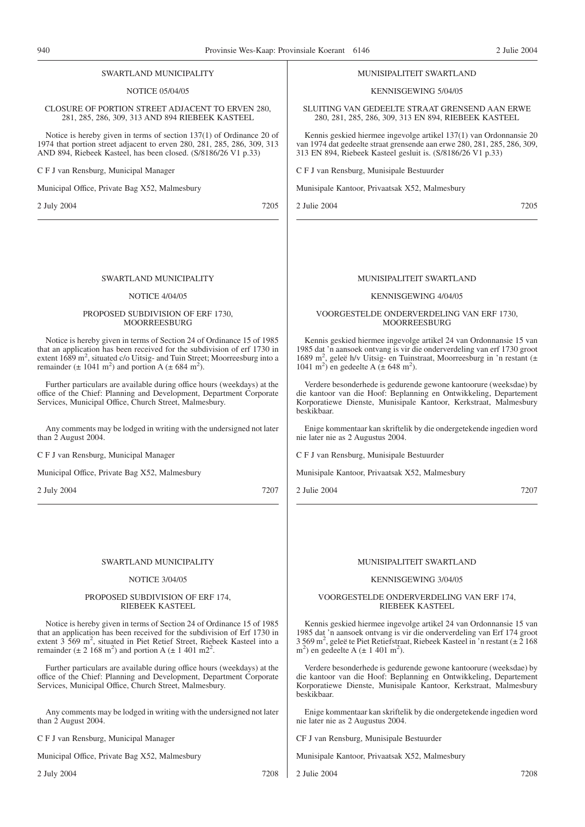### NOTICE 05/04/05 CLOSURE OF PORTION STREET ADJACENT TO ERVEN 280, 281, 285, 286, 309, 313 AND 894 RIEBEEK KASTEEL Notice is hereby given in terms of section 137(1) of Ordinance 20 of 1974 that portion street adjacent to erven 280, 281, 285, 286, 309, 313 AND 894, Riebeek Kasteel, has been closed. (S/8186/26 V1 p.33) C F J van Rensburg, Municipal Manager Municipal Office, Private Bag X52, Malmesbury KENNISGEWING 5/04/05 C F J van Rensburg, Munisipale Bestuurder Munisipale Kantoor, Privaatsak X52, Malmesbury

2 July 2004 7205

### SWARTLAND MUNICIPALITY

SWARTLAND MUNICIPALITY

### NOTICE 4/04/05

### PROPOSED SUBDIVISION OF ERF 1730, MOORREESBURG

Notice is hereby given in terms of Section 24 of Ordinance 15 of 1985 that an application has been received for the subdivision of erf 1730 in extent  $1689 \text{ m}^2$ , situated c/o Uitsig- and Tuin Street; Moorreesburg into a remainder ( $\pm$  1041 m<sup>2</sup>) and portion A ( $\pm$  684 m<sup>2</sup>).

Further particulars are available during office hours (weekdays) at the office of the Chief: Planning and Development, Department Corporate Services, Municipal Office, Church Street, Malmesbury.

Any comments may be lodged in writing with the undersigned not later than 2 August 2004.

C F J van Rensburg, Municipal Manager

Municipal Office, Private Bag X52, Malmesbury

2 July 2004 7207

### SWARTLAND MUNICIPALITY

### NOTICE 3/04/05

### PROPOSED SUBDIVISION OF ERF 174, RIEBEEK KASTEEL

Notice is hereby given in terms of Section 24 of Ordinance 15 of 1985 that an application has been received for the subdivision of Erf 1730 in extent 3 569 m<sup>2</sup>, situated in Piet Retief Street, Riebeek Kasteel into a remainder  $(\pm 2.168 \text{ m}^2)$  and portion A  $(\pm 1.401 \text{ m}^2)$ .

Further particulars are available during office hours (weekdays) at the office of the Chief: Planning and Development, Department Corporate Services, Municipal Office, Church Street, Malmesbury.

Any comments may be lodged in writing with the undersigned not later than 2 August 2004.

C F J van Rensburg, Municipal Manager

Municipal Office, Private Bag X52, Malmesbury

2 July 2004 7208

MUNISIPALITEIT SWARTLAND

SLUITING VAN GEDEELTE STRAAT GRENSEND AAN ERWE 280, 281, 285, 286, 309, 313 EN 894, RIEBEEK KASTEEL

Kennis geskied hiermee ingevolge artikel 137(1) van Ordonnansie 20 van 1974 dat gedeelte straat grensende aan erwe 280, 281, 285, 286, 309, 313 EN 894, Riebeek Kasteel gesluit is. (S/8186/26 V1 p.33)

2 Julie 2004 7205

### MUNISIPALITEIT SWARTLAND

### KENNISGEWING 4/04/05

### VOORGESTELDE ONDERVERDELING VAN ERF 1730, MOORREESBURG

Kennis geskied hiermee ingevolge artikel 24 van Ordonnansie 15 van 1985 dat 'n aansoek ontvang is vir die onderverdeling van erf 1730 groot 1689 m<sup>2</sup>, geleë h/v Uitsig- en Tuinstraat, Moorreesburg in 'n restant (± 1041 m<sup>2</sup>) en gedeelte A (± 648 m<sup>2</sup>).

Verdere besonderhede is gedurende gewone kantoorure (weeksdae) by die kantoor van die Hoof: Beplanning en Ontwikkeling, Departement Korporatiewe Dienste, Munisipale Kantoor, Kerkstraat, Malmesbury beskikbaar.

Enige kommentaar kan skriftelik by die ondergetekende ingedien word nie later nie as 2 Augustus 2004.

C F J van Rensburg, Munisipale Bestuurder

Munisipale Kantoor, Privaatsak X52, Malmesbury

2 Julie 2004 7207

### MUNISIPALITEIT SWARTLAND

### KENNISGEWING 3/04/05

### VOORGESTELDE ONDERVERDELING VAN ERF 174, RIEBEEK KASTEEL

Kennis geskied hiermee ingevolge artikel 24 van Ordonnansie 15 van 1985 dat 'n aansoek ontvang is vir die onderverdeling van Erf 174 groot 3 569 m2 , geleë te Piet Retiefstraat, Riebeek Kasteel in 'n restant (± 2 168  $m<sup>2</sup>$ ) en gedeelte A ( $\pm$  1 401 m<sup>2</sup>).

Verdere besonderhede is gedurende gewone kantoorure (weeksdae) by die kantoor van die Hoof: Beplanning en Ontwikkeling, Departement Korporatiewe Dienste, Munisipale Kantoor, Kerkstraat, Malmesbury beskikbaar.

Enige kommentaar kan skriftelik by die ondergetekende ingedien word nie later nie as 2 Augustus 2004.

CF J van Rensburg, Munisipale Bestuurder

Munisipale Kantoor, Privaatsak X52, Malmesbury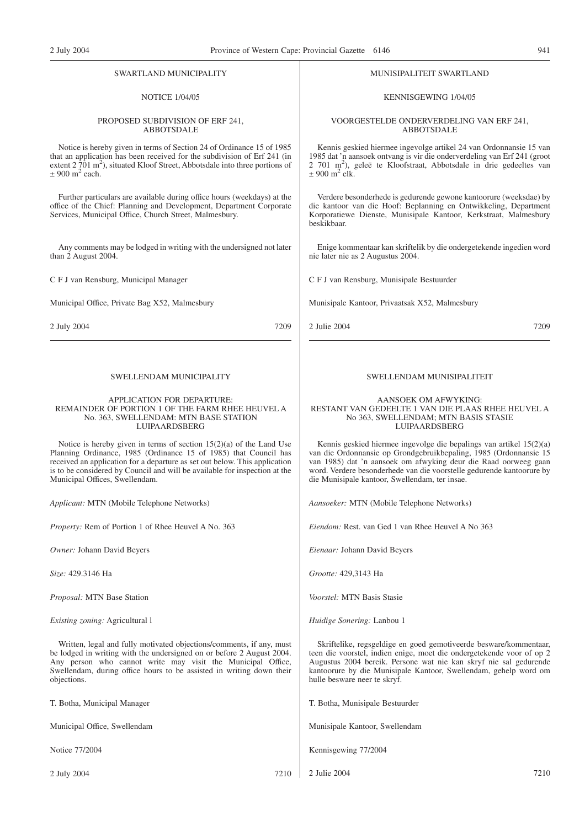### SWARTLAND MUNICIPALITY

### NOTICE 1/04/05

### PROPOSED SUBDIVISION OF ERF 241, ABBOTSDALE

Notice is hereby given in terms of Section 24 of Ordinance 15 of 1985 that an application has been received for the subdivision of Erf 241 (in extent  $2\overline{701}$  m<sup>2</sup>), situated Kloof Street, Abbotsdale into three portions of  $\pm$  900 m<sup>2</sup> each.

Further particulars are available during office hours (weekdays) at the office of the Chief: Planning and Development, Department Corporate Services, Municipal Office, Church Street, Malmesbury.

Any comments may be lodged in writing with the undersigned not later than 2 August 2004.

C F J van Rensburg, Municipal Manager

Municipal Office, Private Bag X52, Malmesbury

2 July 2004 7209

### SWELLENDAM MUNICIPALITY

### APPLICATION FOR DEPARTURE: REMAINDER OF PORTION 1 OF THE FARM RHEE HEUVEL A No. 363, SWELLENDAM: MTN BASE STATION LUIPAARDSBERG

Notice is hereby given in terms of section 15(2)(a) of the Land Use Planning Ordinance, 1985 (Ordinance 15 of 1985) that Council has received an application for a departure as set out below. This application is to be considered by Council and will be available for inspection at the Municipal Offices, Swellendam.

*Applicant:* MTN (Mobile Telephone Networks)

*Property:* Rem of Portion 1 of Rhee Heuvel A No. 363

*Owner:* Johann David Beyers

*Size:* 429.3146 Ha

*Proposal:* MTN Base Station

*Existing zoning:* Agricultural l

Written, legal and fully motivated objections/comments, if any, must be lodged in writing with the undersigned on or before 2 August 2004. Any person who cannot write may visit the Municipal Office, Swellendam, during office hours to be assisted in writing down their objections.

T. Botha, Municipal Manager

Municipal Office, Swellendam

Notice 77/2004

2 July 2004 7210

### MUNISIPALITEIT SWARTLAND

KENNISGEWING 1/04/05

VOORGESTELDE ONDERVERDELING VAN ERF 241, ABBOTSDALE

Kennis geskied hiermee ingevolge artikel 24 van Ordonnansie 15 van 1985 dat 'n aansoek ontvang is vir die onderverdeling van Erf 241 (groot 2 701 m2 ), geleë te Kloofstraat, Abbotsdale in drie gedeeltes van  $\pm$  900 m<sup>2</sup> elk.

Verdere besonderhede is gedurende gewone kantoorure (weeksdae) by die kantoor van die Hoof: Beplanning en Ontwikkeling, Department Korporatiewe Dienste, Munisipale Kantoor, Kerkstraat, Malmesbury beskikbaar.

Enige kommentaar kan skriftelik by die ondergetekende ingedien word nie later nie as 2 Augustus 2004.

C F J van Rensburg, Munisipale Bestuurder

Munisipale Kantoor, Privaatsak X52, Malmesbury

2 Julie 2004 7209

### SWELLENDAM MUNISIPALITEIT

### AANSOEK OM AFWYKING: RESTANT VAN GEDEELTE 1 VAN DIE PLAAS RHEE HEUVEL A No 363, SWELLENDAM; MTN BASIS STASIE LUIPAARDSBERG

Kennis geskied hiermee ingevolge die bepalings van artikel 15(2)(a) van die Ordonnansie op Grondgebruikbepaling, 1985 (Ordonnansie 15 van 1985) dat 'n aansoek om afwyking deur die Raad oorweeg gaan word. Verdere besonderhede van die voorstelle gedurende kantoorure by die Munisipale kantoor, Swellendam, ter insae.

*Aansoeker:* MTN (Mobile Telephone Networks)

*Eiendom:* Rest. van Ged 1 van Rhee Heuvel A No 363

*Eienaar:* Johann David Beyers

*Grootte:* 429,3143 Ha

*Voorstel:* MTN Basis Stasie

*Huidige Sonering:* Lanbou 1

Skriftelike, regsgeldige en goed gemotiveerde besware/kommentaar, teen die voorstel, indien enige, moet die ondergetekende voor of op 2 Augustus 2004 bereik. Persone wat nie kan skryf nie sal gedurende kantoorure by die Munisipale Kantoor, Swellendam, gehelp word om hulle besware neer te skryf.

T. Botha, Munisipale Bestuurder

Munisipale Kantoor, Swellendam

Kennisgewing 77/2004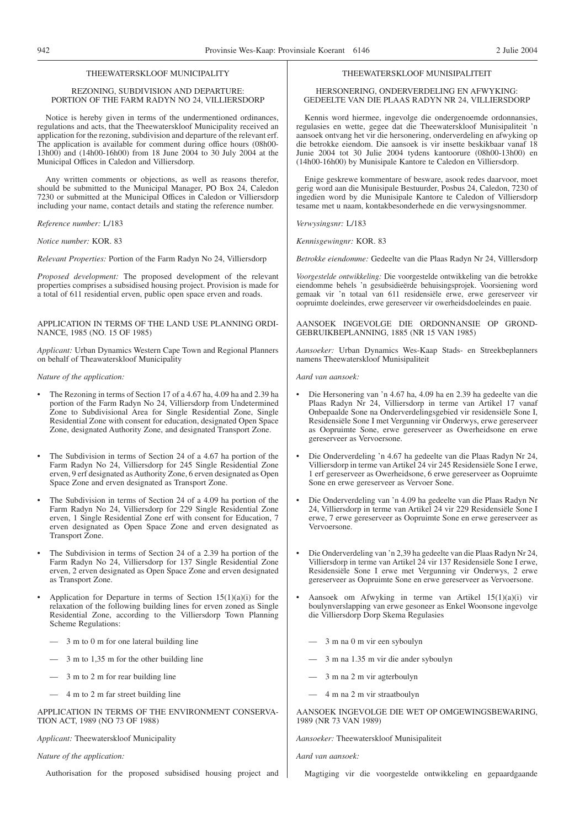### THEEWATERSKLOOF MUNICIPALITY

### REZONING, SUBDIVISION AND DEPARTURE: PORTION OF THE FARM RADYN NO 24, VILLIERSDORP

Notice is hereby given in terms of the undermentioned ordinances, regulations and acts, that the Theewaterskloof Municipality received an application for the rezoning, subdivision and departure of the relevant erf. The application is available for comment during office hours (08h00- 13h00) and (14h00-16h00) from 18 June 2004 to 30 July 2004 at the Municipal Offices in Caledon and Villiersdorp.

Any written comments or objections, as well as reasons therefor, should be submitted to the Municipal Manager, PO Box 24, Caledon 7230 or submitted at the Municipal Offices in Caledon or Villiersdorp including your name, contact details and stating the reference number.

*Reference number:* L/183

*Notice number:* KOR. 83

*Relevant Properties:* Portion of the Farm Radyn No 24, Villiersdorp

*Proposed development:* The proposed development of the relevant properties comprises a subsidised housing project. Provision is made for a total of 611 residential erven, public open space erven and roads.

APPLICATION IN TERMS OF THE LAND USE PLANNING ORDI-NANCE, 1985 (NO. 15 OF 1985)

*Applicant:* Urban Dynamics Western Cape Town and Regional Planners on behalf of Theawaterskloof Municipality

### *Nature of the application:*

- The Rezoning in terms of Section 17 of a 4.67 ha, 4.09 ha and 2.39 ha portion of the Farm Radyn No 24, Villiersdorp from Undetermined Zone to Subdivisional Area for Single Residential Zone, Single Residential Zone with consent for education, designated Open Space Zone, designated Authority Zone, and designated Transport Zone.
- The Subdivision in terms of Section 24 of a 4.67 ha portion of the Farm Radyn No 24, Villiersdorp for 245 Single Residential Zone erven, 9 erf designated as Authority Zone, 6 erven designated as Open Space Zone and erven designated as Transport Zone.
- The Subdivision in terms of Section 24 of a 4.09 ha portion of the Farm Radyn No 24, Villiersdorp for 229 Single Residential Zone erven, 1 Single Residential Zone erf with consent for Education, 7 erven designated as Open Space Zone and erven designated as Transport Zone.
- The Subdivision in terms of Section 24 of a 2.39 ha portion of the Farm Radyn No 24, Villiersdorp for 137 Single Residential Zone erven, 2 erven designated as Open Space Zone and erven designated as Transport Zone.
- Application for Departure in terms of Section  $15(1)(a)(i)$  for the relaxation of the following building lines for erven zoned as Single Residential Zone, according to the Villiersdorp Town Planning Scheme Regulations:
	- 3 m to 0 m for one lateral building line
	- 3 m to 1,35 m for the other building line
	- 3 m to 2 m for rear building line
	- 4 m to 2 m far street building line

APPLICATION IN TERMS OF THE ENVIRONMENT CONSERVA-TION ACT, 1989 (NO 73 OF 1988)

*Applicant:* Theewaterskloof Municipality

### *Nature of the application:*

Authorisation for the proposed subsidised housing project and

### THEEWATERSKLOOF MUNISIPALITEIT

HERSONERING, ONDERVERDELING EN AFWYKING: GEDEELTE VAN DIE PLAAS RADYN NR 24, VILLIERSDORP

Kennis word hiermee, ingevolge die ondergenoemde ordonnansies, regulasies en wette, gegee dat die Theewaterskloof Munisipaliteit 'n aansoek ontvang het vir die hersonering, onderverdeling en afwyking op die betrokke eiendom. Die aansoek is vir insette beskikbaar vanaf 18 Junie 2004 tot 30 Julie 2004 tydens kantoorure (08h00-13h00) en (14h00-16h00) by Munisipale Kantore te Caledon en Villiersdorp.

Enige geskrewe kommentare of besware, asook redes daarvoor, moet gerig word aan die Munisipale Bestuurder, Posbus 24, Caledon, 7230 of ingedien word by die Munisipale Kantore te Caledon of Villiersdorp tesame met u naam, kontakbesonderhede en die verwysingsnommer.

*Verwysingsnr:* L/183

*Kennisgewingnr:* KOR. 83

*Betrokke eiendomme:* Gedeelte van die Plaas Radyn Nr 24, Villlersdorp

*Voorgestelde ontwikkeling:* Die voorgestelde ontwikkeling van die betrokke eiendomme behels 'n gesubsidieërde behuisingsprojek. Voorsiening word gemaak vir 'n totaal van 611 residensiële erwe, erwe gereserveer vir oopruimte doeleindes, erwe gereserveer vir owerheidsdoeleindes en paaie.

AANSOEK INGEVOLGE DIE ORDONNANSIE OP GROND-GEBRUIKBEPLANNING, 1885 (NR 15 VAN 1985)

*Aansoeker:* Urban Dynamics Wes-Kaap Stads- en Streekbeplanners namens Theewaterskloof Munisipaliteit

*Aard van aansoek:*

- Die Hersonering van 'n 4.67 ha, 4.09 ha en 2.39 ha gedeelte van die Plaas Radyn Nr 24, Villiersdorp in terme van Artikel 17 vanaf Onbepaalde Sone na Onderverdelingsgebied vir residensiële Sone I, Residensiële Sone I met Vergunning vir Onderwys, erwe gereserveer as Oopruimte Sone, erwe gereserveer as Owerheidsone en erwe gereserveer as Vervoersone.
- Die Onderverdeling 'n 4.67 ha gedeelte van die Plaas Radyn Nr 24, Villiersdorp in terme van Artikel 24 vir 245 Residensiële Sone I erwe, 1 erf gereserveer as Owerheidsone, 6 erwe gereserveer as Oopruimte Sone en erwe gereserveer as Vervoer Sone.
- Die Onderverdeling van 'n 4.09 ha gedeelte van die Plaas Radyn Nr 24, Villiersdorp in terme van Artikel 24 vir 229 Residensiële Sone I erwe, 7 erwe gereserveer as Oopruimte Sone en erwe gereserveer as Vervoersone.
- Die Onderverdeling van 'n 2,39 ha gedeelte van die Plaas Radyn Nr 24, Villiersdorp in terme van Artikel 24 vir 137 Residensiële Sone I erwe, Residensiële Sone I erwe met Vergunning vir Onderwys, 2 erwe gereserveer as Oopruimte Sone en erwe gereserveer as Vervoersone.
- Aansoek om Afwyking in terme van Artikel 15(1)(a)(i) vir boulynverslapping van erwe gesoneer as Enkel Woonsone ingevolge die Villiersdorp Dorp Skema Regulasies
	- 3 m na 0 m vir een syboulyn
	- 3 m na 1.35 m vir die ander syboulyn
	- 3 m na 2 m vir agterboulyn
	- 4 m na 2 m vir straatboulyn

### AANSOEK INGEVOLGE DIE WET OP OMGEWINGSBEWARING, 1989 (NR 73 VAN 1989)

*Aansoeker:* Theewaterskloof Munisipaliteit

*Aard van aansoek:*

Magtiging vir die voorgestelde ontwikkeling en gepaardgaande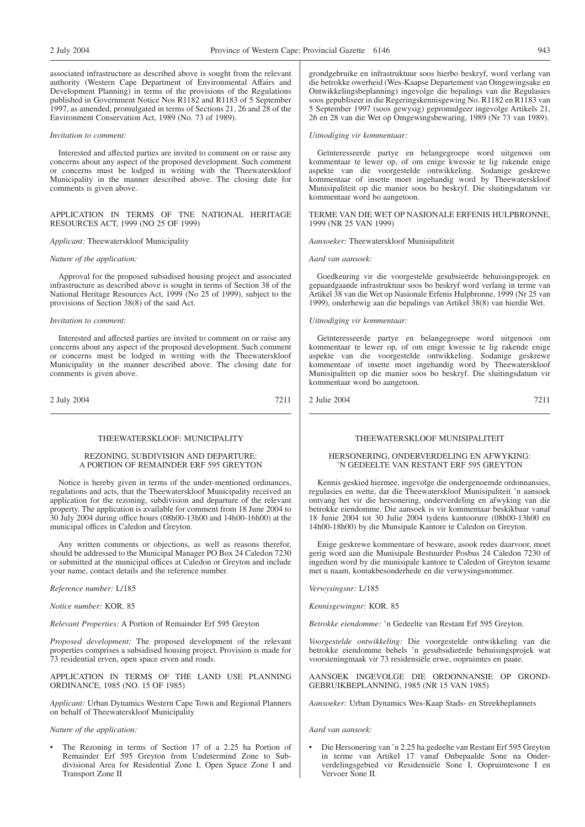associated infrastructure as described above is sought from the relevant authority (Western Cape Department of Environmental Affairs and Development Planning) in terms of the provisions of the Regulations published in Government Notice Nos R1182 and R1183 of 5 September 1997, as amended, promulgated in terms of Sections 21, 26 and 28 of the Environment Conservation Act, 1989 (No. 73 of 1989).

### *Invitation to comment:*

Interested and affected parties are invited to comment on or raise any concerns about any aspect of the proposed development. Such comment or concerns must be lodged in writing with the Theewaterskloof Municipality in the manner described above. The closing date for comments is given above.

### APPLICATION IN TERMS OF TNE NATIONAL HERITAGE RESOURCES ACT, 1999 (NO 25 OF 1999)

### *Applicant:* Theewaterskloof Municipality

### *Nature of the application:*

Approval for the proposed subsidised housing project and associated infrastructure as described above is sought in terms of Section 38 of the National Heritage Resources Act, 1999 (No 25 of 1999), subject to the provisions of Section 38(8) of the said Act.

### *Invitation to comment:*

Interested and affected parties are invited to comment on or raise any concerns about any aspect of the proposed development. Such comment or concerns must be lodged in writing with the Theewaterskloof Municipality in the manner described above. The closing date for comments is given above.

2 July 2004 7211

### THEEWATERSKLOOF: MUNICIPALITY

### REZONING, SUBDIVISION AND DEPARTURE: A PORTION OF REMAINDER ERF 595 GREYTON

Notice is hereby given in terms of the under-mentioned ordinances, regulations and acts, that the Theewaterskloof Municipality received an application for the rezoning, subdivision and departure of the relevant property. The application is available for comment from 18 June 2004 to 30 July 2004 during office hours (08h00-13h00 and 14h00-16h00) at the municipal offices in Caledon and Greyton.

Any written comments or objections, as well as reasons therefor, should be addressed to the Municipal Manager PO Box 24 Caledon 7230 or submitted at the municipal offices at Caledon or Greyton and include your name, contact details and the reference number.

*Reference number:* L/185

*Notice number:* KOR. 85

*Relevant Properties:* A Portion of Remainder Erf 595 Greyton

*Proposed development:* The proposed development of the relevant properties comprises a subsidised housing project. Provision is made for 73 residential erven, open space erven and roads.

APPLICATION IN TERMS OF THE LAND USE PLANNING ORDINANCE, 1985 (NO. 15 OF 1985)

*Applicant:* Urban Dynamics Western Cape Town and Regional Planners on behalf of Theewaterskloof Municipality

### *Nature of the application:*

The Rezoning in terms of Section 17 of a 2.25 ha Portion of Remainder Erf 595 Greyton from Undetermind Zone to Subdivisional Area for Residential Zone I, Open Space Zone I and Transport Zone II

grondgebruike en infrastruktuur soos hierbo beskryf, word verlang van die betrokke owerheid (Wes-Kaapse Departement van Omgewingsake en Ontwikkelingsbeplanning) ingevolge die bepalings van die Regulasies soos gepubliseer in die Regeringskennisgewing No. R1182 en R1183 van 5 September 1997 (soos gewysig) gepromulgeer ingevolge Artikels 21, 26 en 28 van die Wet op Omgewingsbewaring, 1989 (Nr 73 van 1989).

### *Uitnodiging vir kommentaar:*

Geïnteresseerde partye en belangegroepe word uitgenooi om kommentaar te lewer op, of om enige kwessie te lig rakende enige aspekte van die voorgestelde ontwikkeling. Sodanige geskrewe kommentaar of insette moet ingehandig word by Theewaterskloof Munisipaliteit op die manier soos bo beskryf. Die sluitingsdatum vir kommentaar word bo aangetoon.

### TERME VAN DIE WET OP NASIONALE ERFENIS HULPBRONNE, 1999 (NR 25 VAN 1999)

*Aansoeker:* Theewaterskloof Munisipaliteit

*Aard van aansoek:*

Goedkeuring vir die voorgestelde gesubsieërde behuisingsprojek en gepaardgaande infrastruktuur soos bo beskryf word verlang in terme van Artikel 38 van die Wet op Nasionale Erfenis Hulpbronne, 1999 (Nr 25 van 1999), onderhewig aan die bepalings van Artikel 38(8) van hierdie Wet.

### *Uitnodiging vir kommentaar:*

Geïnteresseerde partye en belangegroepe word uitgenooi om kommentaar te lewer op, of om enige kwessie te lig rakende enige aspekte van die voorgestelde ontwikkeling. Sodanige geskrewe kommentaar of insette moet ingehandig word by Theewaterskloof Munisipaliteit op die manier soos bo beskryf. Die sluitingsdatum vir kommentaar word bo aangetoon.

### 2 Julie 2004 7211

### THEEWATERSKLOOF MUNISIPALITEIT

### HERSONERING, ONDERVERDELING EN AFWYKING: 'N GEDEELTE VAN RESTANT ERF 595 GREYTON

Kennis geskied hiermee, ingevolge die ondergenoemde ordonnansies, regulasies en wette, dat die Theewaterskloof Munisipaliteit 'n aansoek ontvang het vir die hersonering, onderverdeling en afwyking van die betrokke eiendomme. Die aansoek is vir kommentaar beskikbaar vanaf 18 Junie 2004 tot 30 Julie 2004 tydens kantoorure (08h00-13h00 en 14h00-18h00) by die Munsipale Kantore te Caledon on Greyton.

Enige geskrewe kommentare of besware, asook redes daarvoor, moet gerig word aan die Munisipale Bestuurder Posbus 24 Caledon 7230 of ingedien word by die munisipale kantore te Caledon of Greyton tesame met u naam, kontakbesonderhede en die verwysingsnommer.

*Verwysingsnr:* L/185

*Kennisgewingnr:* KOR. 85

*Betrokke eiendomme:* 'n Gedeelte van Restant Erf 595 Greyton.

*Voorgestelde ontwikkeling:* Die voorgestelde ontwikkeling van die betrokke eiendomme behels 'n gesubsidieërde behuisingsprojek wat voorsieningmaak vir 73 residensiële erwe, oopruimtes en paaie.

AANSOEK INGEVOLGE DIE ORDONNANSIE OP GROND-GEBRUIKBEPLANNING, 1985 (NR 15 VAN 1985)

*Aansoeker:* Urban Dynamics Wes-Kaap Stads- en Streekbeplanners

### *Aard van aansoek:*

• Die Hersonering van 'n 2.25 ha gedeelte van Restant Erf 595 Greyton in terme van Artikel 17 vanaf Onbepaalde Sone na Onderverdelingsgebied vir Residensiële Sone I, Oopruimtesone I en Vervoer Sone II.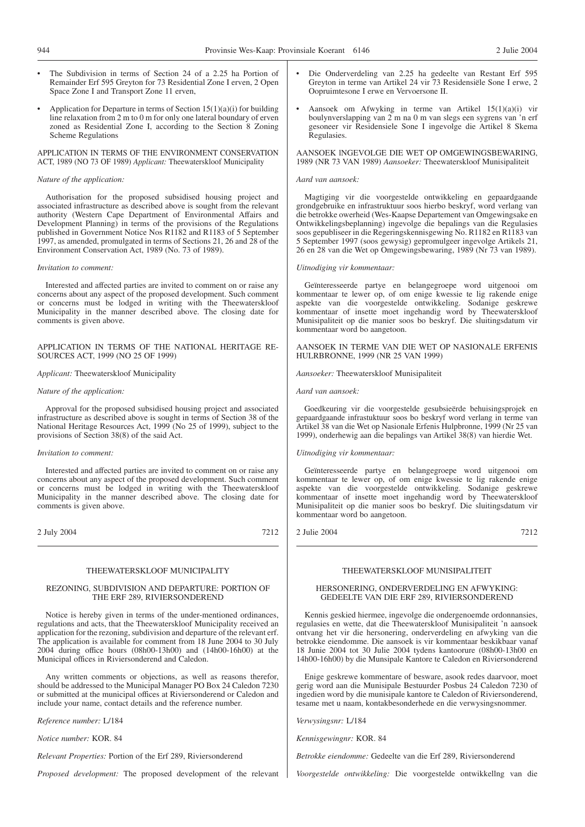- The Subdivision in terms of Section 24 of a 2.25 ha Portion of Remainder Erf 595 Greyton for 73 Residential Zone I erven, 2 Open Space Zone I and Transport Zone 11 erven,
- Application for Departure in terms of Section  $15(1)(a)(i)$  for building line relaxation from 2 m to 0 m for only one lateral boundary of erven zoned as Residential Zone I, according to the Section 8 Zoning Scheme Regulations

APPLICATION IN TERMS OF THE ENVIRONMENT CONSERVATION ACT, 1989 (NO 73 OF 1989) *Applicant:* Theewaterskloof Municipality

### *Nature of the application:*

Authorisation for the proposed subsidised housing project and associated infrastructure as described above is sought from the relevant authority (Western Cape Department of Environmental Affairs and Development Planning) in terms of the provisions of the Regulations published in Government Notice Nos R1182 and R1183 of 5 September 1997, as amended, promulgated in terms of Sections 21, 26 and 28 of the Environment Conservation Act, 1989 (No. 73 of 1989).

### *Invitation to comment:*

Interested and affected parties are invited to comment on or raise any concerns about any aspect of the proposed development. Such comment or concerns must be lodged in writing with the Theewaterskloof Municipality in the manner described above. The closing date for comments is given above.

APPLICATION IN TERMS OF THE NATIONAL HERITAGE RE-SOURCES ACT, 1999 (NO 25 OF 1999)

### *Applicant:* Theewaterskloof Municipality

### *Nature of the application:*

Approval for the proposed subsidised housing project and associated infrastructure as described above is sought in terms of Section 38 of the National Heritage Resources Act, 1999 (No 25 of 1999), subject to the provisions of Section 38(8) of the said Act.

### *Invitation to comment:*

Interested and affected parties are invited to comment on or raise any concerns about any aspect of the proposed development. Such comment or concerns must be lodged in writing with the Theewaterskloof Municipality in the manner described above. The closing date for comments is given above.

2 July 2004 7212

### THEEWATERSKLOOF MUNICIPALITY

### REZONING, SUBDIVISION AND DEPARTURE: PORTION OF THE ERF 289, RIVIERSONDEREND

Notice is hereby given in terms of the under-mentioned ordinances, regulations and acts, that the Theewaterskloof Municipality received an application for the rezoning, subdivision and departure of the relevant erf. The application is available for comment from 18 June 2004 to 30 July 2004 during office hours (08h00-13h00) and (14h00-16h00) at the Municipal offices in Riviersonderend and Caledon.

Any written comments or objections, as well as reasons therefor, should be addressed to the Municipal Manager PO Box 24 Caledon 7230 or submitted at the municipal offices at Riviersonderend or Caledon and include your name, contact details and the reference number.

*Reference number:* L/184

*Notice number:* KOR. 84

*Relevant Properties:* Portion of the Erf 289, Riviersonderend

*Proposed development:* The proposed development of the relevant

- Die Onderverdeling van 2.25 ha gedeelte van Restant Erf 595 Greyton in terme van Artikel 24 vir 73 Residensiële Sone I erwe, 2 Oopruimtesone I erwe en Vervoersone II.
- Aansoek om Afwyking in terme van Artikel 15(1)(a)(i) vir boulynverslapping van 2 m na 0 m van slegs een sygrens van 'n erf gesoneer vir Residensiele Sone I ingevolge die Artikel 8 Skema Regulasies.

AANSOEK lNGEVOLGE DIE WET OP OMGEWINGSBEWARING, 1989 (NR 73 VAN 1989) *Aansoeker:* Theewaterskloof Munisipaliteit

### *Aard van aansoek:*

Magtiging vir die voorgestelde ontwikkeling en gepaardgaande grondgebruike en infrastruktuur soos hierbo beskryf, word verlang van die betrokke owerheid (Wes-Kaapse Departement van Omgewingsake en Ontwikkelingsbeplanning) ingevolge die bepalings van die Regulasies soos gepubliseer in die Regeringskennisgewing No. R1182 en R1183 van 5 September 1997 (soos gewysig) gepromulgeer ingevolge Artikels 21, 26 en 28 van die Wet op Omgewingsbewaring, 1989 (Nr 73 van 1989).

### *Uitnodiging vir kommentaar:*

Geïnteresseerde partye en belangegroepe word uitgenooi om kommentaar te lewer op, of om enige kwessie te lig rakende enige aspekte van die voorgestelde ontwikkeling. Sodanige geskrewe kommentaar of insette moet ingehandig word by Theewaterskloof Munisipaliteit op die manier soos bo beskryf. Die sluitingsdatum vir kommentaar word bo aangetoon.

AANSOEK IN TERME VAN DIE WET OP NASIONALE ERFENIS HULRBRONNE, 1999 (NR 25 VAN 1999)

*Aansoeker:* Theewaterskloof Munisipaliteit

*Aard van aansoek:*

Goedkeuring vir die voorgestelde gesubsieërde behuisingsprojek en gepaardgaande infrastuktuur soos bo beskryf word verlang in terme van Artikel 38 van die Wet op Nasionale Erfenis Hulpbronne, 1999 (Nr 25 van 1999), onderhewig aan die bepalings van Artikel 38(8) van hierdie Wet.

### *Uitnodiging vir kommentaar:*

Geïnteresseerde partye en belangegroepe word uitgenooi om kommentaar te lewer op, of om enige kwessie te lig rakende enige aspekte van die voorgestelde ontwikkeling. Sodanige geskrewe kommentaar of insette moet ingehandig word by Theewaterskloof Munisipaliteit op die manier soos bo beskryf. Die sluitingsdatum vir kommentaar word bo aangetoon.

2 Julie 2004 7212

### THEEWATERSKLOOF MUNISIPALITEIT

### HERSONERING, ONDERVERDELING EN AFWYKING: GEDEELTE VAN DIE ERF 289, RIVIERSONDEREND

Kennis geskied hiermee, ingevolge die ondergenoemde ordonnansies, regulasies en wette, dat die Theewaterskloof Munisipaliteit 'n aansoek ontvang het vir die hersonering, onderverdeling en afwyking van die betrokke eiendomme. Die aansoek is vir kommentaar beskikbaar vanaf 18 Junie 2004 tot 30 Julie 2004 tydens kantoorure (08h00-13h00 en 14h00-16h00) by die Munsipale Kantore te Caledon en Riviersonderend

Enige geskrewe kommentare of besware, asook redes daarvoor, moet gerig word aan die Munisipale Bestuurder Posbus 24 Caledon 7230 of ingedien word by die munisipale kantore te Caledon of Riviersonderend, tesame met u naam, kontakbesonderhede en die verwysingsnommer.

*Verwysingsnr:* L/184

*Kennisgewingnr:* KOR. 84

*Betrokke eiendomme:* Gedeelte van die Erf 289, Riviersonderend

*Voorgestelde ontwikkeling:* Die voorgestelde ontwikkellng van die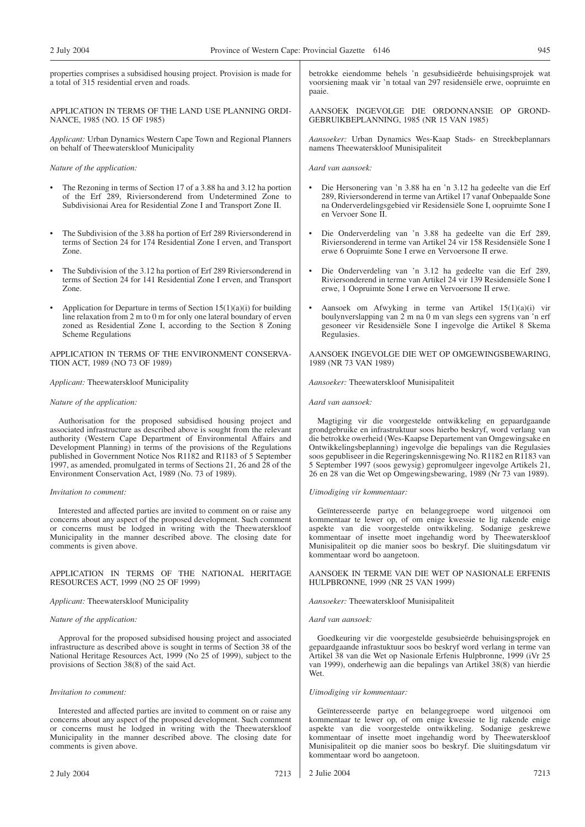properties comprises a subsidised housing project. Provision is made for a total of 315 residential erven and roads.

APPLICATION IN TERMS OF THE LAND USE PLANNING ORDI-NANCE, 1985 (NO. 15 OF 1985)

*Applicant:* Urban Dynamics Western Cape Town and Regional Planners on behalf of Theewaterskloof Municipality

### *Nature of the application:*

- The Rezoning in terms of Section 17 of a 3.88 ha and 3.12 ha portion of the Erf 289, Riviersonderend from Undetermined Zone to Subdivisionai Area for Residential Zone I and Transport Zone II.
- The Subdivision of the 3.88 ha portion of Erf 289 Riviersonderend in terms of Section 24 for 174 Residential Zone I erven, and Transport Zone.
- The Subdivision of the 3.12 ha portion of Erf 289 Riviersonderend in terms of Section 24 for 141 Residential Zone I erven, and Transport Zone.
- Application for Departure in terms of Section  $15(1)(a)(i)$  for building line relaxation from 2 m to 0 m for only one lateral boundary of erven zoned as Residential Zone I, according to the Section 8 Zoning Scheme Regulations

APPLICATION IN TERMS OF THE ENVIRONMENT CONSERVA-TION ACT, 1989 (NO 73 OF 1989)

*Applicant:* Theewaterskloof Municipality

### *Nature of the application:*

Authorisation for the proposed subsidised housing project and associated infrastructure as described above is sought from the relevant authority (Western Cape Department of Environmental Affairs and Development Planning) in terms of the provisions of the Regulations published in Government Notice Nos R1182 and R1183 of 5 September 1997, as amended, promulgated in terms of Sections 21, 26 and 28 of the Environment Conservation Act, 1989 (No. 73 of 1989).

### *Invitation to comment:*

Interested and affected parties are invited to comment on or raise any concerns about any aspect of the proposed development. Such comment or concerns must be lodged in writing with the Theewaterskloof Municipality in the manner described above. The closing date for comments is given above.

APPLICATION IN TERMS OF THE NATIONAL HERITAGE RESOURCES ACT, 1999 (NO 25 OF 1999)

### *Applicant:* Theewaterskloof Municipality

### *Nature of the application:*

Approval for the proposed subsidised housing project and associated infrastructure as described above is sought in terms of Section 38 of the National Heritage Resources Act, 1999 (No 25 of 1999), subject to the provisions of Section 38(8) of the said Act.

### *Invitation to comment:*

Interested and affected parties are invited to comment on or raise any concerns about any aspect of the proposed development. Such comment or concerns must he lodged in writing with the Theewaterskloof Municipality in the manner described above. The closing date for comments is given above.

betrokke eiendomme behels 'n gesubsidieërde behuisingsprojek wat voorsiening maak vir 'n totaal van 297 residensiële erwe, oopruimte en paaie.

AANSOEK INGEVOLGE DIE ORDONNANSIE OP GROND-GEBRUlKBEPLANNING, 1985 (NR 15 VAN 1985)

*Aansoeker:* Urban Dynamics Wes-Kaap Stads- en Streekbeplannars namens Theewaterskloof Munisipaliteit

*Aard van aansoek:*

- Die Hersonering van 'n 3.88 ha en 'n 3.12 ha gedeelte van die Erf 289, Riviersonderend in terme van Artikel 17 vanaf Onbepaalde Sone na Onderverdelingsgebied vir Residensiële Sone I, oopruimte Sone I en Vervoer Sone II.
- Die Onderverdeling van 'n 3.88 ha gedeelte van die Erf 289, Riviersonderend in terme van Artikel 24 vir 158 Residensiële Sone I erwe 6 Oopruimte Sone I erwe en Vervoersone II erwe.
- Die Onderverdeling van 'n 3.12 ha gedeelte van die Erf 289, Riviersonderend in terme van Artikel 24 vir 139 Residensiële Sone I erwe, 1 Oopruimte Sone I erwe en Vervoersone II erwe.
- Aansoek om Afwyking in terme van Artikel 15(1)(a)(i) vir boulynverslapping van 2 m na 0 m van slegs een sygrens van 'n erf gesoneer vir Residensiële Sone I ingevolge die Artikel 8 Skema Regulasies.

AANSOEK INGEVOLGE DIE WET OP OMGEWINGSBEWARING, 1989 (NR 73 VAN 1989)

*Aansoeker:* Theewaterskloof Munisipaliteit

*Aard van aansoek:*

Magtiging vir die voorgestelde ontwikkeling en gepaardgaande grondgebruike en infrastruktuur soos hierbo beskryf, word verlang van die betrokke owerheid (Wes-Kaapse Departement van Omgewingsake en Ontwikkelingsbeplanning) ingevolge die bepalings van die Regulasies soos gepubliseer in die Regeringskennisgewing No. R1182 en R1183 van 5 September 1997 (soos gewysig) gepromulgeer ingevolge Artikels 21, 26 en 28 van die Wet op Omgewingsbewaring, 1989 (Nr 73 van 1989).

### *Uitnodiging vir kommentaar:*

Geïnteresseerde partye en belangegroepe word uitgenooi om kommentaar te lewer op, of om enige kwessie te lig rakende enige aspekte van die voorgestelde ontwikkeling. Sodanige geskrewe kommentaar of insette moet ingehandig word by Theewaterskloof Munisipaliteit op die manier soos bo beskryf. Die sluitingsdatum vir kommentaar word bo aangetoon.

AANSOEK IN TERME VAN DIE WET OP NASIONALE ERFENIS HULPBRONNE, 1999 (NR 25 VAN 1999)

*Aansoeker:* Theewaterskloof Munisipaliteit

### *Aard van aansoek:*

Goedkeuring vir die voorgestelde gesubsieërde behuisingsprojek en gepaardgaande infrastuktuur soos bo beskryf word verlang in terme van Artikel 38 van die Wet op Nasionale Erfenis Hulpbronne, 1999 (iVr 25 van 1999), onderhewig aan die bepalings van Artikel 38(8) van hierdie Wet.

### *Uitnodiging vir kommentaar:*

Geïnteresseerde partye en belangegroepe word uitgenooi om kommentaar te lewer op, of om enige kwessie te lig rakende enige aspekte van die voorgestelde ontwikkeling. Sodanige geskrewe kommentaar of insette moet ingehandig word by Theewaterskloof Munisipaliteit op die manier soos bo beskryf. Die sluitingsdatum vir kommentaar word bo aangetoon.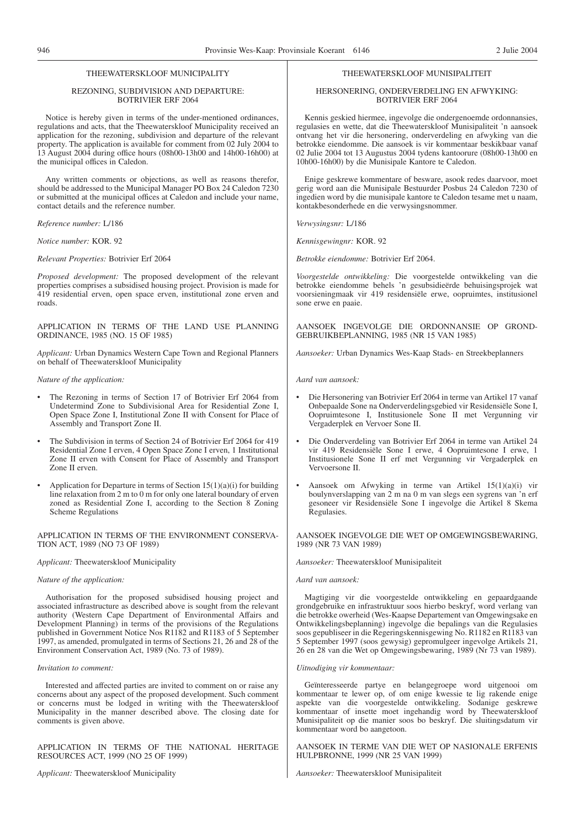### THEEWATERSKLOOF MUNICIPALITY

### REZONING, SUBDIVISION AND DEPARTURE: BOTRIVIER ERF 2064

Notice is hereby given in terms of the under-mentioned ordinances, regulations and acts, that the Theewaterskloof Municipality received an application for the rezoning, subdivision and departure of the relevant property. The application is available for comment from 02 July 2004 to 13 August 2004 during office hours (08h00-13h00 and 14h00-16h00) at the municipal offices in Caledon.

Any written comments or objections, as well as reasons therefor, should be addressed to the Municipal Manager PO Box 24 Caledon 7230 or submitted at the municipal offices at Caledon and include your name, contact details and the reference number.

*Reference number:* L/186

*Notice number:* KOR. 92

*Relevant Properties:* Botrivier Erf 2064

*Proposed development:* The proposed development of the relevant properties comprises a subsidised housing project. Provision is made for 419 residential erven, open space erven, institutional zone erven and roads.

APPLICATION IN TERMS OF THE LAND USE PLANNING ORDINANCE, 1985 (NO. 15 OF 1985)

*Applicant:* Urban Dynamics Western Cape Town and Regional Planners on behalf of Theewaterskloof Municipality

*Nature of the application:*

- The Rezoning in terms of Section 17 of Botrivier Erf 2064 from Undetermind Zone to Subdivisional Area for Residential Zone I, Open Space Zone I, Institutional Zone II with Consent for Place of Assembly and Transport Zone II.
- The Subdivision in terms of Section 24 of Botrivier Erf 2064 for 419 Residential Zone I erven, 4 Open Space Zone I erven, 1 Institutional Zone II erven with Consent for Place of Assembly and Transport Zone II erven.
- Application for Departure in terms of Section  $15(1)(a)(i)$  for building line relaxation from 2 m to 0 m for only one lateral boundary of erven zoned as Residential Zone I, according to the Section 8 Zoning Scheme Regulations

APPLICATION IN TERMS OF THE ENVIRONMENT CONSERVA-TION ACT, 1989 (NO 73 OF 1989)

*Applicant:* Theewaterskloof Municipality

*Nature of the application:*

Authorisation for the proposed subsidised housing project and associated infrastructure as described above is sought from the relevant authority (Western Cape Department of Environmental Affairs and Development Planning) in terms of the provisions of the Regulations published in Government Notice Nos R1182 and R1183 of 5 September 1997, as amended, promulgated in terms of Sections 21, 26 and 28 of the Environment Conservation Act, 1989 (No. 73 of 1989).

### *Invitation to comment:*

Interested and affected parties are invited to comment on or raise any concerns about any aspect of the proposed development. Such comment or concerns must be lodged in writing with the Theewaterskloof Municipality in the manner described above. The closing date for comments is given above.

APPLICATION IN TERMS OF THE NATIONAL HERITAGE RESOURCES ACT, 1999 (NO 25 OF 1999)

*Applicant:* Theewaterskloof Municipality

### THEEWATERSKLOOF MUNISIPALITEIT

### HERSONERING, ONDERVERDELING EN AFWYKING: BOTRIVIER ERF 2064

Kennis geskied hiermee, ingevolge die ondergenoemde ordonnansies, regulasies en wette, dat die Theewaterskloof Munisipaliteit 'n aansoek ontvang het vir die hersonering, onderverdeling en afwyking van die betrokke eiendomme. Die aansoek is vir kommentaar beskikbaar vanaf 02 Julie 2004 tot 13 Augustus 2004 tydens kantoorure (08h00-13h00 en 10h00-16h00) by die Munisipale Kantore te Caledon.

Enige geskrewe kommentare of besware, asook redes daarvoor, moet gerig word aan die Munisipale Bestuurder Posbus 24 Caledon 7230 of ingedien word by die munisipale kantore te Caledon tesame met u naam, kontakbesonderhede en die verwysingsnommer.

*Verwysingsnr:* L/186

*Kennisgewingnr:* KOR. 92

*Betrokke eiendomme:* Botrivier Erf 2064.

*Voorgestelde ontwikkeling:* Die voorgestelde ontwikkeling van die betrokke eiendomme behels 'n gesubsidieërde behuisingsprojek wat voorsieningmaak vir 419 residensiële erwe, oopruimtes, institusionel sone erwe en paaie.

AANSOEK INGEVOLGE DIE ORDONNANSIE OP GROND-GEBRUIKBEPLANNING, 1985 (NR 15 VAN 1985)

*Aansoeker:* Urban Dynamics Wes-Kaap Stads- en Streekbeplanners

*Aard van aansoek:*

- Die Hersonering van Botrivier Erf 2064 in terme van Artikel 17 vanaf Onbepaalde Sone na Onderverdelingsgebied vir Residensiële Sone I, Oopruimtesone I, Institusionele Sone II met Vergunning vir Vergaderplek en Vervoer Sone II.
- Die Onderverdeling van Botrivier Erf 2064 in terme van Artikel 24 vir 419 Residensiële Sone I erwe, 4 Oopruimtesone I erwe, 1 Institusionele Sone II erf met Vergunning vir Vergaderplek en Vervoersone II.
- Aansoek om Afwyking in terme van Artikel 15(1)(a)(i) vir boulynverslapping van 2 m na 0 m van slegs een sygrens van 'n erf gesoneer vir Residensiële Sone I ingevolge die Artikel 8 Skema Regulasies.

AANSOEK INGEVOLGE DIE WET OP OMGEWINGSBEWARING, 1989 (NR 73 VAN 1989)

*Aansoeker:* Theewaterskloof Munisipaliteit

*Aard van aansoek:*

Magtiging vir die voorgestelde ontwikkeling en gepaardgaande grondgebruike en infrastruktuur soos hierbo beskryf, word verlang van die betrokke owerheid (Wes-Kaapse Departement van Omgewingsake en Ontwikkelingsbeplanning) ingevolge die bepalings van die Regulasies soos gepubliseer in die Regeringskennisgewing No. R1182 en R1183 van 5 September 1997 (soos gewysig) gepromulgeer ingevolge Artikels 21, 26 en 28 van die Wet op Omgewingsbewaring, 1989 (Nr 73 van 1989).

*Uitnodiging vir kommentaar:*

Geïnteresseerde partye en belangegroepe word uitgenooi om kommentaar te lewer op, of om enige kwessie te lig rakende enige aspekte van die voorgestelde ontwikkeling. Sodanige geskrewe kommentaar of insette moet ingehandig word by Theewaterskloof Munisipaliteit op die manier soos bo beskryf. Die sluitingsdatum vir kommentaar word bo aangetoon.

AANSOEK IN TERME VAN DIE WET OP NASIONALE ERFENIS HULPBRONNE, 1999 (NR 25 VAN 1999)

*Aansoeker:* Theewaterskloof Munisipaliteit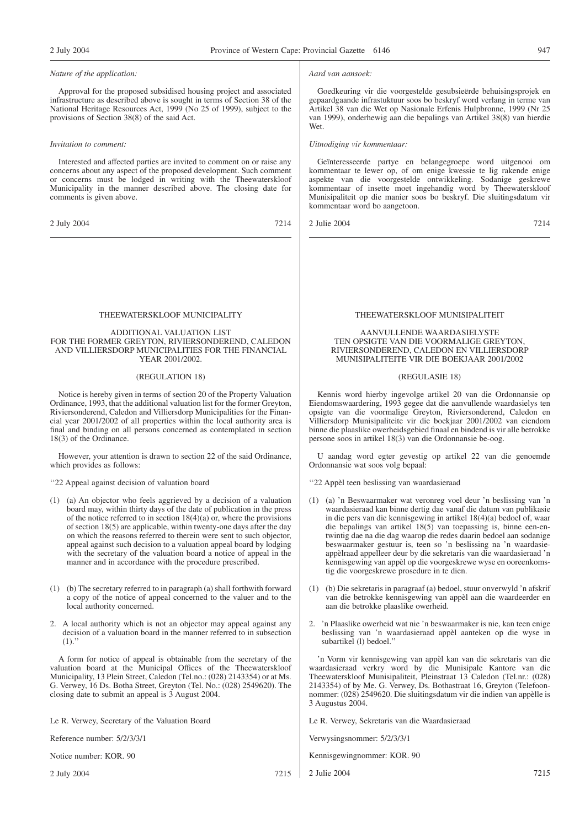### *Nature of the application:*

Approval for the proposed subsidised housing project and associated infrastructure as described above is sought in terms of Section 38 of the National Heritage Resources Act, 1999 (No 25 of 1999), subject to the provisions of Section 38(8) of the said Act.

### *Invitation to comment:*

Interested and affected parties are invited to comment on or raise any concerns about any aspect of the proposed development. Such comment or concerns must be lodged in writing with the Theewaterskloof Municipality in the manner described above. The closing date for comments is given above.

2 July 2004 7214

### THEEWATERSKLOOF MUNICIPALITY

### ADDITIONAL VALUATION LIST FOR THE FORMER GREYTON, RIVIERSONDEREND, CALEDON AND VILLIERSDORP MUNICIPALITIES FOR THE FINANCIAL YEAR 2001/2002.

### (REGULATION 18)

Notice is hereby given in terms of section 20 of the Property Valuation Ordinance, 1993, that the additional valuation list for the former Greyton, Riviersonderend, Caledon and Villiersdorp Municipalities for the Financial year 2001/2002 of all properties within the local authority area is final and binding on all persons concerned as contemplated in section 18(3) of the Ordinance.

However, your attention is drawn to section 22 of the said Ordinance, which provides as follows:

''22 Appeal against decision of valuation board

- (1) (a) An objector who feels aggrieved by a decision of a valuation board may, within thirty days of the date of publication in the press of the notice referred to in section  $18(4)(a)$  or, where the provisions of section 18(5) are applicable, within twenty-one days after the day on which the reasons referred to therein were sent to such objector, appeal against such decision to a valuation appeal board by lodging with the secretary of the valuation board a notice of appeal in the manner and in accordance with the procedure prescribed.
- (1) (b) The secretary referred to in paragraph (a) shall forthwith forward a copy of the notice of appeal concerned to the valuer and to the local authority concerned.
- 2. A local authority which is not an objector may appeal against any decision of a valuation board in the manner referred to in subsection  $(1).$

A form for notice of appeal is obtainable from the secretary of the valuation board at the Municipal Offices of the Theewaterskloof Municipality, 13 Plein Street, Caledon (Tel.no.: (028) 2143354) or at Ms. G. Verwey, 16 Ds. Botha Street, Greyton (Tel. No.: (028) 2549620). The closing date to submit an appeal is 3 August 2004.

Le R. Verwey, Secretary of the Valuation Board

Reference number: 5/2/3/3/1

Notice number: KOR. 90

2 July 2004 7215

### *Aard van aansoek:*

Goedkeuring vir die voorgestelde gesubsieërde behuisingsprojek en gepaardgaande infrastuktuur soos bo beskryf word verlang in terme van Artikel 38 van die Wet op Nasionale Erfenis Hulpbronne, 1999 (Nr 25 van 1999), onderhewig aan die bepalings van Artikel 38(8) van hierdie Wet.

*Uitnodiging vir kommentaar:*

Geïnteresseerde partye en belangegroepe word uitgenooi om kommentaar te lewer op, of om enige kwessie te lig rakende enige aspekte van die voorgestelde ontwikkeling. Sodanige geskrewe kommentaar of insette moet ingehandig word by Theewaterskloof Munisipaliteit op die manier soos bo beskryf. Die sluitingsdatum vir kommentaar word bo aangetoon.

2 Julie 2004 7214

### THEEWATERSKLOOF MUNISIPALITEIT

### AANVULLENDE WAARDASIELYSTE TEN OPSIGTE VAN DIE VOORMALIGE GREYTON, RIVIERSONDEREND, CALEDON EN VILLIERSDORP MUNISIPALITEITE VIR DIE BOEKJAAR 2001/2002

### (REGULASIE 18)

Kennis word hierby ingevolge artikel 20 van die Ordonnansie op Eiendomswaardering, 1993 gegee dat die aanvullende waardasielys ten opsigte van die voormalige Greyton, Riviersonderend, Caledon en Villiersdorp Munisipaliteite vir die boekjaar 2001/2002 van eiendom binne die plaaslike owerheidsgebied finaal en bindend is vir alle betrokke persone soos in artikel 18(3) van die Ordonnansie be-oog.

U aandag word egter gevestig op artikel 22 van die genoemde Ordonnansie wat soos volg bepaal:

''22 Appèl teen beslissing van waardasieraad

- (1) (a) 'n Beswaarmaker wat veronreg voel deur 'n beslissing van 'n waardasieraad kan binne dertig dae vanaf die datum van publikasie in die pers van die kennisgewing in artikel 18(4)(a) bedoel of, waar die bepalings van artikel 18(5) van toepassing is, binne een-entwintig dae na die dag waarop die redes daarin bedoel aan sodanige beswaarmaker gestuur is, teen so 'n beslissing na 'n waardasieappèlraad appelleer deur by die sekretaris van die waardasieraad 'n kennisgewing van appèl op die voorgeskrewe wyse en ooreenkomstig die voorgeskrewe prosedure in te dien.
- (1) (b) Die sekretaris in paragraaf (a) bedoel, stuur onverwyld 'n afskrif van die betrokke kennisgewing van appèl aan die waardeerder en aan die betrokke plaaslike owerheid.
- 2. 'n Plaaslike owerheid wat nie 'n beswaarmaker is nie, kan teen enige beslissing van 'n waardasieraad appèl aanteken op die wyse in subartikel (l) bedoel."

'n Vorm vir kennisgewing van appèl kan van die sekretaris van die waardasieraad verkry word by die Munisipale Kantore van die Theewaterskloof Munisipaliteit, Pleinstraat 13 Caledon (Tel.nr.: (028) 2143354) of by Me. G. Verwey, Ds. Bothastraat 16, Greyton (Telefoonnommer: (028) 2549620. Die sluitingsdatum vir die indien van appèlle is 3 Augustus 2004.

Le R. Verwey, Sekretaris van die Waardasieraad

Verwysingsnommer: 5/2/3/3/1

Kennisgewingnommer: KOR. 90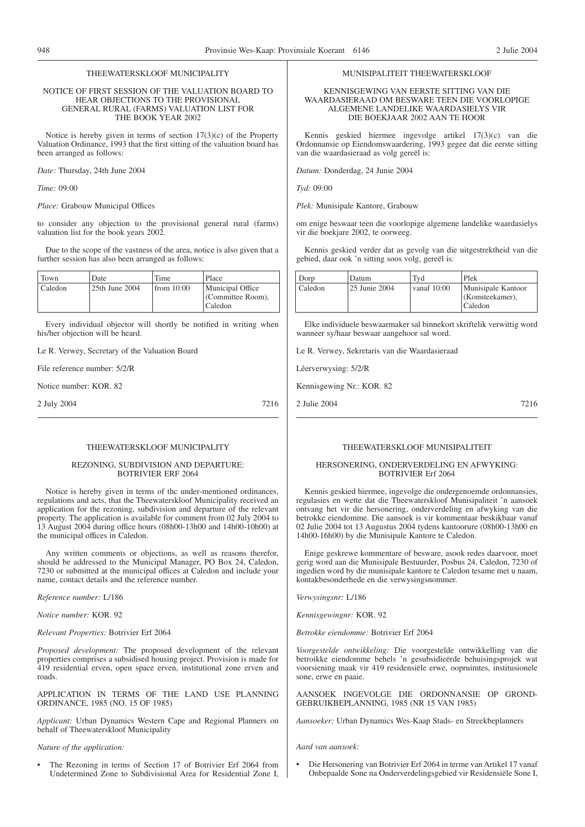# MUNISIPALITEIT THEEWATERSKLOOF

### KENNISGEWING VAN EERSTE SITTING VAN DIE WAARDASIERAAD OM BESWARE TEEN DIE VOORLOPIGE ALGEMENE LANDELIKE WAARDASIELYS VIR DIE BOEKJAAR 2002 AAN TE HOOR

Kennis geskied hiermee ingevolge artikel 17(3)(c) van die Ordonnansie op Eiendomswaardering, 1993 gegee dat die eerste sitting van die waardasieraad as volg gereël is:

*Datum:* Donderdag, 24 Junie 2004

*Tyd:* 09:00

*Plek:* Munisipale Kantore, Grabouw

om enige beswaar teen die voorlopige algemene landelike waardasielys vir die boekjare 2002, te oorweeg.

Kennis geskied verder dat as gevolg van die uitgestrektheid van die gebied, daar ook 'n sitting soos volg, gereël is:

| Dorp    | Datum         | Tvd         | Plek                                               |
|---------|---------------|-------------|----------------------------------------------------|
| Caledon | 25 Junie 2004 | vanaf 10:00 | Munisipale Kantoor<br>(Komiteekamer),<br>  Caledon |

Elke individuele beswaarmaker sal binnekort skriftelik verwittig word wanneer sy/haar beswaar aangehoor sal word.

Le R. Verwey, Sekretaris van die Waardasieraad

Lêerverwysing: 5/2/R

Kennisgewing Nr.: KOR. 82

2 Julie 2004 7216

### THEEWATERSKLOOF MUNICIPALITY

### REZONING, SUBDIVISION AND DEPARTURE: BOTRIVIER ERF 2064

2 July 2004 7216

THEEWATERSKLOOF MUNICIPALITY NOTICE OF FIRST SESSION OF THE VALUATION BOARD TO HEAR OBJECTIONS TO THE PROVISIONAL GENERAL RURAL (FARMS) VALUATION LIST FOR THE BOOK YEAR 2002 Notice is hereby given in terms of section  $17(3)(c)$  of the Property Valuation Ordinance, 1993 that the first sitting of the valuation board has

to consider any objection to the provisional general rural (farms)

Due to the scope of the vastness of the area, notice is also given that a

Every individual objector will shortly be notified in writing when

(Committee Room),

Caledon

Notice is hereby given in terms of thc under-mentioned ordinances, regulations and acts, that the Theewaterskloof Municipality received an application for the rezoning, subdivision and departure of the relevant property. The application is available for comment from 02 July 2004 to 13 August 2004 during office hours (08h00-13h00 and 14h00-10h00) at the municipal offices in Caledon.

Any written comments or objections, as well as reasons therefor, should be addressed to the Municipal Manager, PO Box 24, Caledon, 7230 or submitted at the municipal offices at Caledon and include your name, contact details and the reference number.

*Reference number:* L/186

*Notice number:* KOR. 92

*Relevant Properties:* Botrivier Erf 2064

*Proposed development:* The proposed development of the relevant properties comprises a subsidised housing project. Provision is made for 419 residential erven, open space erven, institutional zone erven and roads.

APPLICATION IN TERMS OF THE LAND USE PLANNING ORDINANCE, 1985 (NO. 15 OF 1985)

*Applicant:* Urban Dynamics Western Cape and Regional Planners on behalf of Theewaterskloof Municipality

### *Nature of the application:*

The Rezoning in terms of Section 17 of Botrivier Erf 2064 from Undetermined Zone to Subdivisional Area for Residential Zone I,

### THEEWATERSKLOOF MUNISIPALITEIT

### HERSONERING, ONDERVERDELING EN AFWYKING: BOTRIVIER Erf 2064

Kennis geskied hiermee, ingevolge die ondergenoemde ordonnansies, regulasies en wette dat die Theewaterskloof Munisipaliteit 'n aansoek ontvang het vir die hersonering, onderverdeling en afwyking van die betrokke eiendomme. Die aansoek is vir kommentaar beskikbaar vanaf 02 Julie 2004 tot 13 Augustus 2004 tydens kantoorure (08h00-13h00 en 14h00-16h00) by die Munisipale Kantore te Caledon.

Enige geskrewe kommentare of besware, asook redes daarvoor, moet gerig word aan die Munisipale Bestuurder, Posbus 24, Caledon, 7230 of ingedien word by die munisipale kantore te Caledon tesame met u naam, kontakbesonderhede en die verwysingsnommer.

*Verwysingsnr:* L/186

*Kennisgewingnr:* KOR. 92

*Betrokke eiendomme:* Botrivier Erf 2064

*Voorgestelde ontwikkeling:* Die voorgestelde ontwikkelling van die betroikke eiendomme behels 'n gesubsidieërde behuisingsprojek wat voorsiening maak vir 419 residensiële erwe, oopruimtes, institusionele sone, erwe en paaie.

AANSOEK INGEVOLGE DIE ORDONNANSIE OP GROND-GEBRUIKBEPLANNING, 1985 (NR 15 VAN 1985)

*Aansoeker:* Urban Dynamics Wes-Kaap Stads- en Streekbeplanners

*Aard van aansoek:*

• Die Hersonering van Botrivier Erf 2064 in terme van Artikel 17 vanaf Onbepaalde Sone na Onderverdelingsgebied vir Residensiële Sone I,

been arranged as follows:

*Time:* 09:00

*Date:* Thursday, 24th June 2004

*Place:* Grabouw Municipal Offices

his/her objection will be heard.

File reference number: 5/2/R Notice number: KOR. 82

valuation list for the book years 2002.

further session has also been arranged as follows:

Le R. Verwey, Secretary of the Valuation Board

Town Date Time Place Caledon 25th June 2004 from 10:00 Municipal Office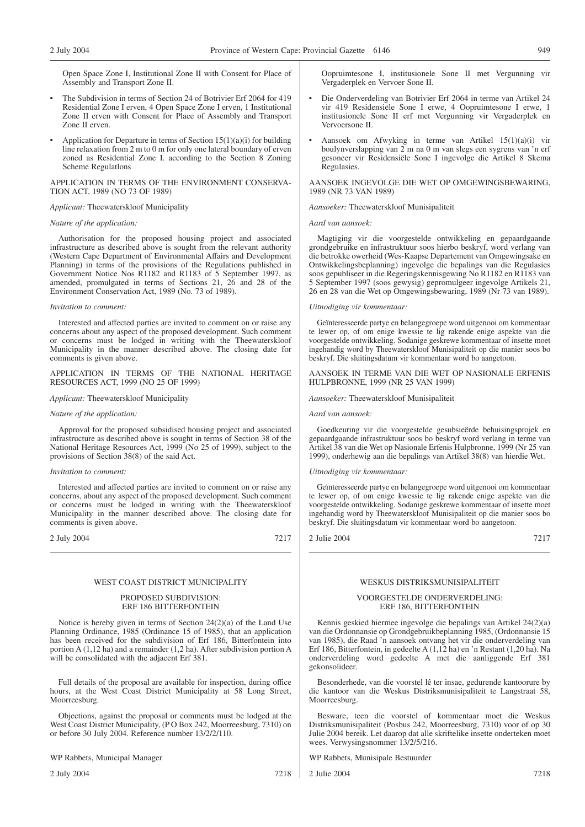Open Space Zone I, Institutional Zone II with Consent for Place of Assembly and Transport Zone II.

- The Subdivision in terms of Section 24 of Botrivier Erf 2064 for 419 Residential Zone I erven, 4 Open Space Zone I erven, 1 Institutional Zone II erven with Consent for Place of Assembly and Transport Zone II erven.
- Application for Departure in terms of Section  $15(1)(a)(i)$  for building line relaxation from 2 m to 0 m for only one lateral boundary of erven zoned as Residential Zone I. according to the Section 8 Zoning Scheme Regulatlons

APPLICATION IN TERMS OF THE ENVIRONMENT CONSERVA-TION ACT, 1989 (NO 73 OF 1989)

### *Applicant:* Theewaterskloof Municipality

### *Nature of the application:*

Authorisation for the proposed housing project and associated infrastructure as described above is sought from the relevant authority (Western Cape Department of Environmental Affairs and Development Planning) in terms of the provisions of the Regulations published in Government Notice Nos R1182 and R1183 of 5 September 1997, as amended, promulgated in terms of Sections 21, 26 and 28 of the Environment Conservation Act, 1989 (No. 73 of 1989).

### *Invitation to comment:*

Interested and affected parties are invited to comment on or raise any concerns about any aspect of the proposed development. Such comment or concerns must be lodged in writing with the Theewaterskloof Municipality in the manner described above. The closing date for comments is given above.

APPLICATION IN TERMS OF THE NATIONAL HERITAGE RESOURCES ACT, 1999 (NO 25 OF 1999)

### *Applicant:* Theewaterskloof Municipality

### *Nature of the application:*

Approval for the proposed subsidised housing project and associated infrastructure as described above is sought in terms of Section 38 of the National Heritage Resources Act, 1999 (No 25 of 1999), subject to the provisions of Section 38(8) of the said Act.

### *Invitation to comment:*

Interested and affected parties are invited to comment on or raise any concerns, about any aspect of the proposed development. Such comment or concerns must be lodged in writing with the Theewaterskloof Municipality in the manner described above. The closing date for comments is given above.

2 July 2004 7217

### WEST COAST DISTRICT MUNICIPALITY

### PROPOSED SUBDIVISION: ERF 186 BITTERFONTEIN

Notice is hereby given in terms of Section 24(2)(a) of the Land Use Planning Ordinance, 1985 (Ordinance 15 of 1985), that an application has been received for the subdivision of Erf 186, Bitterfontein into portion A (1,12 ha) and a remainder (1,2 ha). After subdivision portion A will be consolidated with the adjacent Erf 381.

Full details of the proposal are available for inspection, during office hours, at the West Coast District Municipality at 58 Long Street, Moorreesburg.

Objections, against the proposal or comments must be lodged at the West Coast District Municipality, (P O Box 242, Moorreesburg, 7310) on or before 30 July 2004. Reference number 13/2/2/110.

WP Rabbets, Municipal Manager

2 July 2004 7218

Oopruimtesone I, institusionele Sone II met Vergunning vir Vergaderplek en Vervoer Sone II.

- Die Onderverdeling van Botrivier Erf 2064 in terme van Artikel 24 vir 419 Residensiële Sone I erwe, 4 Oopruimtesone I erwe, 1 institusionele Sone II erf met Vergunning vir Vergaderplek en Vervoersone II.
- Aansoek om Afwyking in terme van Artikel 15(1)(a)(i) vir boulynverslapping van  $2 \text{ m}$  na 0 m van slegs een sygrens van 'n erf gesoneer vir Residensiële Sone I ingevolge die Artikel 8 Skema Regulasies.

AANSOEK INGEVOLGE DIE WET OP OMGEWlNGSBEWARING, 1989 (NR 73 VAN 1989)

### *Aansoeker:* Theewaterskloof Munisipaliteit

*Aard van aansoek:*

Magtiging vir die voorgestelde ontwikkeling en gepaardgaande grondgebruike en infrastruktuur soos hierbo beskryf, word verlang van die betrokke owerheid (Wes-Kaapse Departement van Omgewingsake en Ontwikkelingsbeplanning) ingevolge die bepalings van die Regulasies soos gepubliseer in die Regeringskennisgewing No R1182 en R1183 van 5 September 1997 (soos gewysig) gepromulgeer ingevolge Artikels 21, 26 en 28 van die Wet op Omgewingsbewaring, 1989 (Nr 73 van 1989).

### *Uitnodiging vir kommentaar:*

Geïnteresseerde partye en belangegroepe word uitgenooi om kommentaar te lewer op, of om enige kwessie te lig rakende enige aspekte van die voorgestelde ontwikkeling. Sodanige geskrewe kommentaar of insette moet ingehandig word by Theewaterskloof Munisipaliteit op die manier soos bo beskryf. Die sluitingsdatum vir kommentaar word bo aangetoon.

### AANSOEK IN TERME VAN DIE WET OP NASIONALE ERFENIS HULPBRONNE, 1999 (NR 25 VAN 1999)

### *Aansoeker:* Theewaterskloof Munisipaliteit

### *Aard van aansoek:*

Goedkeuring vir die voorgestelde gesubsieërde behuisingsprojek en gepaardgaande infrastruktuur soos bo beskryf word verlang in terme van Artikel 38 van die Wet op Nasionale Erfenis Hulpbronne, 1999 (Nr 25 van 1999), onderhewig aan die bepalings van Artikel 38(8) van hierdie Wet.

### *Uitnodiging vir kommentaar:*

Geïnteresseerde partye en belangegroepe word uitgenooi om kommentaar te lewer op, of om enige kwessie te lig rakende enige aspekte van die voorgestelde ontwikkeling. Sodanige geskrewe kommentaar of insette moet ingehandig word by Theewaterskloof Munisipaliteit op die manier soos bo beskryf. Die sluitingsdatum vir kommentaar word bo aangetoon.

### 2 Julie 2004 7217

### WESKUS DISTRIKSMUNISIPALITEIT

### VOORGESTELDE ONDERVERDELING: ERF 186, BITTERFONTEIN

Kennis geskied hiermee ingevolge die bepalings van Artikel 24(2)(a) van die Ordonnansie op Grondgebruikbeplanning 1985, (Ordonnansie 15 van 1985), die Raad 'n aansoek ontvang het vir die onderverdeling van Erf 186, Bitterfontein, in gedeelte A (1,12 ha) en 'n Restant (1,20 ha). Na onderverdeling word gedeelte A met die aanliggende Erf 381 gekonsolideer.

Besonderhede, van die voorstel lê ter insae, gedurende kantoorure by die kantoor van die Weskus Distriksmunisipaliteit te Langstraat 58, Moorreesburg.

Besware, teen die voorstel of kommentaar moet die Weskus Distriksmunisipaliteit (Posbus 242, Moorreesburg, 7310) voor of op 30 Julie 2004 bereik. Let daarop dat alle skriftelike insette onderteken moet wees. Verwysingsnommer 13/2/5/216.

WP Rabbets, Munisipale Bestuurder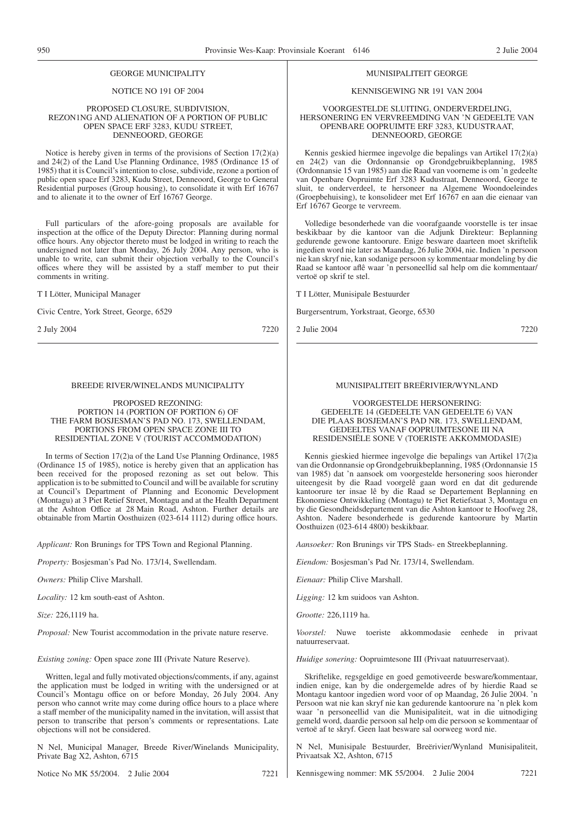### NOTICE NO 191 OF 2004

### PROPOSED CLOSURE, SUBDIVISION, REZON1NG AND ALIENATION OF A PORTION OF PUBLIC OPEN SPACE ERF 3283, KUDU STREET, DENNEOORD, GEORGE

Notice is hereby given in terms of the provisions of Section 17(2)(a) and 24(2) of the Land Use Planning Ordinance, 1985 (Ordinance 15 of 1985) that it is Council's intention to close, subdivide, rezone a portion of public open space Erf 3283, Kudu Street, Denneoord, George to General Residential purposes (Group housing), to consolidate it with Erf 16767 and to alienate it to the owner of Erf 16767 George.

Full particulars of the afore-going proposals are available for inspection at the office of the Deputy Director: Planning during normal office hours. Any objector thereto must be lodged in writing to reach the undersigned not later than Monday, 26 July 2004. Any person, who is unable to write, can submit their objection verbally to the Council's offices where they will be assisted by a staff member to put their comments in writing.

T I Lötter, Municipal Manager

Civic Centre, York Street, George, 6529

2 July 2004 7220

### BREEDE RIVER/WINELANDS MUNICIPALITY

### PROPOSED REZONING: PORTION 14 (PORTION OF PORTION 6) OF THE FARM BOSJESMAN'S PAD NO. 173, SWELLENDAM, PORTIONS FROM OPEN SPACE ZONE III TO RESIDENTIAL ZONE V (TOURIST ACCOMMODATION)

In terms of Section 17(2)a of the Land Use Planning Ordinance, 1985 (Ordinance 15 of 1985), notice is hereby given that an application has been received for the proposed rezoning as set out below. This application is to be submitted to Council and will be available for scrutiny at Council's Department of Planning and Economic Development (Montagu) at 3 Piet Retief Street, Montagu and at the Health Department at the Ashton Office at 28 Main Road, Ashton. Further details are obtainable from Martin Oosthuizen (023-614 1112) during office hours.

*Applicant:* Ron Brunings for TPS Town and Regional Planning.

*Property:* Bosjesman's Pad No. 173/14, Swellendam.

*Owners:* Philip Clive Marshall.

*Locality:* 12 km south-east of Ashton.

*Size:* 226,1119 ha.

*Proposal:* New Tourist accommodation in the private nature reserve.

*Existing zoning:* Open space zone III (Private Nature Reserve).

Written, legal and fully motivated objections/comments, if any, against the application must be lodged in writing with the undersigned or at Council's Montagu office on or before Monday, 26 July 2004. Any person who cannot write may come during office hours to a place where a staff member of the municipality named in the invitation, will assist that person to transcribe that person's comments or representations. Late objections will not be considered.

N Nel, Municipal Manager, Breede River/Winelands Municipality, Private Bag X2, Ashton, 6715

Notice No MK 55/2004. 2 Julie 2004 7221

### MUNISIPALITEIT GEORGE

### KENNISGEWING NR 191 VAN 2004

### VOORGESTELDE SLUITING, ONDERVERDELING, HERSONERING EN VERVREEMDING VAN 'N GEDEELTE VAN OPENBARE OOPRUIMTE ERF 3283, KUDUSTRAAT, DENNEOORD, GEORGE

Kennis geskied hiermee ingevolge die bepalings van Artikel 17(2)(a) en 24(2) van die Ordonnansie op Grondgebruikbeplanning, 1985 (Ordonnansie 15 van 1985) aan die Raad van voorneme is om 'n gedeelte van Openbare Oopruimte Erf 3283 Kudustraat, Denneoord, George te sluit, te onderverdeel, te hersoneer na Algemene Woondoeleindes (Groepbehuising), te konsolideer met Erf 16767 en aan die eienaar van Erf 16767 George te vervreem.

Volledige besonderhede van die voorafgaande voorstelle is ter insae beskikbaar by die kantoor van die Adjunk Direkteur: Beplanning gedurende gewone kantoorure. Enige besware daarteen moet skriftelik ingedien word nie later as Maandag, 26 Julie 2004, nie. Indien 'n persoon nie kan skryf nie, kan sodanige persoon sy kommentaar mondeling by die Raad se kantoor aflê waar 'n personeellid sal help om die kommentaar/ vertoë op skrif te stel.

T I Lötter, Munisipale Bestuurder

Burgersentrum, Yorkstraat, George, 6530

2 Julie 2004 7220

### MUNISIPALITEIT BREËRIVIER/WYNLAND

VOORGESTELDE HERSONERING: GEDEELTE 14 (GEDEELTE VAN GEDEELTE 6) VAN DIE PLAAS BOSJEMAN'S PAD NR. 173, SWELLENDAM, GEDEELTES VANAF OOPRUIMTESONE III NA RESIDENSIËLE SONE V (TOERISTE AKKOMMODASIE)

Kennis gieskied hiermee ingevolge die bepalings van Artikel 17(2)a van die Ordonnansie op Grondgebruikbeplanning, 1985 (Ordonnansie 15 van 1985) dat 'n aansoek om voorgestelde hersonering soos hieronder uiteengesit by die Raad voorgelê gaan word en dat dit gedurende kantoorure ter insae lê by die Raad se Departement Beplanning en Ekonomiese Ontwikkeling (Montagu) te Piet Retiefstaat 3, Montagu en by die Gesondheidsdepartement van die Ashton kantoor te Hoofweg 28, Ashton. Nadere besonderhede is gedurende kantoorure by Martin Oosthuizen (023-614 4800) beskikbaar.

*Aansoeker:* Ron Brunings vir TPS Stads- en Streekbeplanning.

*Eiendom:* Bosjesman's Pad Nr. 173/14, Swellendam.

*Eienaar:* Philip Clive Marshall.

*Ligging:* 12 km suidoos van Ashton.

*Grootte:* 226,1119 ha.

*Voorstel:* Nuwe toeriste akkommodasie eenhede in privaat natuurreservaat.

*Huidige sonering:* Oopruimtesone III (Privaat natuurreservaat).

Skriftelike, regsgeldige en goed gemotiveerde besware/kommentaar, indien enige, kan by die ondergemelde adres of by hierdie Raad se Montagu kantoor ingedien word voor of op Maandag, 26 Julie 2004. 'n Persoon wat nie kan skryf nie kan gedurende kantoorure na 'n plek kom waar 'n personeellid van die Munisipaliteit, wat in die uitnodiging gemeld word, daardie persoon sal help om die persoon se kommentaar of vertoë af te skryf. Geen laat besware sal oorweeg word nie.

N Nel, Munisipale Bestuurder, Breërivier/Wynland Munisipaliteit, Privaatsak X2, Ashton, 6715

Kennisgewing nommer: MK 55/2004. 2 Julie 2004 7221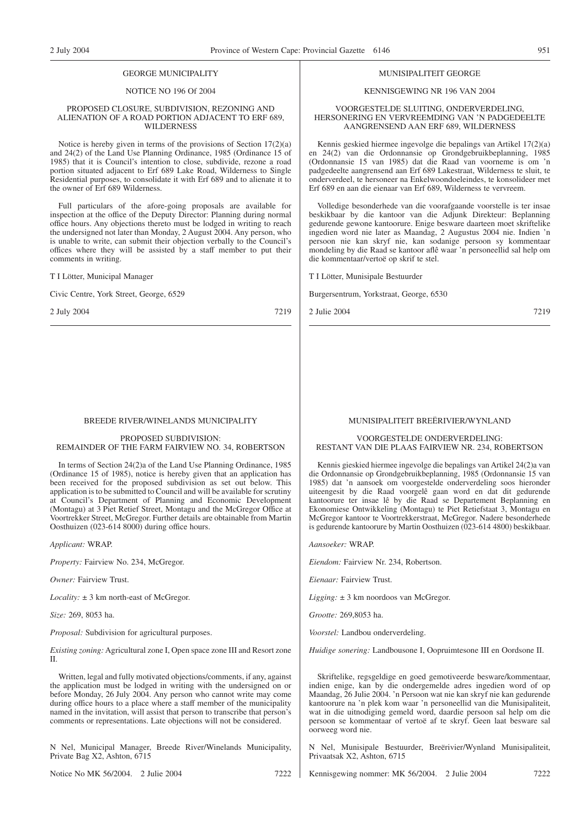### NOTICE NO 196 Of 2004

### PROPOSED CLOSURE, SUBDIVISION, REZONING AND ALIENATION OF A ROAD PORTION ADJACENT TO ERF 689, WILDERNESS

Notice is hereby given in terms of the provisions of Section 17(2)(a) and 24(2) of the Land Use Planning Ordinance, 1985 (Ordinance 15 of 1985) that it is Council's intention to close, subdivide, rezone a road portion situated adjacent to Erf 689 Lake Road, Wilderness to Single Residential purposes, to consolidate it with Erf 689 and to alienate it to the owner of Erf 689 Wilderness.

Full particulars of the afore-going proposals are available for inspection at the office of the Deputy Director: Planning during normal office hours. Any objections thereto must be lodged in writing to reach the undersigned not later than Monday, 2 August 2004. Any person, who is unable to write, can submit their objection verbally to the Council's offices where they will be assisted by a staff member to put their comments in writing.

T I Lötter, Municipal Manager

Civic Centre, York Street, George, 6529

2 July 2004 7219

### BREEDE RIVER/WINELANDS MUNICIPALITY

### PROPOSED SUBDIVISION: REMAINDER OF THE FARM FAIRVIEW NO. 34, ROBERTSON

In terms of Section 24(2)a of the Land Use Planning Ordinance, 1985 (Ordinance 15 of 1985), notice is hereby given that an application has been received for the proposed subdivision as set out below. This application is to be submitted to Council and will be available for scrutiny at Council's Department of Planning and Economic Development (Montagu) at 3 Piet Retief Street, Montagu and the McGregor Office at Voortrekker Street, McGregor. Further details are obtainable from Martin Oosthuizen (023-614 8000) during office hours.

*Applicant:* WRAP.

*Property:* Fairview No. 234, McGregor.

*Owner:* Fairview Trust.

*Locality:* ± 3 km north-east of McGregor.

*Size:* 269, 8053 ha.

*Proposal:* Subdivision for agricultural purposes.

*Existing zoning:*Agricultural zone I, Open space zone III and Resort zone II.

Written, legal and fully motivated objections/comments, if any, against the application must be lodged in writing with the undersigned on or before Monday, 26 July 2004. Any person who cannot write may come during office hours to a place where a staff member of the municipality named in the invitation, will assist that person to transcribe that person's comments or representations. Late objections will not be considered.

N Nel, Municipal Manager, Breede River/Winelands Municipality, Private Bag X2, Ashton, 6715

Notice No MK 56/2004. 2 Julie 2004 7222

### MUNISIPALITEIT GEORGE

### KENNISGEWING NR 196 VAN 2004

### VOORGESTELDE SLUITING, ONDERVERDELING, HERSONERING EN VERVREEMDING VAN 'N PADGEDEELTE AANGRENSEND AAN ERF 689, WILDERNESS

Kennis geskied hiermee ingevolge die bepalings van Artikel 17(2)(a) en 24(2) van die Ordonnansie op Grondgebruikbeplanning, 1985 (Ordonnansie 15 van 1985) dat die Raad van voorneme is om 'n padgedeelte aangrensend aan Erf 689 Lakestraat, Wilderness te sluit, te onderverdeel, te hersoneer na Enkelwoondoeleindes, te konsolideer met Erf 689 en aan die eienaar van Erf 689, Wilderness te vervreem.

Volledige besonderhede van die voorafgaande voorstelle is ter insae beskikbaar by die kantoor van die Adjunk Direkteur: Beplanning gedurende gewone kantoorure. Enige besware daarteen moet skriftelike ingedien word nie later as Maandag, 2 Augustus 2004 nie. Indien 'n persoon nie kan skryf nie, kan sodanige persoon sy kommentaar mondeling by die Raad se kantoor aflê waar 'n personeellid sal help om die kommentaar/vertoë op skrif te stel.

T I Lötter, Munisipale Bestuurder

Burgersentrum, Yorkstraat, George, 6530

2 Julie 2004 7219

### MUNISIPALITEIT BREËRIVIER/WYNLAND

### VOORGESTELDE ONDERVERDELING: RESTANT VAN DIE PLAAS FAIRVIEW NR. 234, ROBERTSON

Kennis gieskied hiermee ingevolge die bepalings van Artikel 24(2)a van die Ordonnansie op Grondgebruikbeplanning, 1985 (Ordonnansie 15 van 1985) dat 'n aansoek om voorgestelde onderverdeling soos hieronder uiteengesit by die Raad voorgelê gaan word en dat dit gedurende kantoorure ter insae lê by die Raad se Departement Beplanning en Ekonomiese Ontwikkeling (Montagu) te Piet Retiefstaat 3, Montagu en McGregor kantoor te Voortrekkerstraat, McGregor. Nadere besonderhede is gedurende kantoorure by Martin Oosthuizen (023-614 4800) beskikbaar.

*Aansoeker:* WRAP.

*Eiendom:* Fairview Nr. 234, Robertson.

*Eienaar:* Fairview Trust.

*Ligging:* ± 3 km noordoos van McGregor.

*Grootte:* 269,8053 ha.

*Voorstel:* Landbou onderverdeling.

*Huidige sonering:* Landbousone I, Oopruimtesone III en Oordsone II.

Skriftelike, regsgeldige en goed gemotiveerde besware/kommentaar, indien enige, kan by die ondergemelde adres ingedien word of op Maandag, 26 Julie 2004. 'n Persoon wat nie kan skryf nie kan gedurende kantoorure na 'n plek kom waar 'n personeellid van die Munisipaliteit, wat in die uitnodiging gemeld word, daardie persoon sal help om die persoon se kommentaar of vertoë af te skryf. Geen laat besware sal oorweeg word nie.

N Nel, Munisipale Bestuurder, Breërivier/Wynland Munisipaliteit, Privaatsak X2, Ashton, 6715

Kennisgewing nommer: MK 56/2004. 2 Julie 2004 7222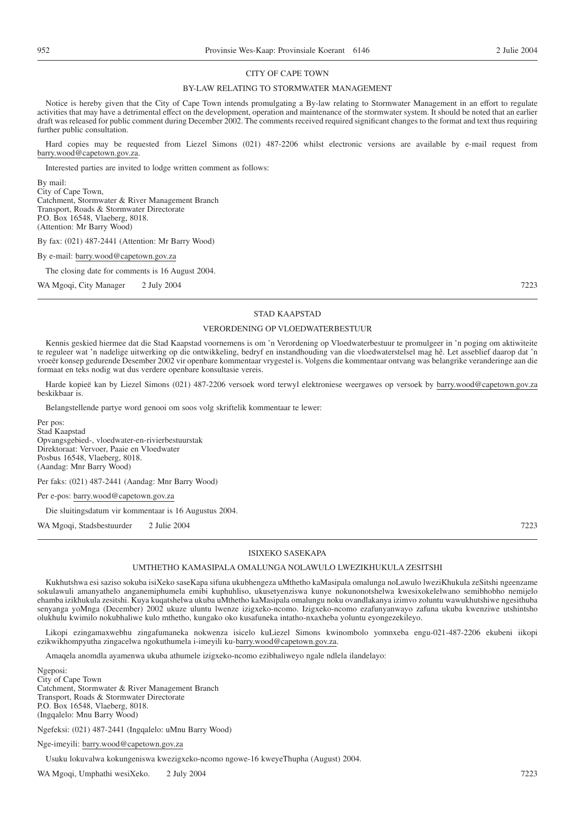### CITY OF CAPE TOWN

### BY-LAW RELATING TO STORMWATER MANAGEMENT

Notice is hereby given that the City of Cape Town intends promulgating a By-law relating to Stormwater Management in an effort to regulate activities that may have a detrimental effect on the development, operation and maintenance of the stormwater system. It should be noted that an earlier draft was released for public comment during December 2002. The comments received required significant changes to the format and text thus requiring further public consultation.

Hard copies may be requested from Liezel Simons (021) 487-2206 whilst electronic versions are available by e-mail request from barry.wood@capetown.gov.za.

Interested parties are invited to lodge written comment as follows:

By mail: City of Cape Town, Catchment, Stormwater & River Management Branch Transport, Roads & Stormwater Directorate P.O. Box 16548, Vlaeberg, 8018. (Attention: Mr Barry Wood)

By fax: (021) 487-2441 (Attention: Mr Barry Wood)

By e-mail: barry.wood@capetown.gov.za

The closing date for comments is 16 August 2004.

WA Mgoqi, City Manager 2 July 2004 7223

### STAD KAAPSTAD

### VERORDENING OP VLOEDWATERBESTUUR

Kennis geskied hiermee dat die Stad Kaapstad voornemens is om 'n Verordening op Vloedwaterbestuur te promulgeer in 'n poging om aktiwiteite te reguleer wat 'n nadelige uitwerking op die ontwikkeling, bedryf en instandhouding van die vloedwaterstelsel mag hê. Let asseblief daarop dat 'n vroeër konsep gedurende Desember 2002 vir openbare kommentaar vrygestel is. Volgens die kommentaar ontvang was belangrike veranderinge aan die formaat en teks nodig wat dus verdere openbare konsultasie vereis.

Harde kopieë kan by Liezel Simons (021) 487-2206 versoek word terwyl elektroniese weergawes op versoek by barry.wood@capetown.gov.za beskikbaar is.

Belangstellende partye word genooi om soos volg skriftelik kommentaar te lewer:

Per pos: Stad Kaapstad Opvangsgebied-, vloedwater-en-rivierbestuurstak Direktoraat: Vervoer, Paaie en Vloedwater Posbus 16548, Vlaeberg, 8018. (Aandag: Mnr Barry Wood)

Per faks: (021) 487-2441 (Aandag: Mnr Barry Wood)

Per e-pos: barry.wood@capetown.gov.za

Die sluitingsdatum vir kommentaar is 16 Augustus 2004.

WA Mgoqi, Stadsbestuurder 2 Julie 2004 7223

### ISIXEKO SASEKAPA

### UMTHETHO KAMASIPALA OMALUNGA NOLAWULO LWEZIKHUKULA ZESITSHI

Kukhutshwa esi saziso sokuba isiXeko saseKapa sifuna ukubhengeza uMthetho kaMasipala omalunga noLawulo lweziKhukula zeSitshi ngeenzame sokulawuli amanyathelo anganemiphumela emibi kuphuhliso, ukusetyenziswa kunye nokunonotshelwa kwesixokelelwano semibhobho nemijelo ehamba izikhukula zesitshi. Kuya kuqatshelwa ukuba uMthetho kaMasipala omalungu noku ovandlakanya izimvo zoluntu wawukhutshiwe ngesithuba senyanga yoMnga (December) 2002 ukuze uluntu lwenze izigxeko-ncomo. Izigxeko-ncomo ezafunyanwayo zafuna ukuba kwenziwe utshintsho olukhulu kwimilo nokubhaliwe kulo mthetho, kungako oko kusafuneka intatho-nxaxheba yoluntu eyongezekileyo.

Likopi ezingamaxwebhu zingafumaneka nokwenza isicelo kuLiezel Simons kwinombolo yomnxeba engu-021-487-2206 ekubeni iikopi ezikwikhompyutha zingacelwa ngokuthumela i-imeyili ku-barry.wood@capetown.gov.za.

Amaqela anomdla ayamenwa ukuba athumele izigxeko-ncomo ezibhaliweyo ngale ndlela ilandelayo:

Ngeposi: City of Cape Town Catchment, Stormwater & River Management Branch Transport, Roads & Stormwater Directorate P.O. Box 16548, Vlaeberg, 8018. (Ingqalelo: Mnu Barry Wood)

Ngefeksi: (021) 487-2441 (Ingqalelo: uMnu Barry Wood)

Nge-imeyili: barry.wood@capetown.gov.za

Usuku lokuvalwa kokungeniswa kwezigxeko-ncomo ngowe-16 kweyeThupha (August) 2004.

WA Mgoqi, Umphathi wesiXeko. 2 July 2004 7223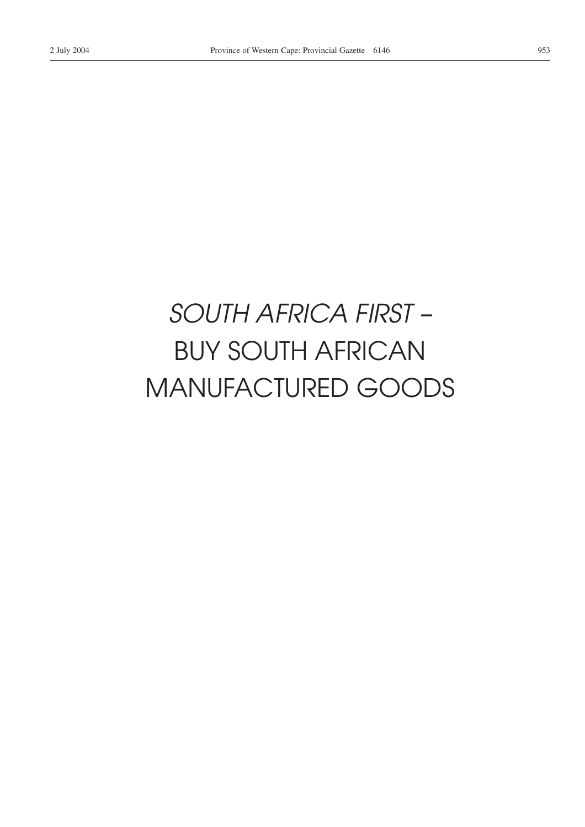# *SOUTH AFRICA FIRST –* BUY SOUTH AFRICAN MANUFACTURED GOODS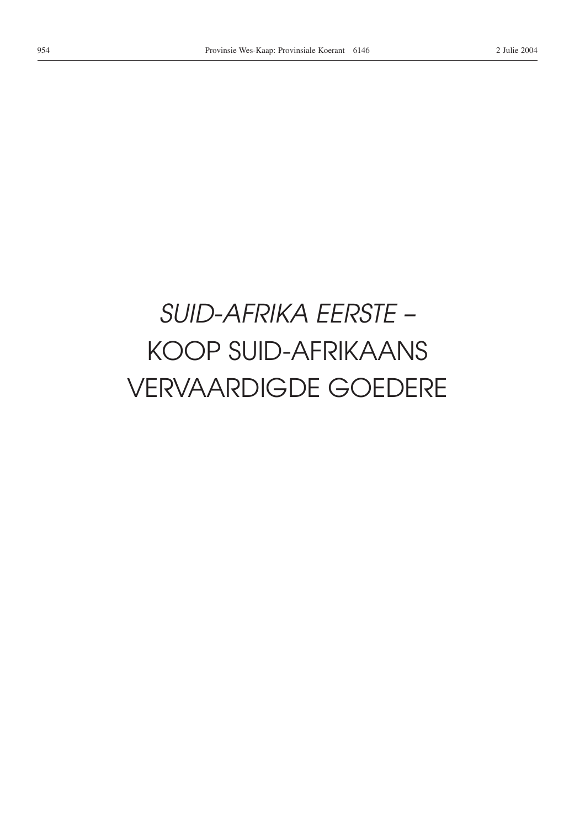# *SUID-AFRIKA EERSTE –* KOOP SUID-AFRIKAANS VERVAARDIGDE GOEDERE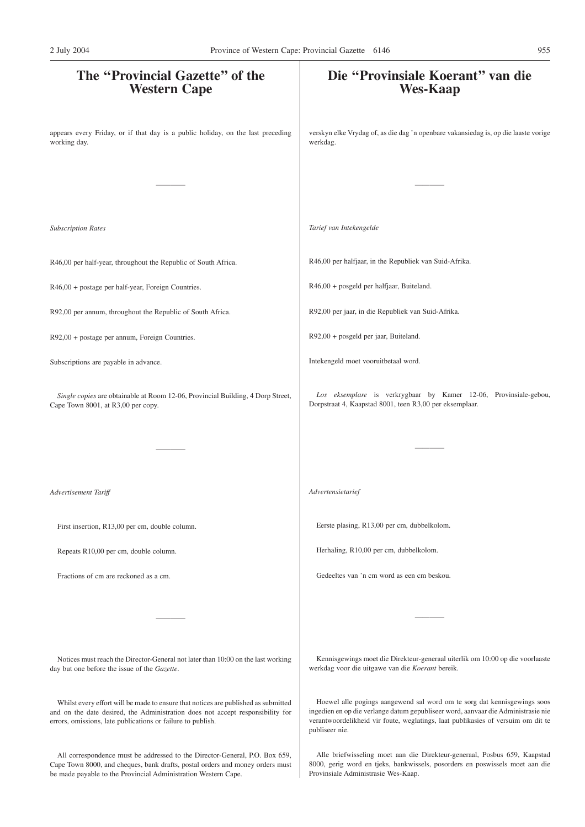# **The ''Provincial Gazette'' of the Western Cape** appears every Friday, or if that day is a public holiday, on the last preceding working day. ———— *Subscription Rates* R46,00 per half-year, throughout the Republic of South Africa. R46,00 + postage per half-year, Foreign Countries. R92,00 per annum, throughout the Republic of South Africa. R92,00 + postage per annum, Foreign Countries. Subscriptions are payable in advance. *Single copies* are obtainable at Room 12-06, Provincial Building, 4 Dorp Street, Cape Town 8001, at R3,00 per copy. ———— *Advertisement Tariff* First insertion, R13,00 per cm, double column. Repeats R10,00 per cm, double column. Fractions of cm are reckoned as a cm. ———— Notices must reach the Director-General not later than 10:00 on the last working day but one before the issue of the *Gazette*. Whilst every effort will be made to ensure that notices are published as submitted **Die ''Provinsiale Koerant'' van die Wes-Kaap** verskyn elke Vrydag of, as die dag 'n openbare vakansiedag is, op die laaste vorige werkdag. ———— *Tarief van Intekengelde* R46,00 per halfjaar, in the Republiek van Suid-Afrika. R46,00 + posgeld per halfjaar, Buiteland. R92,00 per jaar, in die Republiek van Suid-Afrika. R92,00 + posgeld per jaar, Buiteland. Intekengeld moet vooruitbetaal word. *Los eksemplare* is verkrygbaar by Kamer 12-06, Provinsiale-gebou, Dorpstraat 4, Kaapstad 8001, teen R3,00 per eksemplaar. ———— *Advertensietarief* Eerste plasing, R13,00 per cm, dubbelkolom. Herhaling, R10,00 per cm, dubbelkolom. Gedeeltes van 'n cm word as een cm beskou. ———— Kennisgewings moet die Direkteur-generaal uiterlik om 10:00 op die voorlaaste werkdag voor die uitgawe van die *Koerant* bereik. Hoewel alle pogings aangewend sal word om te sorg dat kennisgewings soos 2 July 2004 Province of Western Cape: Provincial Gazette 6146 955

publiseer nie.

and on the date desired, the Administration does not accept responsibility for errors, omissions, late publications or failure to publish.

All correspondence must be addressed to the Director-General, P.O. Box 659, Cape Town 8000, and cheques, bank drafts, postal orders and money orders must be made payable to the Provincial Administration Western Cape.

Alle briefwisseling moet aan die Direkteur-generaal, Posbus 659, Kaapstad 8000, gerig word en tjeks, bankwissels, posorders en poswissels moet aan die Provinsiale Administrasie Wes-Kaap.

ingedien en op die verlange datum gepubliseer word, aanvaar die Administrasie nie verantwoordelikheid vir foute, weglatings, laat publikasies of versuim om dit te